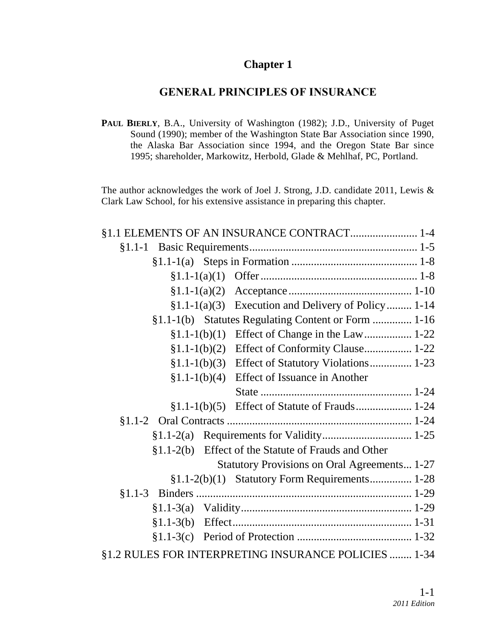#### **Chapter 1**

### **GENERAL PRINCIPLES OF INSURANCE**

PAUL BIERLY, B.A., University of Washington (1982); J.D., University of Puget Sound (1990); member of the Washington State Bar Association since 1990, the Alaska Bar Association since 1994, and the Oregon State Bar since 1995; shareholder, Markowitz, Herbold, Glade & Mehlhaf, PC, Portland.

The author acknowledges the work of Joel J. Strong, J.D. candidate 2011, Lewis & Clark Law School, for his extensive assistance in preparing this chapter.

|                | §1.1 ELEMENTS OF AN INSURANCE CONTRACT 1-4           |  |
|----------------|------------------------------------------------------|--|
|                |                                                      |  |
|                |                                                      |  |
| $$1.1-1(a)(1)$ |                                                      |  |
| $$1.1-1(a)(2)$ |                                                      |  |
|                | $$1.1-1(a)(3)$ Execution and Delivery of Policy 1-14 |  |
|                | §1.1-1(b) Statutes Regulating Content or Form  1-16  |  |
| $§1.1-1(b)(1)$ |                                                      |  |
| $§1.1-1(b)(2)$ | Effect of Conformity Clause 1-22                     |  |
| $$1.1-1(b)(3)$ | Effect of Statutory Violations 1-23                  |  |
| $$1.1-1(b)(4)$ | Effect of Issuance in Another                        |  |
|                |                                                      |  |
| $§1.1-1(b)(5)$ | Effect of Statute of Frauds 1-24                     |  |
|                |                                                      |  |
|                |                                                      |  |
|                | §1.1-2(b) Effect of the Statute of Frauds and Other  |  |
|                | <b>Statutory Provisions on Oral Agreements 1-27</b>  |  |
|                | §1.1-2(b)(1) Statutory Form Requirements 1-28        |  |
|                |                                                      |  |
|                |                                                      |  |
|                |                                                      |  |
| $$1.1-3(c)$    |                                                      |  |
|                | §1.2 RULES FOR INTERPRETING INSURANCE POLICIES  1-34 |  |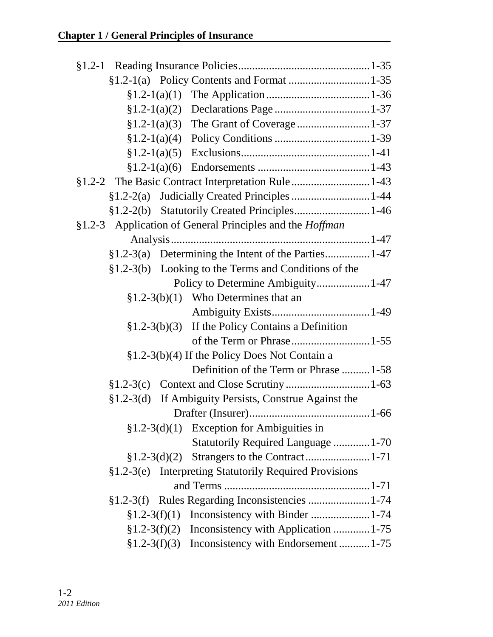| §1.2-3 Application of General Principles and the <i>Hoffman</i> |  |  |  |  |
|-----------------------------------------------------------------|--|--|--|--|
|                                                                 |  |  |  |  |
| §1.2-3(a) Determining the Intent of the Parties 1-47            |  |  |  |  |
| §1.2-3(b) Looking to the Terms and Conditions of the            |  |  |  |  |
| Policy to Determine Ambiguity 1-47                              |  |  |  |  |
| $$1.2-3(b)(1)$ Who Determines that an                           |  |  |  |  |
|                                                                 |  |  |  |  |
| $$1.2-3(b)(3)$ If the Policy Contains a Definition              |  |  |  |  |
|                                                                 |  |  |  |  |
| §1.2-3(b)(4) If the Policy Does Not Contain a                   |  |  |  |  |
| Definition of the Term or Phrase  1-58                          |  |  |  |  |
|                                                                 |  |  |  |  |
| If Ambiguity Persists, Construe Against the<br>$$1.2-3(d)$      |  |  |  |  |
|                                                                 |  |  |  |  |
| $$1.2-3(d)(1)$ Exception for Ambiguities in                     |  |  |  |  |
| <b>Statutorily Required Language  1-70</b>                      |  |  |  |  |
| $$1.2-3(d)(2)$                                                  |  |  |  |  |
| §1.2-3(e) Interpreting Statutorily Required Provisions          |  |  |  |  |
|                                                                 |  |  |  |  |
| §1.2-3(f) Rules Regarding Inconsistencies  1-74                 |  |  |  |  |
|                                                                 |  |  |  |  |
| $$1.2-3(f)(2)$ Inconsistency with Application 1-75              |  |  |  |  |
| $§1.2-3(f)(3)$ Inconsistency with Endorsement  1-75             |  |  |  |  |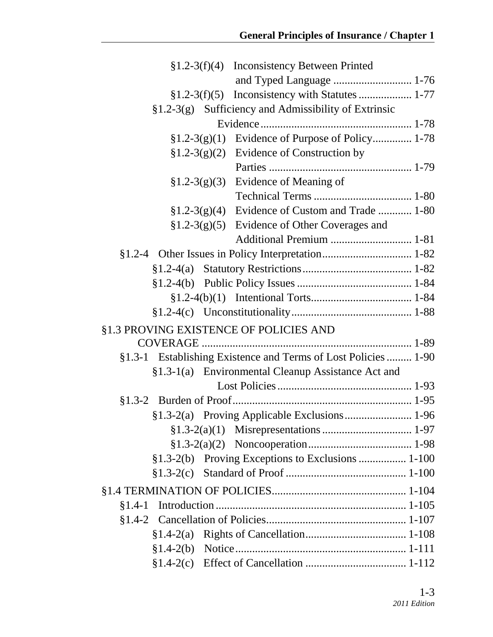|  | $$1.2-3(f)(4)$ Inconsistency Between Printed                   |  |
|--|----------------------------------------------------------------|--|
|  | and Typed Language  1-76                                       |  |
|  |                                                                |  |
|  | $\S1.2-3(g)$ Sufficiency and Admissibility of Extrinsic        |  |
|  |                                                                |  |
|  | $$1.2-3(g)(1)$ Evidence of Purpose of Policy 1-78              |  |
|  | $$1.2-3(g)(2)$ Evidence of Construction by                     |  |
|  |                                                                |  |
|  | $$1.2-3(g)(3)$ Evidence of Meaning of                          |  |
|  |                                                                |  |
|  | $$1.2-3(g)(4)$ Evidence of Custom and Trade  1-80              |  |
|  | $$1.2-3(g)(5)$ Evidence of Other Coverages and                 |  |
|  |                                                                |  |
|  |                                                                |  |
|  |                                                                |  |
|  |                                                                |  |
|  |                                                                |  |
|  |                                                                |  |
|  | §1.3 PROVING EXISTENCE OF POLICIES AND                         |  |
|  |                                                                |  |
|  | §1.3-1 Establishing Existence and Terms of Lost Policies  1-90 |  |
|  | §1.3-1(a) Environmental Cleanup Assistance Act and             |  |
|  |                                                                |  |
|  |                                                                |  |
|  |                                                                |  |
|  |                                                                |  |
|  |                                                                |  |
|  | §1.3-2(b) Proving Exceptions to Exclusions  1-100              |  |
|  |                                                                |  |
|  |                                                                |  |
|  |                                                                |  |
|  |                                                                |  |
|  |                                                                |  |
|  |                                                                |  |
|  |                                                                |  |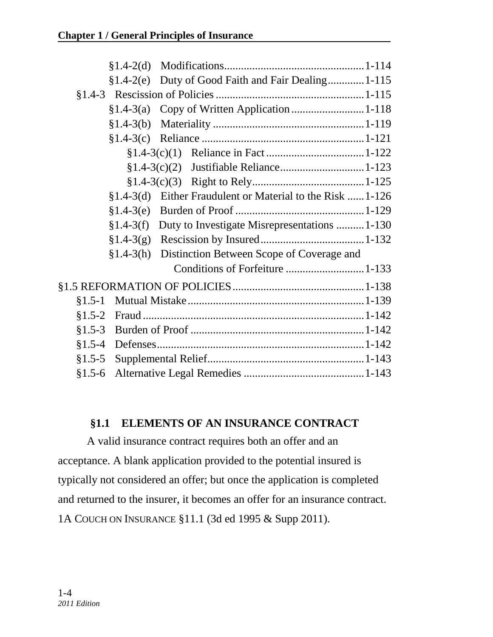|          | §1.4-2(e) Duty of Good Faith and Fair Dealing 1-115        |  |
|----------|------------------------------------------------------------|--|
|          |                                                            |  |
|          |                                                            |  |
|          |                                                            |  |
|          |                                                            |  |
|          |                                                            |  |
|          |                                                            |  |
|          |                                                            |  |
|          | §1.4-3(d) Either Fraudulent or Material to the Risk  1-126 |  |
|          |                                                            |  |
|          | §1.4-3(f) Duty to Investigate Misrepresentations  1-130    |  |
|          |                                                            |  |
|          | §1.4-3(h) Distinction Between Scope of Coverage and        |  |
|          | Conditions of Forfeiture  1-133                            |  |
|          |                                                            |  |
| $§1.5-1$ |                                                            |  |
| $§1.5-2$ |                                                            |  |
| $§1.5-3$ |                                                            |  |
|          |                                                            |  |
| $§1.5-5$ |                                                            |  |
| $$1.5-6$ |                                                            |  |
|          |                                                            |  |

### **§1.1 ELEMENTS OF AN INSURANCE CONTRACT**

A valid insurance contract requires both an offer and an acceptance. A blank application provided to the potential insured is typically not considered an offer; but once the application is completed and returned to the insurer, it becomes an offer for an insurance contract. 1A COUCH ON INSURANCE §11.1 (3d ed 1995 & Supp 2011).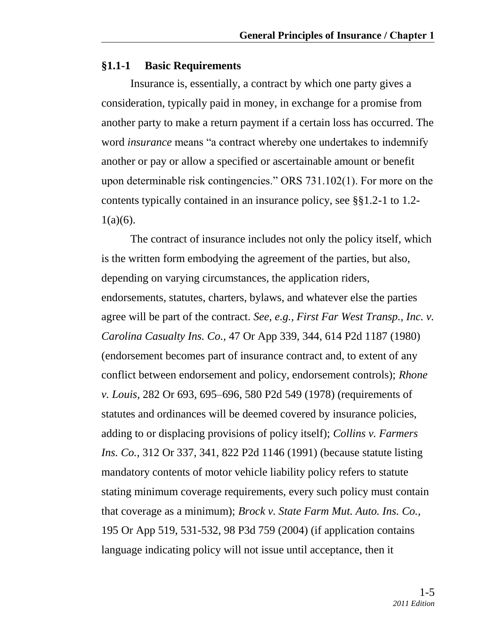#### **§1.1-1 Basic Requirements**

Insurance is, essentially, a contract by which one party gives a consideration, typically paid in money, in exchange for a promise from another party to make a return payment if a certain loss has occurred. The word *insurance* means "a contract whereby one undertakes to indemnify another or pay or allow a specified or ascertainable amount or benefit upon determinable risk contingencies." ORS  $731.102(1)$ . For more on the contents typically contained in an insurance policy, see §§1.2-1 to 1.2-  $1(a)(6)$ .

The contract of insurance includes not only the policy itself, which is the written form embodying the agreement of the parties, but also, depending on varying circumstances, the application riders, endorsements, statutes, charters, bylaws, and whatever else the parties agree will be part of the contract. *See, e.g., First Far West Transp., Inc. v. Carolina Casualty Ins. Co.,* 47 Or App 339, 344, 614 P2d 1187 (1980) (endorsement becomes part of insurance contract and, to extent of any conflict between endorsement and policy, endorsement controls); *Rhone v. Louis,* 282 Or 693, 695–696, 580 P2d 549 (1978) (requirements of statutes and ordinances will be deemed covered by insurance policies, adding to or displacing provisions of policy itself); *Collins v. Farmers Ins. Co.,* 312 Or 337, 341, 822 P2d 1146 (1991) (because statute listing mandatory contents of motor vehicle liability policy refers to statute stating minimum coverage requirements, every such policy must contain that coverage as a minimum); *Brock v. State Farm Mut. Auto. Ins. Co.,* 195 Or App 519, 531-532, 98 P3d 759 (2004) (if application contains language indicating policy will not issue until acceptance, then it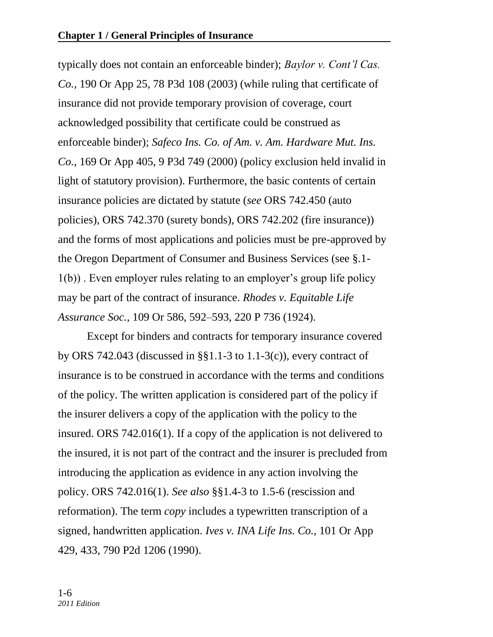typically does not contain an enforceable binder); *Baylor v. Cont'l Cas. Co.,* 190 Or App 25, 78 P3d 108 (2003) (while ruling that certificate of insurance did not provide temporary provision of coverage, court acknowledged possibility that certificate could be construed as enforceable binder); *Safeco Ins. Co. of Am. v. Am. Hardware Mut. Ins. Co.,* 169 Or App 405, 9 P3d 749 (2000) (policy exclusion held invalid in light of statutory provision). Furthermore, the basic contents of certain insurance policies are dictated by statute (*see* ORS 742.450 (auto policies), ORS 742.370 (surety bonds), ORS 742.202 (fire insurance)) and the forms of most applications and policies must be pre-approved by the Oregon Department of Consumer and Business Services (see §.1- 1(b)) . Even employer rules relating to an employer's group life policy may be part of the contract of insurance. *Rhodes v. Equitable Life Assurance Soc.,* 109 Or 586, 592–593, 220 P 736 (1924).

Except for binders and contracts for temporary insurance covered by ORS 742.043 (discussed in §§1.1-3 to 1.1-3(c)), every contract of insurance is to be construed in accordance with the terms and conditions of the policy. The written application is considered part of the policy if the insurer delivers a copy of the application with the policy to the insured. ORS 742.016(1). If a copy of the application is not delivered to the insured, it is not part of the contract and the insurer is precluded from introducing the application as evidence in any action involving the policy. ORS 742.016(1). *See also* §§1.4-3 to 1.5-6 (rescission and reformation). The term *copy* includes a typewritten transcription of a signed, handwritten application. *Ives v. INA Life Ins. Co.,* 101 Or App 429, 433, 790 P2d 1206 (1990).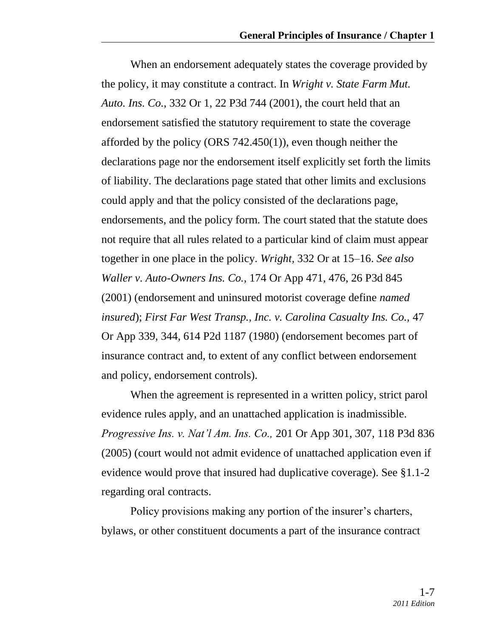When an endorsement adequately states the coverage provided by the policy, it may constitute a contract. In *Wright v. State Farm Mut. Auto. Ins. Co.,* 332 Or 1, 22 P3d 744 (2001), the court held that an endorsement satisfied the statutory requirement to state the coverage afforded by the policy (ORS 742.450(1)), even though neither the declarations page nor the endorsement itself explicitly set forth the limits of liability. The declarations page stated that other limits and exclusions could apply and that the policy consisted of the declarations page, endorsements, and the policy form. The court stated that the statute does not require that all rules related to a particular kind of claim must appear together in one place in the policy. *Wright,* 332 Or at 15–16. *See also Waller v. Auto-Owners Ins. Co.,* 174 Or App 471, 476, 26 P3d 845 (2001) (endorsement and uninsured motorist coverage define *named insured*); *First Far West Transp., Inc. v. Carolina Casualty Ins. Co.,* 47 Or App 339, 344, 614 P2d 1187 (1980) (endorsement becomes part of insurance contract and, to extent of any conflict between endorsement and policy, endorsement controls).

When the agreement is represented in a written policy, strict parol evidence rules apply, and an unattached application is inadmissible. *Progressive Ins. v. Nat'l Am. Ins. Co.,* 201 Or App 301, 307, 118 P3d 836 (2005) (court would not admit evidence of unattached application even if evidence would prove that insured had duplicative coverage). See §1.1-2 regarding oral contracts.

Policy provisions making any portion of the insurer's charters, bylaws, or other constituent documents a part of the insurance contract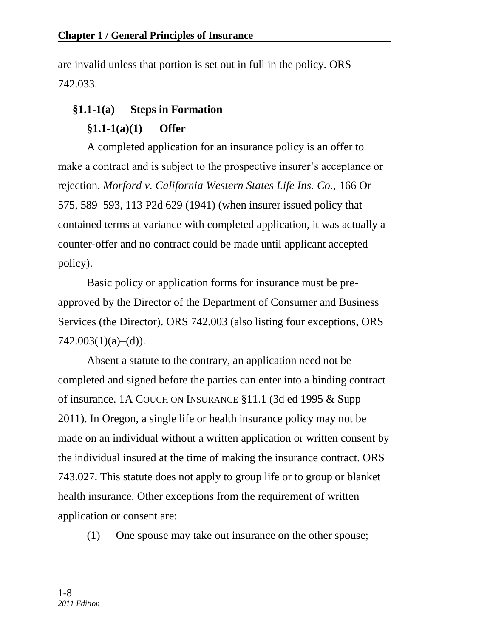are invalid unless that portion is set out in full in the policy. ORS 742.033.

# **§1.1-1(a) Steps in Formation**

## **§1.1-1(a)(1) Offer**

A completed application for an insurance policy is an offer to make a contract and is subject to the prospective insurer's acceptance or rejection. *Morford v. California Western States Life Ins. Co.,* 166 Or 575, 589–593, 113 P2d 629 (1941) (when insurer issued policy that contained terms at variance with completed application, it was actually a counter-offer and no contract could be made until applicant accepted policy).

Basic policy or application forms for insurance must be preapproved by the Director of the Department of Consumer and Business Services (the Director). ORS 742.003 (also listing four exceptions, ORS  $742.003(1)(a)–(d)$ ).

Absent a statute to the contrary, an application need not be completed and signed before the parties can enter into a binding contract of insurance. 1A COUCH ON INSURANCE §11.1 (3d ed 1995 & Supp 2011). In Oregon, a single life or health insurance policy may not be made on an individual without a written application or written consent by the individual insured at the time of making the insurance contract. ORS 743.027. This statute does not apply to group life or to group or blanket health insurance. Other exceptions from the requirement of written application or consent are:

(1) One spouse may take out insurance on the other spouse;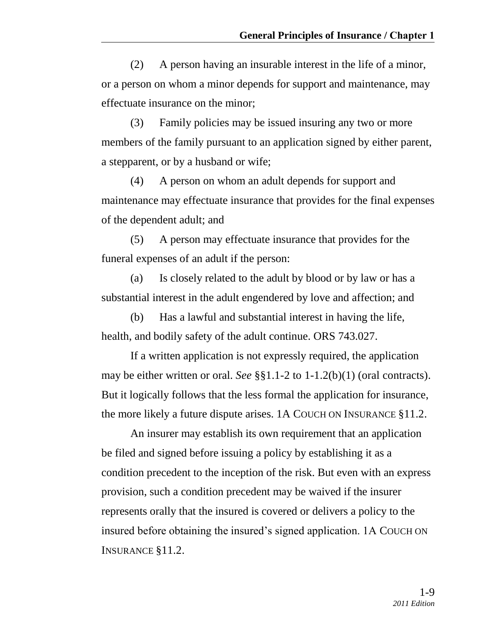(2) A person having an insurable interest in the life of a minor, or a person on whom a minor depends for support and maintenance, may effectuate insurance on the minor;

(3) Family policies may be issued insuring any two or more members of the family pursuant to an application signed by either parent, a stepparent, or by a husband or wife;

(4) A person on whom an adult depends for support and maintenance may effectuate insurance that provides for the final expenses of the dependent adult; and

(5) A person may effectuate insurance that provides for the funeral expenses of an adult if the person:

(a) Is closely related to the adult by blood or by law or has a substantial interest in the adult engendered by love and affection; and

(b) Has a lawful and substantial interest in having the life, health, and bodily safety of the adult continue. ORS 743.027.

If a written application is not expressly required, the application may be either written or oral. *See* §§1.1-2 to 1-1.2(b)(1) (oral contracts). But it logically follows that the less formal the application for insurance, the more likely a future dispute arises. 1A COUCH ON INSURANCE §11.2.

An insurer may establish its own requirement that an application be filed and signed before issuing a policy by establishing it as a condition precedent to the inception of the risk. But even with an express provision, such a condition precedent may be waived if the insurer represents orally that the insured is covered or delivers a policy to the insured before obtaining the insured's signed application. 1A COUCH ON INSURANCE §11.2.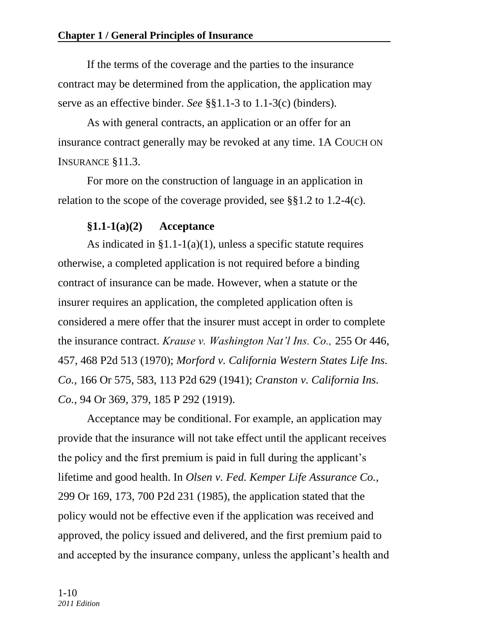If the terms of the coverage and the parties to the insurance contract may be determined from the application, the application may serve as an effective binder. *See* §§1.1-3 to 1.1-3(c) (binders).

As with general contracts, an application or an offer for an insurance contract generally may be revoked at any time. 1A COUCH ON INSURANCE §11.3.

For more on the construction of language in an application in relation to the scope of the coverage provided, see §§1.2 to 1.2-4(c).

### **§1.1-1(a)(2) Acceptance**

As indicated in  $\S1.1-1(a)(1)$ , unless a specific statute requires otherwise, a completed application is not required before a binding contract of insurance can be made. However, when a statute or the insurer requires an application, the completed application often is considered a mere offer that the insurer must accept in order to complete the insurance contract. *Krause v. Washington Nat'l Ins. Co.,* 255 Or 446, 457, 468 P2d 513 (1970); *Morford v. California Western States Life Ins. Co.,* 166 Or 575, 583, 113 P2d 629 (1941); *Cranston v. California Ins. Co.,* 94 Or 369, 379, 185 P 292 (1919).

Acceptance may be conditional. For example, an application may provide that the insurance will not take effect until the applicant receives the policy and the first premium is paid in full during the applicant's lifetime and good health. In *Olsen v. Fed. Kemper Life Assurance Co.,* 299 Or 169, 173, 700 P2d 231 (1985), the application stated that the policy would not be effective even if the application was received and approved, the policy issued and delivered, and the first premium paid to and accepted by the insurance company, unless the applicant's health and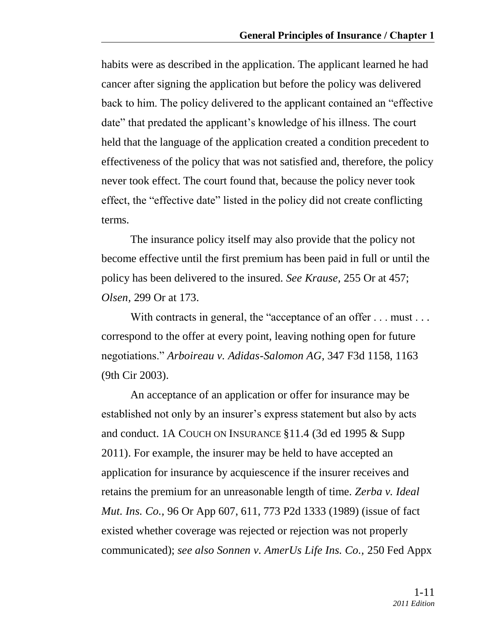habits were as described in the application. The applicant learned he had cancer after signing the application but before the policy was delivered back to him. The policy delivered to the applicant contained an "effective" date" that predated the applicant's knowledge of his illness. The court held that the language of the application created a condition precedent to effectiveness of the policy that was not satisfied and, therefore, the policy never took effect. The court found that, because the policy never took effect, the "effective date" listed in the policy did not create conflicting terms.

The insurance policy itself may also provide that the policy not become effective until the first premium has been paid in full or until the policy has been delivered to the insured. *See Krause,* 255 Or at 457; *Olsen,* 299 Or at 173.

With contracts in general, the "acceptance of an offer  $\dots$  must  $\dots$ correspond to the offer at every point, leaving nothing open for future negotiations.‖ *Arboireau v. Adidas-Salomon AG,* 347 F3d 1158, 1163 (9th Cir 2003).

An acceptance of an application or offer for insurance may be established not only by an insurer's express statement but also by acts and conduct. 1A COUCH ON INSURANCE §11.4 (3d ed 1995 & Supp 2011). For example, the insurer may be held to have accepted an application for insurance by acquiescence if the insurer receives and retains the premium for an unreasonable length of time. *Zerba v. Ideal Mut. Ins. Co.,* 96 Or App 607, 611, 773 P2d 1333 (1989) (issue of fact existed whether coverage was rejected or rejection was not properly communicated); *see also Sonnen v. AmerUs Life Ins. Co.,* 250 Fed Appx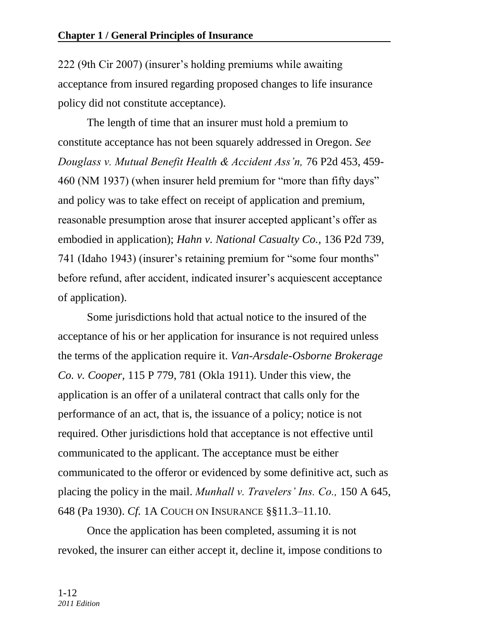222 (9th Cir 2007) (insurer's holding premiums while awaiting acceptance from insured regarding proposed changes to life insurance policy did not constitute acceptance).

The length of time that an insurer must hold a premium to constitute acceptance has not been squarely addressed in Oregon. *See Douglass v. Mutual Benefit Health & Accident Ass'n,* 76 P2d 453, 459- 460 (NM 1937) (when insurer held premium for "more than fifty days" and policy was to take effect on receipt of application and premium, reasonable presumption arose that insurer accepted applicant's offer as embodied in application); *Hahn v. National Casualty Co.,* 136 P2d 739, 741 (Idaho 1943) (insurer's retaining premium for "some four months" before refund, after accident, indicated insurer's acquiescent acceptance of application).

Some jurisdictions hold that actual notice to the insured of the acceptance of his or her application for insurance is not required unless the terms of the application require it. *Van-Arsdale-Osborne Brokerage Co. v. Cooper,* 115 P 779, 781 (Okla 1911). Under this view, the application is an offer of a unilateral contract that calls only for the performance of an act, that is, the issuance of a policy; notice is not required. Other jurisdictions hold that acceptance is not effective until communicated to the applicant. The acceptance must be either communicated to the offeror or evidenced by some definitive act, such as placing the policy in the mail. *Munhall v. Travelers' Ins. Co.,* 150 A 645, 648 (Pa 1930). *Cf.* 1A COUCH ON INSURANCE §§11.3–11.10.

Once the application has been completed, assuming it is not revoked, the insurer can either accept it, decline it, impose conditions to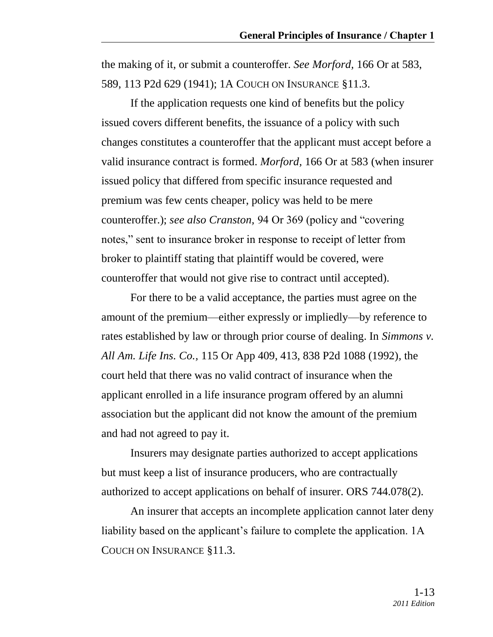the making of it, or submit a counteroffer. *See Morford,* 166 Or at 583, 589, 113 P2d 629 (1941); 1A COUCH ON INSURANCE §11.3.

If the application requests one kind of benefits but the policy issued covers different benefits, the issuance of a policy with such changes constitutes a counteroffer that the applicant must accept before a valid insurance contract is formed. *Morford,* 166 Or at 583 (when insurer issued policy that differed from specific insurance requested and premium was few cents cheaper, policy was held to be mere counteroffer.); *see also Cranston*, 94 Or 369 (policy and "covering" notes," sent to insurance broker in response to receipt of letter from broker to plaintiff stating that plaintiff would be covered, were counteroffer that would not give rise to contract until accepted).

For there to be a valid acceptance, the parties must agree on the amount of the premium—either expressly or impliedly—by reference to rates established by law or through prior course of dealing. In *Simmons v. All Am. Life Ins. Co.,* 115 Or App 409, 413, 838 P2d 1088 (1992)*,* the court held that there was no valid contract of insurance when the applicant enrolled in a life insurance program offered by an alumni association but the applicant did not know the amount of the premium and had not agreed to pay it.

Insurers may designate parties authorized to accept applications but must keep a list of insurance producers, who are contractually authorized to accept applications on behalf of insurer. ORS 744.078(2).

An insurer that accepts an incomplete application cannot later deny liability based on the applicant's failure to complete the application. 1A COUCH ON INSURANCE §11.3.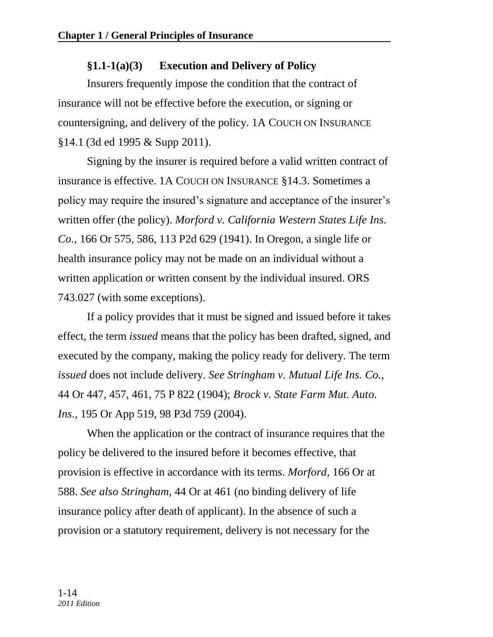## **§1.1-1(a)(3) Execution and Delivery of Policy**

Insurers frequently impose the condition that the contract of insurance will not be effective before the execution, or signing or countersigning, and delivery of the policy. 1A COUCH ON INSURANCE §14.1 (3d ed 1995 & Supp 2011).

Signing by the insurer is required before a valid written contract of insurance is effective. 1A COUCH ON INSURANCE §14.3. Sometimes a policy may require the insured's signature and acceptance of the insurer's written offer (the policy). *Morford v. California Western States Life Ins. Co.,* 166 Or 575, 586, 113 P2d 629 (1941). In Oregon, a single life or health insurance policy may not be made on an individual without a written application or written consent by the individual insured. ORS 743.027 (with some exceptions).

If a policy provides that it must be signed and issued before it takes effect, the term *issued* means that the policy has been drafted, signed, and executed by the company, making the policy ready for delivery. The term *issued* does not include delivery. *See Stringham v. Mutual Life Ins. Co.,* 44 Or 447, 457, 461, 75 P 822 (1904); *Brock v. State Farm Mut. Auto. Ins.,* 195 Or App 519, 98 P3d 759 (2004).

When the application or the contract of insurance requires that the policy be delivered to the insured before it becomes effective, that provision is effective in accordance with its terms. *Morford,* 166 Or at 588. *See also Stringham,* 44 Or at 461 (no binding delivery of life insurance policy after death of applicant). In the absence of such a provision or a statutory requirement, delivery is not necessary for the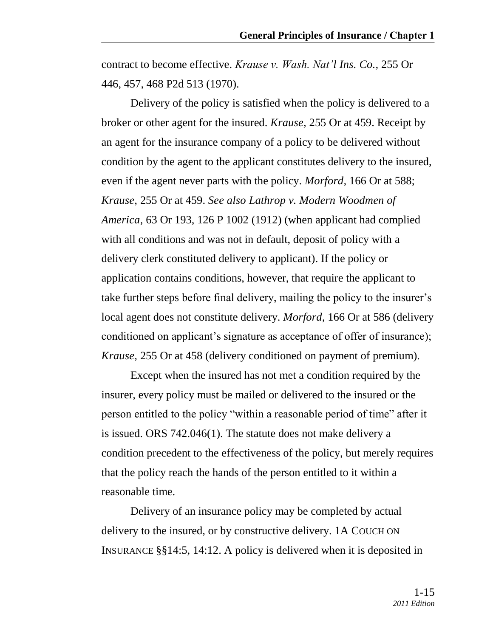contract to become effective. *Krause v. Wash. Nat'l Ins. Co.,* 255 Or 446, 457, 468 P2d 513 (1970).

Delivery of the policy is satisfied when the policy is delivered to a broker or other agent for the insured. *Krause,* 255 Or at 459. Receipt by an agent for the insurance company of a policy to be delivered without condition by the agent to the applicant constitutes delivery to the insured, even if the agent never parts with the policy. *Morford,* 166 Or at 588; *Krause,* 255 Or at 459. *See also Lathrop v. Modern Woodmen of America,* 63 Or 193, 126 P 1002 (1912) (when applicant had complied with all conditions and was not in default, deposit of policy with a delivery clerk constituted delivery to applicant). If the policy or application contains conditions, however, that require the applicant to take further steps before final delivery, mailing the policy to the insurer's local agent does not constitute delivery. *Morford,* 166 Or at 586 (delivery conditioned on applicant's signature as acceptance of offer of insurance); *Krause,* 255 Or at 458 (delivery conditioned on payment of premium).

Except when the insured has not met a condition required by the insurer, every policy must be mailed or delivered to the insured or the person entitled to the policy "within a reasonable period of time" after it is issued. ORS 742.046(1). The statute does not make delivery a condition precedent to the effectiveness of the policy, but merely requires that the policy reach the hands of the person entitled to it within a reasonable time.

Delivery of an insurance policy may be completed by actual delivery to the insured, or by constructive delivery. 1A COUCH ON INSURANCE §§14:5, 14:12. A policy is delivered when it is deposited in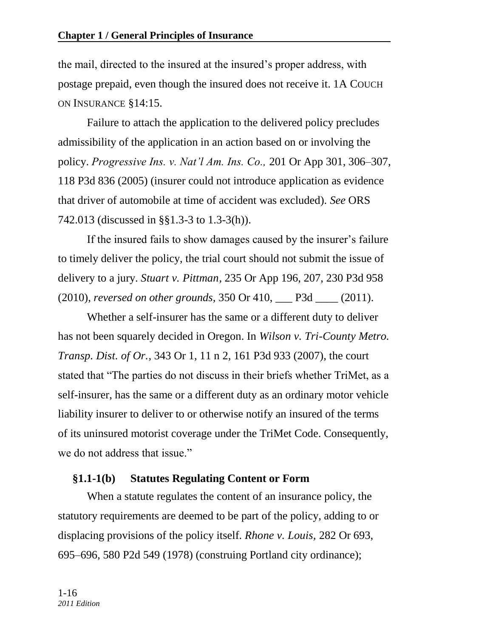the mail, directed to the insured at the insured's proper address, with postage prepaid, even though the insured does not receive it. 1A COUCH ON INSURANCE §14:15.

Failure to attach the application to the delivered policy precludes admissibility of the application in an action based on or involving the policy. *Progressive Ins. v. Nat'l Am. Ins. Co.,* 201 Or App 301, 306–307, 118 P3d 836 (2005) (insurer could not introduce application as evidence that driver of automobile at time of accident was excluded). *See* ORS 742.013 (discussed in §§1.3-3 to 1.3-3(h)).

If the insured fails to show damages caused by the insurer's failure to timely deliver the policy, the trial court should not submit the issue of delivery to a jury. *Stuart v. Pittman,* 235 Or App 196, 207, 230 P3d 958 (2010), *reversed on other grounds,* 350 Or 410, \_\_\_ P3d \_\_\_\_ (2011).

Whether a self-insurer has the same or a different duty to deliver has not been squarely decided in Oregon. In *Wilson v. Tri-County Metro. Transp. Dist. of Or.,* 343 Or 1, 11 n 2, 161 P3d 933 (2007), the court stated that "The parties do not discuss in their briefs whether TriMet, as a self-insurer, has the same or a different duty as an ordinary motor vehicle liability insurer to deliver to or otherwise notify an insured of the terms of its uninsured motorist coverage under the TriMet Code. Consequently, we do not address that issue."

#### **§1.1-1(b) Statutes Regulating Content or Form**

When a statute regulates the content of an insurance policy, the statutory requirements are deemed to be part of the policy, adding to or displacing provisions of the policy itself. *Rhone v. Louis,* 282 Or 693, 695–696, 580 P2d 549 (1978) (construing Portland city ordinance);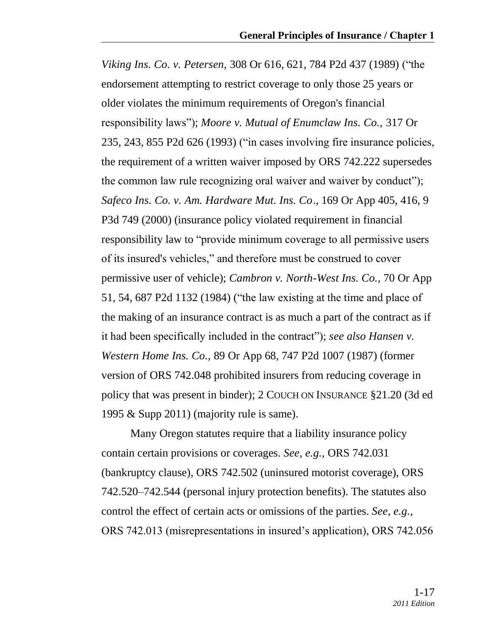*Viking Ins. Co. v. Petersen,* 308 Or 616, 621, 784 P2d 437 (1989) ("the endorsement attempting to restrict coverage to only those 25 years or older violates the minimum requirements of Oregon's financial responsibility laws"); *Moore v. Mutual of Enumclaw Ins. Co.*, 317 Or 235, 243, 855 P2d 626 (1993) ("in cases involving fire insurance policies, the requirement of a written waiver imposed by [ORS 742.222](http://www.lexis.com/research/buttonTFLink?_m=b653f8134b5f913b9a08d423d53a58c0&_xfercite=%3ccite%20cc%3d%22USA%22%3e%3c%21%5bCDATA%5b317%20Ore.%20235%5d%5d%3e%3c%2fcite%3e&_butType=4&_butStat=0&_butNum=57&_butInline=1&_butinfo=OR.%20REV.%20STAT.%20742.222&_fmtstr=FULL&docnum=1&_startdoc=1&wchp=dGLzVzW-zSkAA&_md5=9fd4a895476717b8e0fd8ca92afa1eba) supersedes the common law rule recognizing oral waiver and waiver by conduct"); *Safeco Ins. Co. v. Am. Hardware Mut. Ins. Co*., 169 Or App 405, 416, 9 P3d 749 (2000) (insurance policy violated requirement in financial responsibility law to "provide minimum coverage to all permissive users" of its insured's vehicles," and therefore must be construed to cover permissive user of vehicle); *Cambron v. North-West Ins. Co.,* 70 Or App 51, 54, 687 P2d 1132 (1984) ("the law existing at the time and place of the making of an insurance contract is as much a part of the contract as if it had been specifically included in the contract"); *see also Hansen v. Western Home Ins. Co.,* 89 Or App 68, 747 P2d 1007 (1987) (former version of ORS 742.048 prohibited insurers from reducing coverage in policy that was present in binder); 2 COUCH ON INSURANCE §21.20 (3d ed 1995 & Supp 2011) (majority rule is same).

Many Oregon statutes require that a liability insurance policy contain certain provisions or coverages. *See, e.g.,* ORS 742.031 (bankruptcy clause), ORS 742.502 (uninsured motorist coverage), ORS 742.520–742.544 (personal injury protection benefits). The statutes also control the effect of certain acts or omissions of the parties. *See, e.g.,* ORS 742.013 (misrepresentations in insured's application), ORS 742.056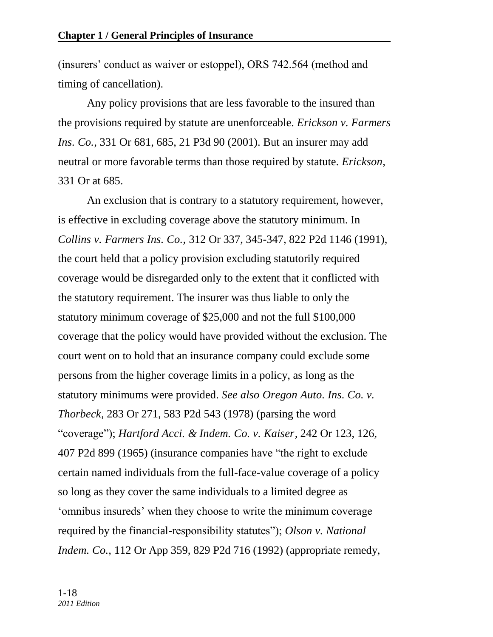(insurers' conduct as waiver or estoppel), ORS 742.564 (method and timing of cancellation).

Any policy provisions that are less favorable to the insured than the provisions required by statute are unenforceable. *Erickson v. Farmers Ins. Co.,* 331 Or 681, 685, 21 P3d 90 (2001). But an insurer may add neutral or more favorable terms than those required by statute. *Erickson,* 331 Or at 685.

An exclusion that is contrary to a statutory requirement, however, is effective in excluding coverage above the statutory minimum. In *Collins v. Farmers Ins. Co.,* 312 Or 337, 345-347, 822 P2d 1146 (1991), the court held that a policy provision excluding statutorily required coverage would be disregarded only to the extent that it conflicted with the statutory requirement. The insurer was thus liable to only the statutory minimum coverage of \$25,000 and not the full \$100,000 coverage that the policy would have provided without the exclusion. The court went on to hold that an insurance company could exclude some persons from the higher coverage limits in a policy, as long as the statutory minimums were provided. *See also Oregon Auto. Ins. Co. v. Thorbeck,* 283 Or 271, 583 P2d 543 (1978) (parsing the word ―coverage‖); *Hartford Acci. & Indem. Co. v. Kaiser,* 242 Or 123, 126, 407 P2d 899 (1965) (insurance companies have "the right to exclude certain named individuals from the full-face-value coverage of a policy so long as they cover the same individuals to a limited degree as ‗omnibus insureds' when they choose to write the minimum coverage required by the financial-responsibility statutes"); *Olson v. National Indem. Co.,* 112 Or App 359, 829 P2d 716 (1992) (appropriate remedy,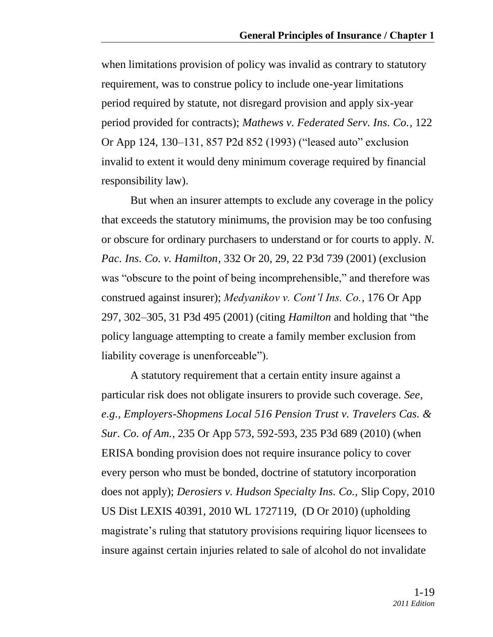when limitations provision of policy was invalid as contrary to statutory requirement, was to construe policy to include one-year limitations period required by statute, not disregard provision and apply six-year period provided for contracts); *Mathews v. Federated Serv. Ins. Co.,* 122 Or App 124, 130–131, 857 P2d 852 (1993) ("leased auto" exclusion invalid to extent it would deny minimum coverage required by financial responsibility law).

But when an insurer attempts to exclude any coverage in the policy that exceeds the statutory minimums, the provision may be too confusing or obscure for ordinary purchasers to understand or for courts to apply. *N. Pac. Ins. Co. v. Hamilton,* 332 Or 20, 29, 22 P3d 739 (2001) (exclusion was "obscure to the point of being incomprehensible," and therefore was construed against insurer); *Medyanikov v. Cont'l Ins. Co.,* 176 Or App 297, 302–305, 31 P3d 495 (2001) (citing *Hamilton* and holding that "the policy language attempting to create a family member exclusion from liability coverage is unenforceable").

A statutory requirement that a certain entity insure against a particular risk does not obligate insurers to provide such coverage. *See, e.g., Employers-Shopmens Local 516 Pension Trust v. Travelers Cas. & Sur. Co. of Am.,* 235 Or App 573, 592-593, 235 P3d 689 (2010) (when ERISA bonding provision does not require insurance policy to cover every person who must be bonded, doctrine of statutory incorporation does not apply); *Derosiers v. Hudson Specialty Ins. Co.,* Slip Copy, 2010 US Dist LEXIS 40391, 2010 WL 1727119, (D Or 2010) (upholding magistrate's ruling that statutory provisions requiring liquor licensees to insure against certain injuries related to sale of alcohol do not invalidate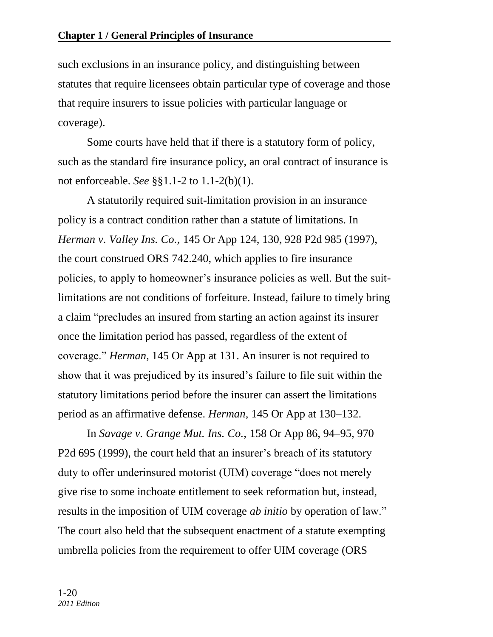such exclusions in an insurance policy, and distinguishing between statutes that require licensees obtain particular type of coverage and those that require insurers to issue policies with particular language or coverage).

Some courts have held that if there is a statutory form of policy, such as the standard fire insurance policy, an oral contract of insurance is not enforceable. *See* §§1.1-2 to 1.1-2(b)(1).

A statutorily required suit-limitation provision in an insurance policy is a contract condition rather than a statute of limitations. In *Herman v. Valley Ins. Co.,* 145 Or App 124, 130, 928 P2d 985 (1997), the court construed ORS 742.240, which applies to fire insurance policies, to apply to homeowner's insurance policies as well. But the suitlimitations are not conditions of forfeiture. Instead, failure to timely bring a claim "precludes an insured from starting an action against its insurer once the limitation period has passed, regardless of the extent of coverage." *Herman*, 145 Or App at 131. An insurer is not required to show that it was prejudiced by its insured's failure to file suit within the statutory limitations period before the insurer can assert the limitations period as an affirmative defense. *Herman,* 145 Or App at 130–132.

In *Savage v. Grange Mut. Ins. Co.,* 158 Or App 86, 94–95, 970 P2d 695 (1999), the court held that an insurer's breach of its statutory duty to offer underinsured motorist (UIM) coverage "does not merely give rise to some inchoate entitlement to seek reformation but, instead, results in the imposition of UIM coverage *ab initio* by operation of law." The court also held that the subsequent enactment of a statute exempting umbrella policies from the requirement to offer UIM coverage (ORS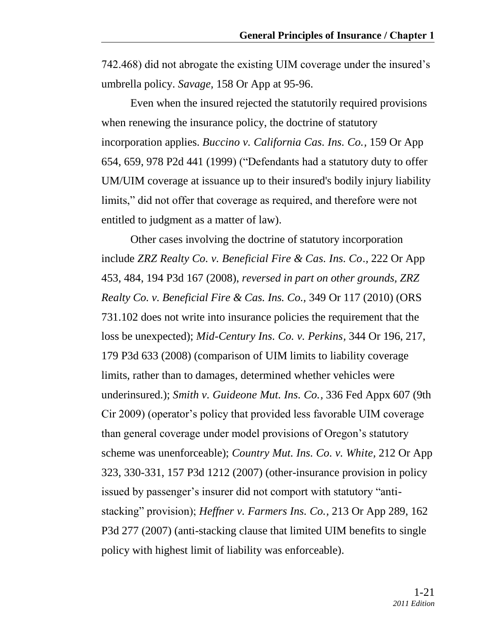742.468) did not abrogate the existing UIM coverage under the insured's umbrella policy. *Savage,* 158 Or App at 95-96.

Even when the insured rejected the statutorily required provisions when renewing the insurance policy, the doctrine of statutory incorporation applies. *Buccino v. California Cas. Ins. Co.,* 159 Or App 654, 659, 978 P2d 441 (1999) ("Defendants had a statutory duty to offer UM/UIM coverage at issuance up to their insured's bodily injury liability limits," did not offer that coverage as required, and therefore were not entitled to judgment as a matter of law).

Other cases involving the doctrine of statutory incorporation include *ZRZ Realty Co. v. Beneficial Fire & Cas. Ins. Co.,* 222 Or App 453, 484, 194 P3d 167 (2008), *reversed in part on other grounds, ZRZ Realty Co. v. Beneficial Fire & Cas. Ins. Co.,* 349 Or 117 (2010) (ORS 731.102 does not write into insurance policies the requirement that the loss be unexpected); *Mid-Century Ins. Co. v. Perkins,* 344 Or 196, 217, 179 P3d 633 (2008) (comparison of UIM limits to liability coverage limits, rather than to damages, determined whether vehicles were underinsured.); *Smith v. Guideone Mut. Ins. Co.,* 336 Fed Appx 607 (9th Cir 2009) (operator's policy that provided less favorable UIM coverage than general coverage under model provisions of Oregon's statutory scheme was unenforceable); *Country Mut. Ins. Co. v. White,* 212 Or App 323, 330-331, 157 P3d 1212 (2007) (other-insurance provision in policy issued by passenger's insurer did not comport with statutory "antistacking" provision); *Heffner v. Farmers Ins. Co.*, 213 Or App 289, 162 P3d 277 (2007) (anti-stacking clause that limited UIM benefits to single policy with highest limit of liability was enforceable).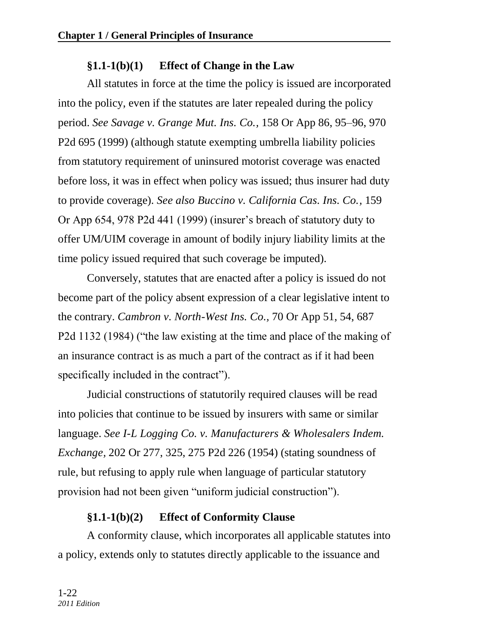## **§1.1-1(b)(1) Effect of Change in the Law**

All statutes in force at the time the policy is issued are incorporated into the policy, even if the statutes are later repealed during the policy period. *See Savage v. Grange Mut. Ins. Co.,* 158 Or App 86, 95–96, 970 P2d 695 (1999) (although statute exempting umbrella liability policies from statutory requirement of uninsured motorist coverage was enacted before loss, it was in effect when policy was issued; thus insurer had duty to provide coverage). *See also Buccino v. California Cas. Ins. Co.,* 159 Or App 654, 978 P2d 441 (1999) (insurer's breach of statutory duty to offer UM/UIM coverage in amount of bodily injury liability limits at the time policy issued required that such coverage be imputed).

Conversely, statutes that are enacted after a policy is issued do not become part of the policy absent expression of a clear legislative intent to the contrary. *Cambron v. North-West Ins. Co.,* 70 Or App 51, 54, 687 P2d 1132 (1984) ("the law existing at the time and place of the making of an insurance contract is as much a part of the contract as if it had been specifically included in the contract".

Judicial constructions of statutorily required clauses will be read into policies that continue to be issued by insurers with same or similar language. *See I-L Logging Co. v. Manufacturers & Wholesalers Indem. Exchange,* 202 Or 277, 325, 275 P2d 226 (1954) (stating soundness of rule, but refusing to apply rule when language of particular statutory provision had not been given "uniform judicial construction").

### **§1.1-1(b)(2) Effect of Conformity Clause**

A conformity clause, which incorporates all applicable statutes into a policy, extends only to statutes directly applicable to the issuance and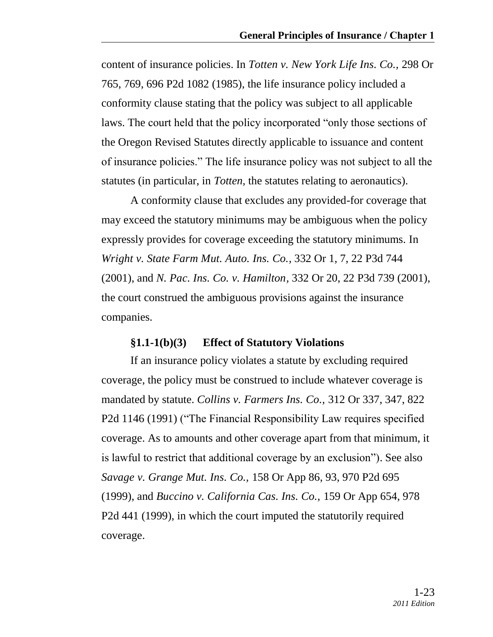content of insurance policies. In *Totten v. New York Life Ins. Co.,* 298 Or 765, 769, 696 P2d 1082 (1985), the life insurance policy included a conformity clause stating that the policy was subject to all applicable laws. The court held that the policy incorporated "only those sections of the Oregon Revised Statutes directly applicable to issuance and content of insurance policies.‖ The life insurance policy was not subject to all the statutes (in particular, in *Totten,* the statutes relating to aeronautics).

A conformity clause that excludes any provided-for coverage that may exceed the statutory minimums may be ambiguous when the policy expressly provides for coverage exceeding the statutory minimums. In *Wright v. State Farm Mut. Auto. Ins. Co.,* 332 Or 1, 7, 22 P3d 744 (2001), and *N. Pac. Ins. Co. v. Hamilton,* 332 Or 20, 22 P3d 739 (2001), the court construed the ambiguous provisions against the insurance companies.

#### **§1.1-1(b)(3) Effect of Statutory Violations**

If an insurance policy violates a statute by excluding required coverage, the policy must be construed to include whatever coverage is mandated by statute. *Collins v. Farmers Ins. Co.,* 312 Or 337, 347, 822 P2d 1146 (1991) ("The Financial Responsibility Law requires specified coverage. As to amounts and other coverage apart from that minimum, it is lawful to restrict that additional coverage by an exclusion"). See also *Savage v. Grange Mut. Ins. Co.,* 158 Or App 86, 93, 970 P2d 695 (1999), and *Buccino v. California Cas. Ins. Co.,* 159 Or App 654, 978 P2d 441 (1999), in which the court imputed the statutorily required coverage.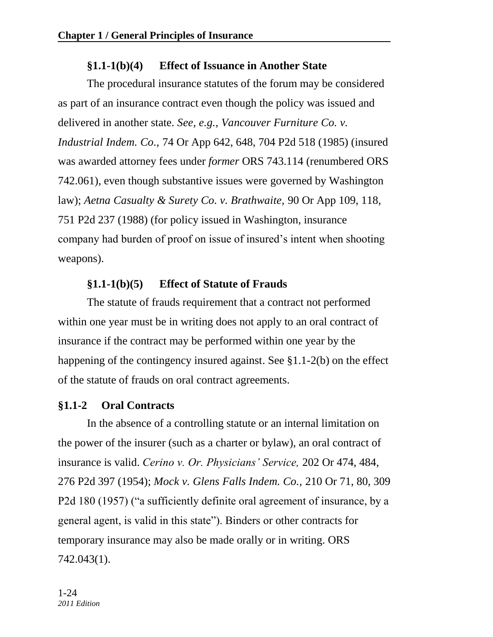## **§1.1-1(b)(4) Effect of Issuance in Another State**

The procedural insurance statutes of the forum may be considered as part of an insurance contract even though the policy was issued and delivered in another state. *See, e.g., Vancouver Furniture Co. v. Industrial Indem. Co.,* 74 Or App 642, 648, 704 P2d 518 (1985) (insured was awarded attorney fees under *former* ORS 743.114 (renumbered ORS 742.061), even though substantive issues were governed by Washington law); *Aetna Casualty & Surety Co. v. Brathwaite,* 90 Or App 109, 118, 751 P2d 237 (1988) (for policy issued in Washington, insurance company had burden of proof on issue of insured's intent when shooting weapons).

## **§1.1-1(b)(5) Effect of Statute of Frauds**

The statute of frauds requirement that a contract not performed within one year must be in writing does not apply to an oral contract of insurance if the contract may be performed within one year by the happening of the contingency insured against. See §1.1-2(b) on the effect of the statute of frauds on oral contract agreements.

### **§1.1-2 Oral Contracts**

In the absence of a controlling statute or an internal limitation on the power of the insurer (such as a charter or bylaw), an oral contract of insurance is valid. *Cerino v. Or. Physicians' Service,* 202 Or 474, 484, 276 P2d 397 (1954); *Mock v. Glens Falls Indem. Co.,* 210 Or 71, 80, 309 P2d 180 (1957) ("a sufficiently definite oral agreement of insurance, by a general agent, is valid in this state"). Binders or other contracts for temporary insurance may also be made orally or in writing. ORS 742.043(1).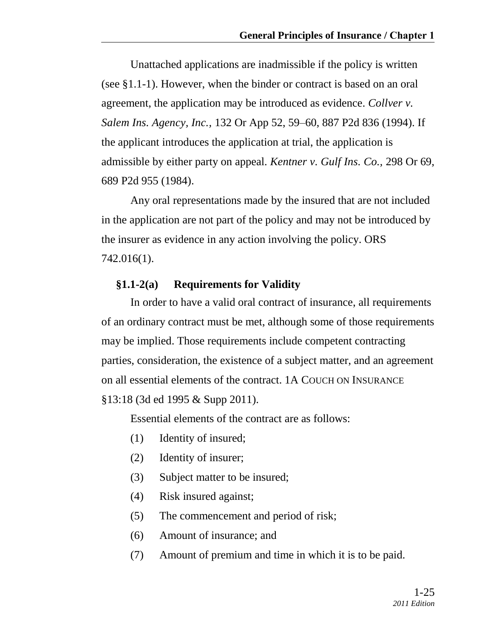Unattached applications are inadmissible if the policy is written (see §1.1-1). However, when the binder or contract is based on an oral agreement, the application may be introduced as evidence. *Collver v. Salem Ins. Agency, Inc.,* 132 Or App 52, 59–60, 887 P2d 836 (1994). If the applicant introduces the application at trial, the application is admissible by either party on appeal. *Kentner v. Gulf Ins. Co.,* 298 Or 69, 689 P2d 955 (1984).

Any oral representations made by the insured that are not included in the application are not part of the policy and may not be introduced by the insurer as evidence in any action involving the policy. ORS 742.016(1).

#### **§1.1-2(a) Requirements for Validity**

In order to have a valid oral contract of insurance, all requirements of an ordinary contract must be met, although some of those requirements may be implied. Those requirements include competent contracting parties, consideration, the existence of a subject matter, and an agreement on all essential elements of the contract. 1A COUCH ON INSURANCE §13:18 (3d ed 1995 & Supp 2011).

Essential elements of the contract are as follows:

- (1) Identity of insured;
- (2) Identity of insurer;
- (3) Subject matter to be insured;
- (4) Risk insured against;
- (5) The commencement and period of risk;
- (6) Amount of insurance; and
- (7) Amount of premium and time in which it is to be paid.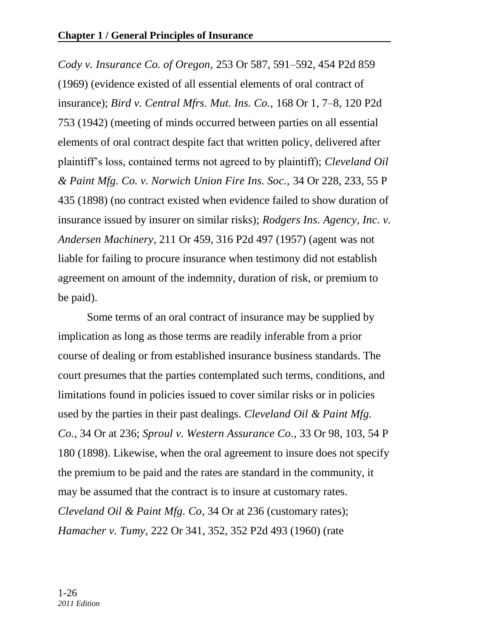*Cody v. Insurance Co. of Oregon,* 253 Or 587, 591–592, 454 P2d 859 (1969) (evidence existed of all essential elements of oral contract of insurance); *Bird v. Central Mfrs. Mut. Ins. Co.,* 168 Or 1, 7–8, 120 P2d 753 (1942) (meeting of minds occurred between parties on all essential elements of oral contract despite fact that written policy, delivered after plaintiff's loss, contained terms not agreed to by plaintiff); *Cleveland Oil & Paint Mfg. Co. v. Norwich Union Fire Ins. Soc.,* 34 Or 228, 233, 55 P 435 (1898) (no contract existed when evidence failed to show duration of insurance issued by insurer on similar risks); *Rodgers Ins. Agency, Inc. v. Andersen Machinery,* 211 Or 459, 316 P2d 497 (1957) (agent was not liable for failing to procure insurance when testimony did not establish agreement on amount of the indemnity, duration of risk, or premium to be paid).

Some terms of an oral contract of insurance may be supplied by implication as long as those terms are readily inferable from a prior course of dealing or from established insurance business standards. The court presumes that the parties contemplated such terms, conditions, and limitations found in policies issued to cover similar risks or in policies used by the parties in their past dealings. *Cleveland Oil & Paint Mfg. Co.,* 34 Or at 236; *Sproul v. Western Assurance Co.,* 33 Or 98, 103, 54 P 180 (1898). Likewise, when the oral agreement to insure does not specify the premium to be paid and the rates are standard in the community, it may be assumed that the contract is to insure at customary rates. *Cleveland Oil & Paint Mfg. Co,* 34 Or at 236 (customary rates); *Hamacher v. Tumy,* 222 Or 341, 352, 352 P2d 493 (1960) (rate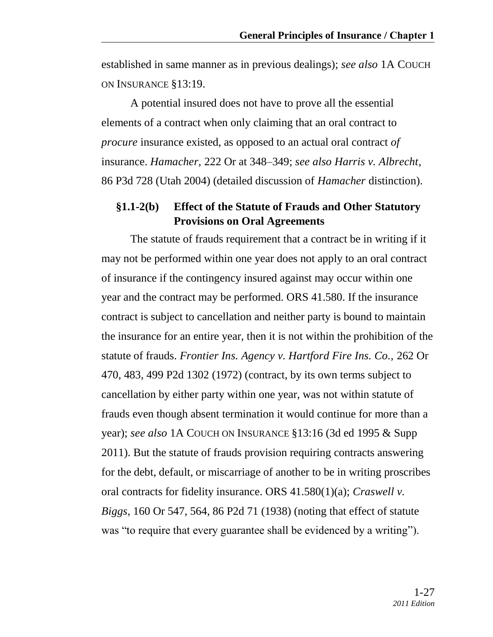established in same manner as in previous dealings); *see also* 1A COUCH ON INSURANCE §13:19.

A potential insured does not have to prove all the essential elements of a contract when only claiming that an oral contract to *procure* insurance existed, as opposed to an actual oral contract *of* insurance. *Hamacher,* 222 Or at 348–349; *see also Harris v. Albrecht,*  86 P3d 728 (Utah 2004) (detailed discussion of *Hamacher* distinction).

#### **§1.1-2(b) Effect of the Statute of Frauds and Other Statutory Provisions on Oral Agreements**

The statute of frauds requirement that a contract be in writing if it may not be performed within one year does not apply to an oral contract of insurance if the contingency insured against may occur within one year and the contract may be performed. ORS 41.580. If the insurance contract is subject to cancellation and neither party is bound to maintain the insurance for an entire year, then it is not within the prohibition of the statute of frauds. *Frontier Ins. Agency v. Hartford Fire Ins. Co.,* 262 Or 470, 483, 499 P2d 1302 (1972) (contract, by its own terms subject to cancellation by either party within one year, was not within statute of frauds even though absent termination it would continue for more than a year); *see also* 1A COUCH ON INSURANCE §13:16 (3d ed 1995 & Supp 2011). But the statute of frauds provision requiring contracts answering for the debt, default, or miscarriage of another to be in writing proscribes oral contracts for fidelity insurance. ORS 41.580(1)(a); *Craswell v. Biggs,* 160 Or 547, 564, 86 P2d 71 (1938) (noting that effect of statute was "to require that every guarantee shall be evidenced by a writing".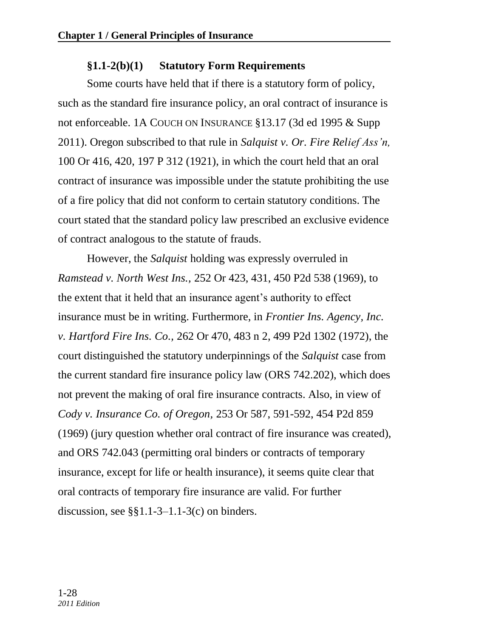## **§1.1-2(b)(1) Statutory Form Requirements**

Some courts have held that if there is a statutory form of policy, such as the standard fire insurance policy, an oral contract of insurance is not enforceable. 1A COUCH ON INSURANCE §13.17 (3d ed 1995 & Supp 2011). Oregon subscribed to that rule in *Salquist v. Or. Fire Relief Ass'n,* 100 Or 416, 420, 197 P 312 (1921), in which the court held that an oral contract of insurance was impossible under the statute prohibiting the use of a fire policy that did not conform to certain statutory conditions. The court stated that the standard policy law prescribed an exclusive evidence of contract analogous to the statute of frauds.

However, the *Salquist* holding was expressly overruled in *Ramstead v. North West Ins.,* 252 Or 423, 431, 450 P2d 538 (1969), to the extent that it held that an insurance agent's authority to effect insurance must be in writing. Furthermore, in *Frontier Ins. Agency, Inc. v. Hartford Fire Ins. Co.,* 262 Or 470, 483 n 2, 499 P2d 1302 (1972), the court distinguished the statutory underpinnings of the *Salquist* case from the current standard fire insurance policy law (ORS 742.202), which does not prevent the making of oral fire insurance contracts. Also, in view of *Cody v. Insurance Co. of Oregon,* 253 Or 587, 591-592, 454 P2d 859 (1969) (jury question whether oral contract of fire insurance was created), and ORS 742.043 (permitting oral binders or contracts of temporary insurance, except for life or health insurance), it seems quite clear that oral contracts of temporary fire insurance are valid. For further discussion, see  $\S$ §1.1-3–1.1-3(c) on binders.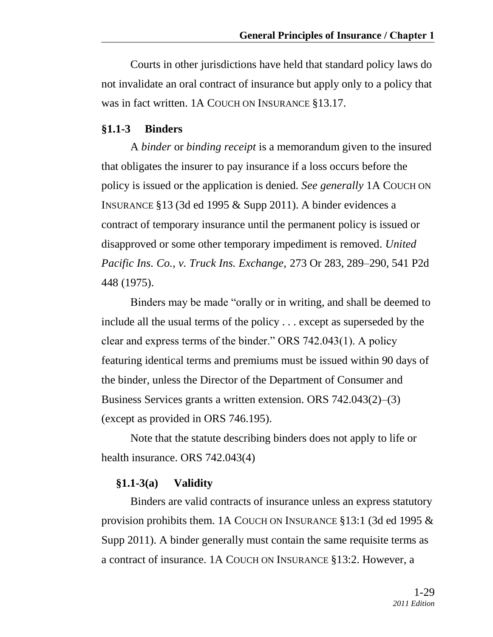Courts in other jurisdictions have held that standard policy laws do not invalidate an oral contract of insurance but apply only to a policy that was in fact written. 1A COUCH ON INSURANCE §13.17.

#### **§1.1-3 Binders**

A *binder* or *binding receipt* is a memorandum given to the insured that obligates the insurer to pay insurance if a loss occurs before the policy is issued or the application is denied. *See generally* 1A COUCH ON INSURANCE §13 (3d ed 1995 & Supp 2011). A binder evidences a contract of temporary insurance until the permanent policy is issued or disapproved or some other temporary impediment is removed. *United Pacific Ins. Co., v. Truck Ins. Exchange,* 273 Or 283, 289–290, 541 P2d 448 (1975).

Binders may be made "orally or in writing, and shall be deemed to include all the usual terms of the policy . . . except as superseded by the clear and express terms of the binder." ORS  $742.043(1)$ . A policy featuring identical terms and premiums must be issued within 90 days of the binder, unless the Director of the Department of Consumer and Business Services grants a written extension. ORS 742.043(2)–(3) (except as provided in ORS 746.195).

Note that the statute describing binders does not apply to life or health insurance. ORS 742.043(4)

#### **§1.1-3(a) Validity**

Binders are valid contracts of insurance unless an express statutory provision prohibits them. 1A COUCH ON INSURANCE §13:1 (3d ed 1995 & Supp 2011). A binder generally must contain the same requisite terms as a contract of insurance. 1A COUCH ON INSURANCE §13:2. However, a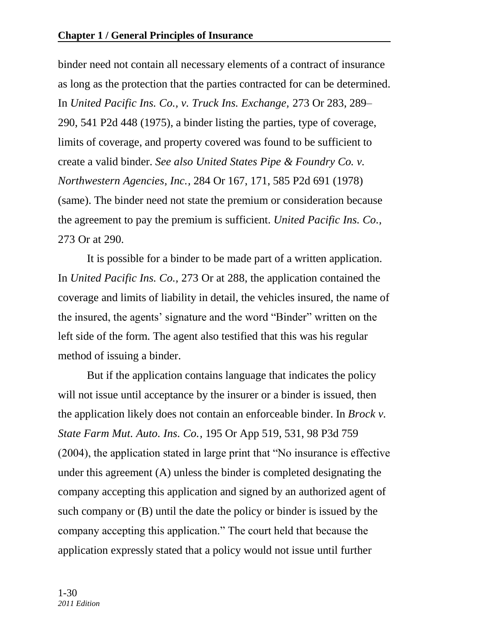binder need not contain all necessary elements of a contract of insurance as long as the protection that the parties contracted for can be determined. In *United Pacific Ins. Co., v. Truck Ins. Exchange,* 273 Or 283, 289– 290, 541 P2d 448 (1975), a binder listing the parties, type of coverage, limits of coverage, and property covered was found to be sufficient to create a valid binder. *See also United States Pipe & Foundry Co. v. Northwestern Agencies, Inc.,* 284 Or 167, 171, 585 P2d 691 (1978) (same). The binder need not state the premium or consideration because the agreement to pay the premium is sufficient. *United Pacific Ins. Co.,* 273 Or at 290*.*

It is possible for a binder to be made part of a written application. In *United Pacific Ins. Co.,* 273 Or at 288, the application contained the coverage and limits of liability in detail, the vehicles insured, the name of the insured, the agents' signature and the word "Binder" written on the left side of the form. The agent also testified that this was his regular method of issuing a binder.

But if the application contains language that indicates the policy will not issue until acceptance by the insurer or a binder is issued, then the application likely does not contain an enforceable binder. In *Brock v. State Farm Mut. Auto. Ins. Co.,* 195 Or App 519, 531, 98 P3d 759  $(2004)$ , the application stated in large print that "No insurance is effective under this agreement (A) unless the binder is completed designating the company accepting this application and signed by an authorized agent of such company or (B) until the date the policy or binder is issued by the company accepting this application." The court held that because the application expressly stated that a policy would not issue until further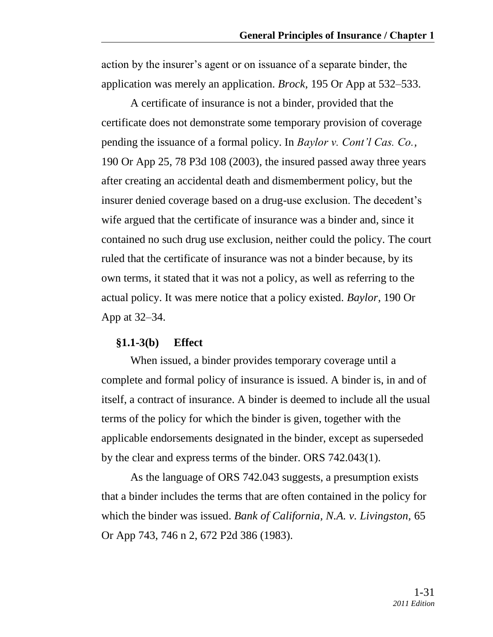action by the insurer's agent or on issuance of a separate binder, the application was merely an application. *Brock,* 195 Or App at 532–533.

A certificate of insurance is not a binder, provided that the certificate does not demonstrate some temporary provision of coverage pending the issuance of a formal policy. In *Baylor v. Cont'l Cas. Co.,* 190 Or App 25, 78 P3d 108 (2003)*,* the insured passed away three years after creating an accidental death and dismemberment policy, but the insurer denied coverage based on a drug-use exclusion. The decedent's wife argued that the certificate of insurance was a binder and, since it contained no such drug use exclusion, neither could the policy. The court ruled that the certificate of insurance was not a binder because, by its own terms, it stated that it was not a policy, as well as referring to the actual policy. It was mere notice that a policy existed. *Baylor,* 190 Or App at 32–34.

#### **§1.1-3(b) Effect**

When issued, a binder provides temporary coverage until a complete and formal policy of insurance is issued. A binder is, in and of itself, a contract of insurance. A binder is deemed to include all the usual terms of the policy for which the binder is given, together with the applicable endorsements designated in the binder, except as superseded by the clear and express terms of the binder. ORS 742.043(1).

As the language of ORS 742.043 suggests, a presumption exists that a binder includes the terms that are often contained in the policy for which the binder was issued. *Bank of California, N.A. v. Livingston,* 65 Or App 743, 746 n 2, 672 P2d 386 (1983).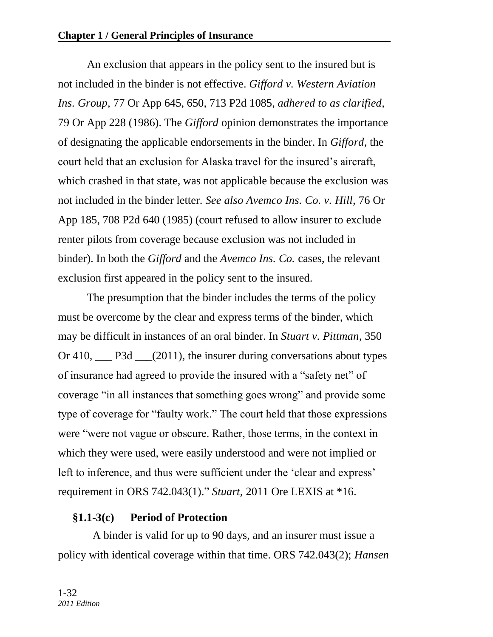An exclusion that appears in the policy sent to the insured but is not included in the binder is not effective. *Gifford v. Western Aviation Ins. Group,* 77 Or App 645, 650, 713 P2d 1085, *adhered to as clarified,* 79 Or App 228 (1986). The *Gifford* opinion demonstrates the importance of designating the applicable endorsements in the binder. In *Gifford,* the court held that an exclusion for Alaska travel for the insured's aircraft, which crashed in that state, was not applicable because the exclusion was not included in the binder letter. *See also Avemco Ins. Co. v. Hill,* 76 Or App 185, 708 P2d 640 (1985) (court refused to allow insurer to exclude renter pilots from coverage because exclusion was not included in binder). In both the *Gifford* and the *Avemco Ins. Co.* cases, the relevant exclusion first appeared in the policy sent to the insured.

The presumption that the binder includes the terms of the policy must be overcome by the clear and express terms of the binder, which may be difficult in instances of an oral binder. In *Stuart v. Pittman,* 350 Or 410, \_\_\_ P3d \_\_\_(2011)*,* the insurer during conversations about types of insurance had agreed to provide the insured with a "safety net" of coverage "in all instances that something goes wrong" and provide some type of coverage for "faulty work." The court held that those expressions were "were not vague or obscure. Rather, those terms, in the context in which they were used, were easily understood and were not implied or left to inference, and thus were sufficient under the 'clear and express' requirement in [ORS 742.043\(1\).](http://www.lexis.com/research/buttonTFLink?_m=48a4c4ffa4213da05166d4480c775637&_xfercite=%3ccite%20cc%3d%22USA%22%3e%3c%21%5bCDATA%5b2011%20Ore.%20LEXIS%20484%5d%5d%3e%3c%2fcite%3e&_butType=4&_butStat=0&_butNum=60&_butInline=1&_butinfo=OR.%20REV.%20STAT.%20742.043&_fmtstr=FULL&docnum=1&_startdoc=1&wchp=dGLbVzV-zSkAW&_md5=f464786b1635a70c710861a07020aabe)" *Stuart*, 2011 Ore LEXIS at \*16.

### **§1.1-3(c) Period of Protection**

 A binder is valid for up to 90 days, and an insurer must issue a policy with identical coverage within that time. ORS 742.043(2); *Hansen*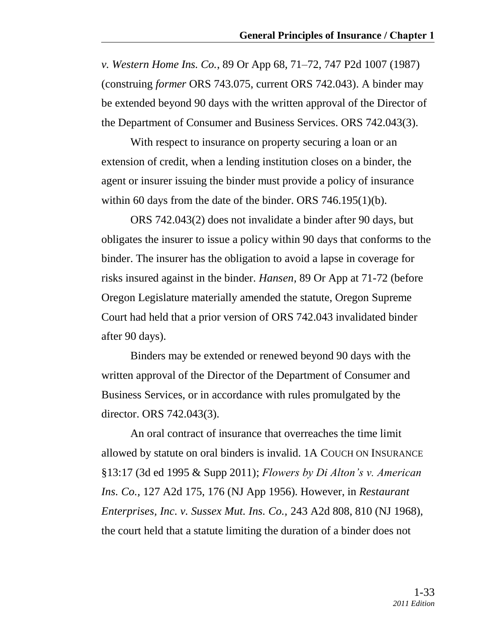*v. Western Home Ins. Co.*, 89 Or App 68, 71–72, 747 P2d 1007 (1987) (construing *former* ORS 743.075, current ORS 742.043). A binder may be extended beyond 90 days with the written approval of the Director of the Department of Consumer and Business Services. ORS 742.043(3).

With respect to insurance on property securing a loan or an extension of credit, when a lending institution closes on a binder, the agent or insurer issuing the binder must provide a policy of insurance within 60 days from the date of the binder. ORS 746.195(1)(b).

ORS 742.043(2) does not invalidate a binder after 90 days, but obligates the insurer to issue a policy within 90 days that conforms to the binder. The insurer has the obligation to avoid a lapse in coverage for risks insured against in the binder. *Hansen,* 89 Or App at 71-72 (before Oregon Legislature materially amended the statute, Oregon Supreme Court had held that a prior version of ORS 742.043 invalidated binder after 90 days).

Binders may be extended or renewed beyond 90 days with the written approval of the Director of the Department of Consumer and Business Services, or in accordance with rules promulgated by the director. ORS 742.043(3).

An oral contract of insurance that overreaches the time limit allowed by statute on oral binders is invalid. 1A COUCH ON INSURANCE §13:17 (3d ed 1995 & Supp 2011); *Flowers by Di Alton's v. American Ins. Co.,* 127 A2d 175, 176 (NJ App 1956). However, in *Restaurant Enterprises, Inc. v. Sussex Mut. Ins. Co.,* 243 A2d 808, 810 (NJ 1968), the court held that a statute limiting the duration of a binder does not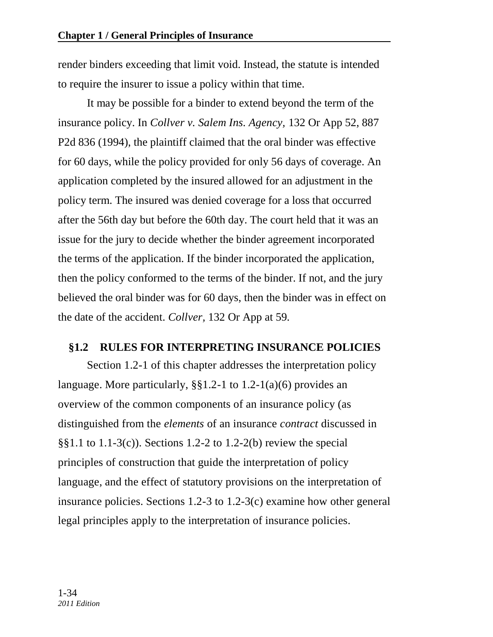render binders exceeding that limit void. Instead, the statute is intended to require the insurer to issue a policy within that time.

It may be possible for a binder to extend beyond the term of the insurance policy. In *Collver v. Salem Ins. Agency,* 132 Or App 52, 887 P2d 836 (1994), the plaintiff claimed that the oral binder was effective for 60 days, while the policy provided for only 56 days of coverage. An application completed by the insured allowed for an adjustment in the policy term. The insured was denied coverage for a loss that occurred after the 56th day but before the 60th day. The court held that it was an issue for the jury to decide whether the binder agreement incorporated the terms of the application. If the binder incorporated the application, then the policy conformed to the terms of the binder. If not, and the jury believed the oral binder was for 60 days, then the binder was in effect on the date of the accident. *Collver,* 132 Or App at 59*.*

#### **§1.2 RULES FOR INTERPRETING INSURANCE POLICIES**

Section 1.2-1 of this chapter addresses the interpretation policy language. More particularly, §§1.2-1 to 1.2-1(a)(6) provides an overview of the common components of an insurance policy (as distinguished from the *elements* of an insurance *contract* discussed in §§1.1 to 1.1-3(c)). Sections 1.2-2 to 1.2-2(b) review the special principles of construction that guide the interpretation of policy language, and the effect of statutory provisions on the interpretation of insurance policies. Sections 1.2-3 to 1.2-3(c) examine how other general legal principles apply to the interpretation of insurance policies.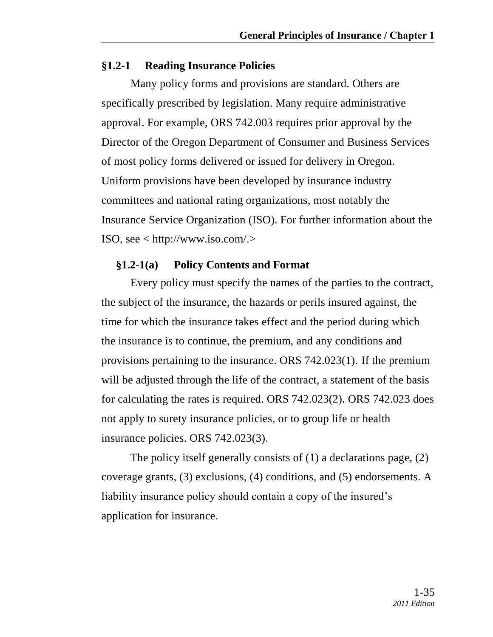#### **§1.2-1 Reading Insurance Policies**

Many policy forms and provisions are standard. Others are specifically prescribed by legislation. Many require administrative approval. For example, ORS 742.003 requires prior approval by the Director of the Oregon Department of Consumer and Business Services of most policy forms delivered or issued for delivery in Oregon. Uniform provisions have been developed by insurance industry committees and national rating organizations, most notably the Insurance Service Organization (ISO). For further information about the ISO, see < http://www.iso.com/.>

#### **§1.2-1(a) Policy Contents and Format**

Every policy must specify the names of the parties to the contract, the subject of the insurance, the hazards or perils insured against, the time for which the insurance takes effect and the period during which the insurance is to continue, the premium, and any conditions and provisions pertaining to the insurance. ORS 742.023(1). If the premium will be adjusted through the life of the contract, a statement of the basis for calculating the rates is required. ORS 742.023(2). ORS 742.023 does not apply to surety insurance policies, or to group life or health insurance policies. ORS 742.023(3).

The policy itself generally consists of (1) a declarations page, (2) coverage grants, (3) exclusions, (4) conditions, and (5) endorsements. A liability insurance policy should contain a copy of the insured's application for insurance.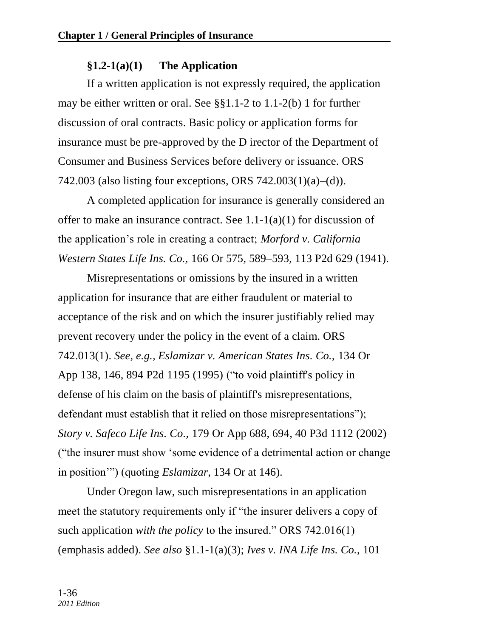## **§1.2-1(a)(1) The Application**

If a written application is not expressly required, the application may be either written or oral. See §§1.1-2 to 1.1-2(b) 1 for further discussion of oral contracts. Basic policy or application forms for insurance must be pre-approved by the D irector of the Department of Consumer and Business Services before delivery or issuance. ORS 742.003 (also listing four exceptions, ORS 742.003(1)(a)–(d)).

A completed application for insurance is generally considered an offer to make an insurance contract. See  $1.1-1(a)(1)$  for discussion of the application's role in creating a contract; *Morford v. California Western States Life Ins. Co.,* 166 Or 575, 589–593, 113 P2d 629 (1941).

Misrepresentations or omissions by the insured in a written application for insurance that are either fraudulent or material to acceptance of the risk and on which the insurer justifiably relied may prevent recovery under the policy in the event of a claim. ORS 742.013(1). *See, e.g., Eslamizar v. American States Ins. Co.,* 134 Or App 138, 146, 894 P2d 1195 (1995) ("to void plaintiff's policy in defense of his claim on the basis of plaintiff's misrepresentations, defendant must establish that it relied on those misrepresentations"); *Story v. Safeco Life Ins. Co.,* 179 Or App 688, 694, 40 P3d 1112 (2002) ("the insurer must show 'some evidence of a detrimental action or change in position'") (quoting *Eslamizar*, 134 Or at 146).

Under Oregon law, such misrepresentations in an application meet the statutory requirements only if "the insurer delivers a copy of such application *with the policy* to the insured." ORS 742.016(1) (emphasis added). *See also* §1.1-1(a)(3); *Ives v. INA Life Ins. Co.,* 101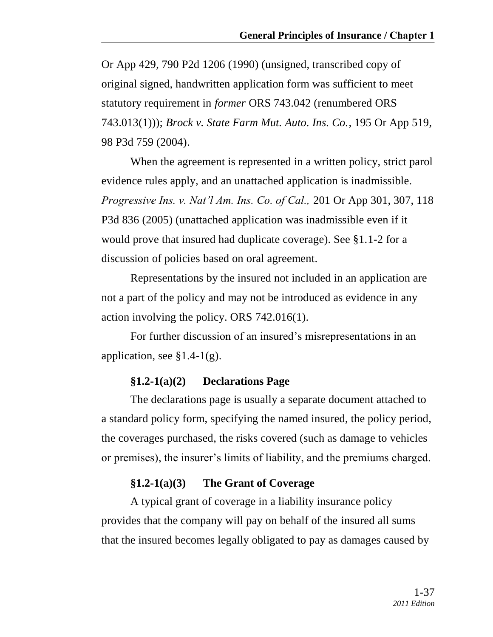Or App 429, 790 P2d 1206 (1990) (unsigned, transcribed copy of original signed, handwritten application form was sufficient to meet statutory requirement in *former* ORS 743.042 (renumbered ORS 743.013(1))); *Brock v. State Farm Mut. Auto. Ins. Co.,* 195 Or App 519, 98 P3d 759 (2004).

When the agreement is represented in a written policy, strict parol evidence rules apply, and an unattached application is inadmissible. *Progressive Ins. v. Nat'l Am. Ins. Co. of Cal.,* 201 Or App 301, 307, 118 P3d 836 (2005) (unattached application was inadmissible even if it would prove that insured had duplicate coverage). See §1.1-2 for a discussion of policies based on oral agreement.

Representations by the insured not included in an application are not a part of the policy and may not be introduced as evidence in any action involving the policy. ORS 742.016(1).

For further discussion of an insured's misrepresentations in an application, see  $\S 1.4-1(g)$ .

### **§1.2-1(a)(2) Declarations Page**

The declarations page is usually a separate document attached to a standard policy form, specifying the named insured, the policy period, the coverages purchased, the risks covered (such as damage to vehicles or premises), the insurer's limits of liability, and the premiums charged.

### **§1.2-1(a)(3) The Grant of Coverage**

A typical grant of coverage in a liability insurance policy provides that the company will pay on behalf of the insured all sums that the insured becomes legally obligated to pay as damages caused by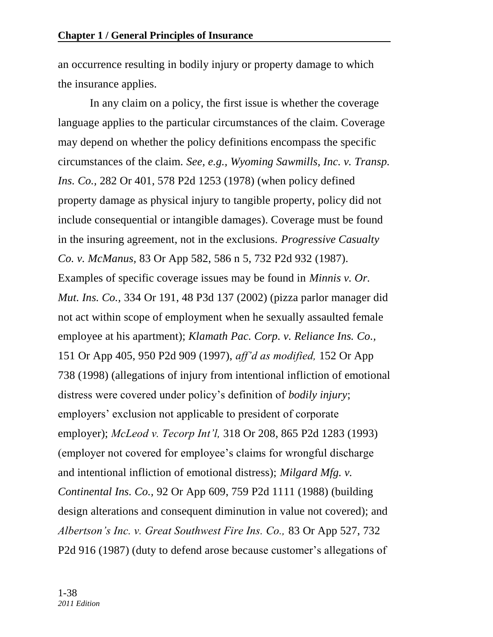an occurrence resulting in bodily injury or property damage to which the insurance applies.

In any claim on a policy, the first issue is whether the coverage language applies to the particular circumstances of the claim. Coverage may depend on whether the policy definitions encompass the specific circumstances of the claim. *See, e.g., Wyoming Sawmills, Inc. v. Transp. Ins. Co.,* 282 Or 401, 578 P2d 1253 (1978) (when policy defined property damage as physical injury to tangible property, policy did not include consequential or intangible damages). Coverage must be found in the insuring agreement, not in the exclusions. *Progressive Casualty Co. v. McManus,* 83 Or App 582, 586 n 5, 732 P2d 932 (1987). Examples of specific coverage issues may be found in *Minnis v. Or. Mut. Ins. Co.,* 334 Or 191, 48 P3d 137 (2002) (pizza parlor manager did not act within scope of employment when he sexually assaulted female employee at his apartment); *Klamath Pac. Corp. v. Reliance Ins. Co.,* 151 Or App 405, 950 P2d 909 (1997), *aff'd as modified,* 152 Or App 738 (1998) (allegations of injury from intentional infliction of emotional distress were covered under policy's definition of *bodily injury*; employers' exclusion not applicable to president of corporate employer); *McLeod v. Tecorp Int'l,* 318 Or 208, 865 P2d 1283 (1993) (employer not covered for employee's claims for wrongful discharge and intentional infliction of emotional distress); *Milgard Mfg. v. Continental Ins. Co.,* 92 Or App 609, 759 P2d 1111 (1988) (building design alterations and consequent diminution in value not covered); and *Albertson's Inc. v. Great Southwest Fire Ins. Co.,* 83 Or App 527, 732 P2d 916 (1987) (duty to defend arose because customer's allegations of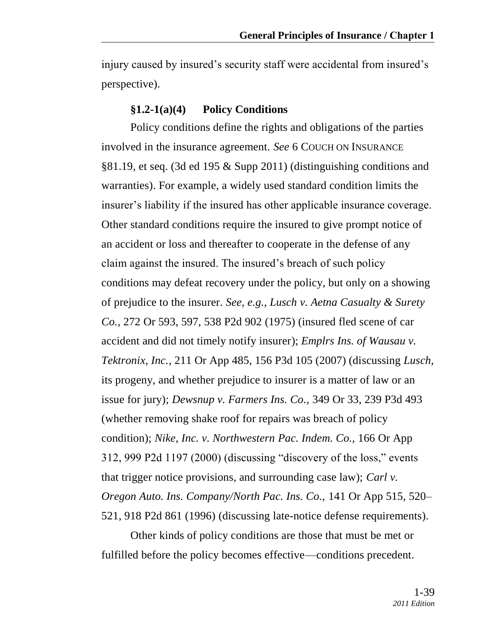injury caused by insured's security staff were accidental from insured's perspective).

#### **§1.2-1(a)(4) Policy Conditions**

Policy conditions define the rights and obligations of the parties involved in the insurance agreement. *See* 6 COUCH ON INSURANCE §81.19, et seq. (3d ed 195 & Supp 2011) (distinguishing conditions and warranties). For example, a widely used standard condition limits the insurer's liability if the insured has other applicable insurance coverage. Other standard conditions require the insured to give prompt notice of an accident or loss and thereafter to cooperate in the defense of any claim against the insured. The insured's breach of such policy conditions may defeat recovery under the policy, but only on a showing of prejudice to the insurer. *See, e.g., Lusch v. Aetna Casualty & Surety Co.,* 272 Or 593, 597, 538 P2d 902 (1975) (insured fled scene of car accident and did not timely notify insurer); *Emplrs Ins. of Wausau v. Tektronix, Inc.,* 211 Or App 485, 156 P3d 105 (2007) (discussing *Lusch,* its progeny, and whether prejudice to insurer is a matter of law or an issue for jury); *Dewsnup v. Farmers Ins. Co.,* 349 Or 33, 239 P3d 493 (whether removing shake roof for repairs was breach of policy condition); *Nike, Inc. v. Northwestern Pac. Indem. Co.,* 166 Or App  $312,999$  P2d  $1197$  (2000) (discussing "discovery of the loss," events that trigger notice provisions, and surrounding case law); *Carl v. Oregon Auto. Ins. Company/North Pac. Ins. Co.,* 141 Or App 515, 520– 521, 918 P2d 861 (1996) (discussing late-notice defense requirements).

Other kinds of policy conditions are those that must be met or fulfilled before the policy becomes effective—conditions precedent.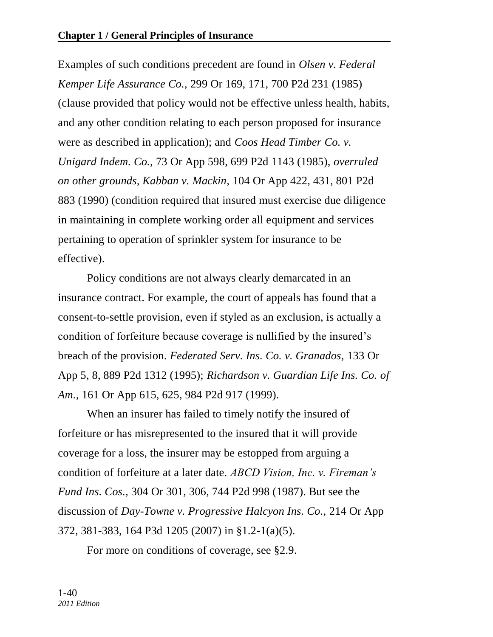Examples of such conditions precedent are found in *Olsen v. Federal Kemper Life Assurance Co.,* 299 Or 169, 171, 700 P2d 231 (1985) (clause provided that policy would not be effective unless health, habits, and any other condition relating to each person proposed for insurance were as described in application); and *Coos Head Timber Co. v. Unigard Indem. Co.,* 73 Or App 598, 699 P2d 1143 (1985), *overruled on other grounds, Kabban v. Mackin,* 104 Or App 422, 431, 801 P2d 883 (1990) (condition required that insured must exercise due diligence in maintaining in complete working order all equipment and services pertaining to operation of sprinkler system for insurance to be effective).

Policy conditions are not always clearly demarcated in an insurance contract. For example, the court of appeals has found that a consent-to-settle provision, even if styled as an exclusion, is actually a condition of forfeiture because coverage is nullified by the insured's breach of the provision. *Federated Serv. Ins. Co. v. Granados,* 133 Or App 5, 8, 889 P2d 1312 (1995); *Richardson v. Guardian Life Ins. Co. of Am.,* 161 Or App 615, 625, 984 P2d 917 (1999).

When an insurer has failed to timely notify the insured of forfeiture or has misrepresented to the insured that it will provide coverage for a loss, the insurer may be estopped from arguing a condition of forfeiture at a later date. *ABCD Vision, Inc. v. Fireman's Fund Ins. Cos.,* 304 Or 301, 306, 744 P2d 998 (1987). But see the discussion of *Day-Towne v. Progressive Halcyon Ins. Co.,* 214 Or App 372, 381-383, 164 P3d 1205 (2007) in §1.2-1(a)(5).

For more on conditions of coverage, see §2.9.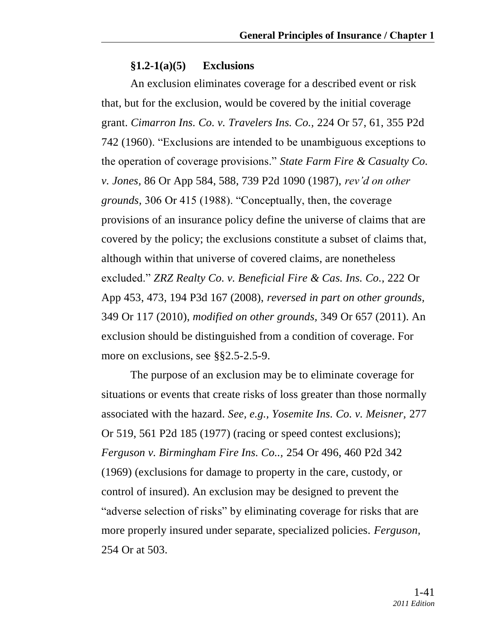### **§1.2-1(a)(5) Exclusions**

An exclusion eliminates coverage for a described event or risk that, but for the exclusion, would be covered by the initial coverage grant. *Cimarron Ins. Co. v. Travelers Ins. Co.,* 224 Or 57, 61, 355 P2d 742 (1960). "Exclusions are intended to be unambiguous exceptions to the operation of coverage provisions.‖ *State Farm Fire & Casualty Co. v. Jones,* 86 Or App 584, 588, 739 P2d 1090 (1987), *rev'd on other grounds,* 306 Or 415 (1988). "Conceptually, then, the coverage provisions of an insurance policy define the universe of claims that are covered by the policy; the exclusions constitute a subset of claims that, although within that universe of covered claims, are nonetheless excluded.‖ *ZRZ Realty Co. v. Beneficial Fire & Cas. Ins. Co.,* 222 Or App 453, 473, 194 P3d 167 (2008), *reversed in part on other grounds,*  349 Or 117 (2010), *modified on other grounds,* 349 Or 657 (2011). An exclusion should be distinguished from a condition of coverage. For more on exclusions, see §§2.5-2.5-9.

The purpose of an exclusion may be to eliminate coverage for situations or events that create risks of loss greater than those normally associated with the hazard. *See, e.g., Yosemite Ins. Co. v. Meisner,* 277 Or 519, 561 P2d 185 (1977) (racing or speed contest exclusions); *Ferguson v. Birmingham Fire Ins. Co..,* 254 Or 496, 460 P2d 342 (1969) (exclusions for damage to property in the care, custody, or control of insured). An exclusion may be designed to prevent the "adverse selection of risks" by eliminating coverage for risks that are more properly insured under separate, specialized policies. *Ferguson,*  254 Or at 503.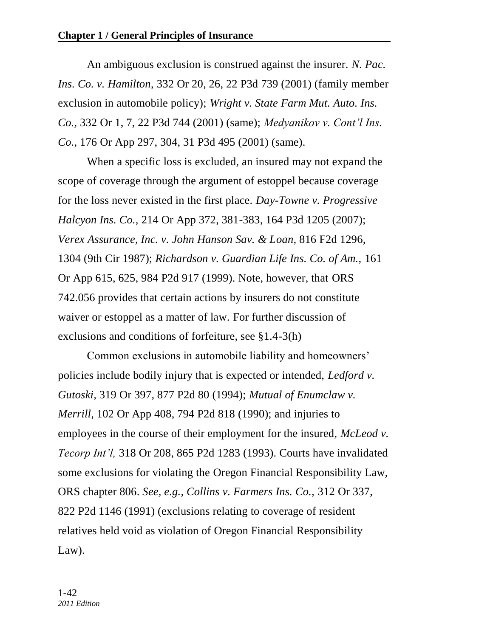An ambiguous exclusion is construed against the insurer. *N. Pac. Ins. Co. v. Hamilton,* 332 Or 20, 26, 22 P3d 739 (2001) (family member exclusion in automobile policy); *Wright v. State Farm Mut. Auto. Ins. Co.,* 332 Or 1, 7, 22 P3d 744 (2001) (same); *Medyanikov v. Cont'l Ins. Co.,* 176 Or App 297, 304, 31 P3d 495 (2001) (same).

When a specific loss is excluded, an insured may not expand the scope of coverage through the argument of estoppel because coverage for the loss never existed in the first place. *Day-Towne v. Progressive Halcyon Ins. Co.,* 214 Or App 372, 381-383, 164 P3d 1205 (2007); *Verex Assurance, Inc. v. John Hanson Sav. & Loan,* 816 F2d 1296, 1304 (9th Cir 1987); *Richardson v. Guardian Life Ins. Co. of Am.,* 161 Or App 615, 625, 984 P2d 917 (1999). Note, however, that ORS 742.056 provides that certain actions by insurers do not constitute waiver or estoppel as a matter of law. For further discussion of exclusions and conditions of forfeiture, see §1.4-3(h)

Common exclusions in automobile liability and homeowners' policies include bodily injury that is expected or intended, *Ledford v. Gutoski,* 319 Or 397, 877 P2d 80 (1994); *Mutual of Enumclaw v. Merrill,* 102 Or App 408, 794 P2d 818 (1990); and injuries to employees in the course of their employment for the insured, *McLeod v. Tecorp Int'l,* 318 Or 208, 865 P2d 1283 (1993). Courts have invalidated some exclusions for violating the Oregon Financial Responsibility Law, ORS chapter 806. *See, e.g., Collins v. Farmers Ins. Co.,* 312 Or 337, 822 P2d 1146 (1991) (exclusions relating to coverage of resident relatives held void as violation of Oregon Financial Responsibility Law).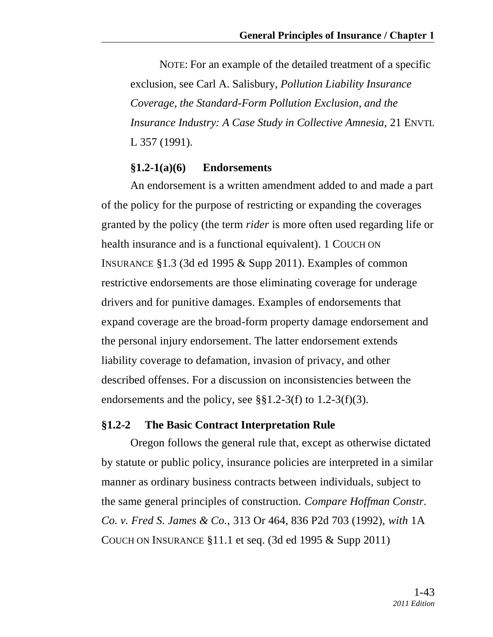NOTE: For an example of the detailed treatment of a specific exclusion, see Carl A. Salisbury, *Pollution Liability Insurance Coverage, the Standard-Form Pollution Exclusion, and the Insurance Industry: A Case Study in Collective Amnesia,* 21 ENVTL L 357 (1991).

#### **§1.2-1(a)(6) Endorsements**

An endorsement is a written amendment added to and made a part of the policy for the purpose of restricting or expanding the coverages granted by the policy (the term *rider* is more often used regarding life or health insurance and is a functional equivalent). 1 COUCH ON INSURANCE §1.3 (3d ed 1995 & Supp 2011). Examples of common restrictive endorsements are those eliminating coverage for underage drivers and for punitive damages. Examples of endorsements that expand coverage are the broad-form property damage endorsement and the personal injury endorsement. The latter endorsement extends liability coverage to defamation, invasion of privacy, and other described offenses. For a discussion on inconsistencies between the endorsements and the policy, see  $\S$ §1.2-3(f) to 1.2-3(f)(3).

### **§1.2-2 The Basic Contract Interpretation Rule**

Oregon follows the general rule that, except as otherwise dictated by statute or public policy, insurance policies are interpreted in a similar manner as ordinary business contracts between individuals, subject to the same general principles of construction. *Compare Hoffman Constr. Co. v. Fred S. James & Co.,* 313 Or 464, 836 P2d 703 (1992), *with* 1A COUCH ON INSURANCE §11.1 et seq. (3d ed 1995 & Supp 2011)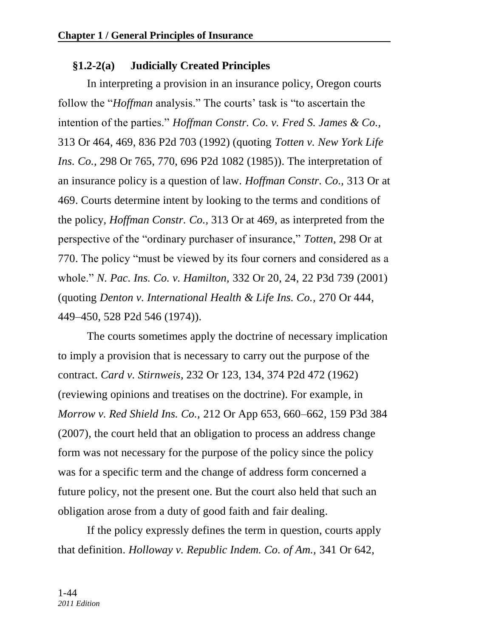### **§1.2-2(a) Judicially Created Principles**

In interpreting a provision in an insurance policy, Oregon courts follow the "*Hoffman* analysis." The courts' task is "to ascertain the intention of the parties." *Hoffman Constr. Co. v. Fred S. James & Co.*, 313 Or 464, 469, 836 P2d 703 (1992) (quoting *Totten v. New York Life Ins. Co.,* 298 Or 765, 770, 696 P2d 1082 (1985)). The interpretation of an insurance policy is a question of law. *Hoffman Constr. Co.,* 313 Or at 469. Courts determine intent by looking to the terms and conditions of the policy, *Hoffman Constr. Co.,* 313 Or at 469, as interpreted from the perspective of the "ordinary purchaser of insurance," *Totten*, 298 Or at 770. The policy "must be viewed by its four corners and considered as a whole.‖ *N. Pac. Ins. Co. v. Hamilton,* 332 Or 20, 24, 22 P3d 739 (2001) (quoting *Denton v. International Health & Life Ins. Co.,* 270 Or 444, 449–450, 528 P2d 546 (1974)).

The courts sometimes apply the doctrine of necessary implication to imply a provision that is necessary to carry out the purpose of the contract. *Card v. Stirnweis,* 232 Or 123, 134, 374 P2d 472 (1962) (reviewing opinions and treatises on the doctrine). For example, in *Morrow v. Red Shield Ins. Co.,* 212 Or App 653, 660–662, 159 P3d 384 (2007)*,* the court held that an obligation to process an address change form was not necessary for the purpose of the policy since the policy was for a specific term and the change of address form concerned a future policy, not the present one. But the court also held that such an obligation arose from a duty of good faith and fair dealing.

If the policy expressly defines the term in question, courts apply that definition. *Holloway v. Republic Indem. Co. of Am.,* 341 Or 642,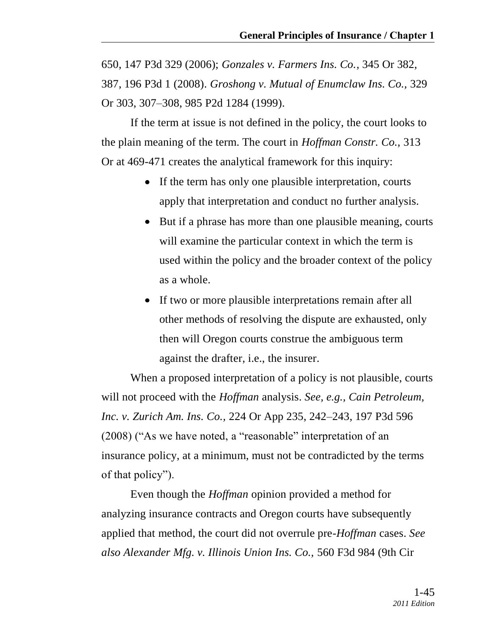650, 147 P3d 329 (2006); *Gonzales v. Farmers Ins. Co.,* 345 Or 382, 387, 196 P3d 1 (2008). *Groshong v. Mutual of Enumclaw Ins. Co.,* 329 Or 303, 307–308, 985 P2d 1284 (1999).

If the term at issue is not defined in the policy, the court looks to the plain meaning of the term. The court in *Hoffman Constr. Co.,* 313 Or at 469-471 creates the analytical framework for this inquiry:

- If the term has only one plausible interpretation, courts apply that interpretation and conduct no further analysis.
- But if a phrase has more than one plausible meaning, courts will examine the particular context in which the term is used within the policy and the broader context of the policy as a whole.
- If two or more plausible interpretations remain after all other methods of resolving the dispute are exhausted, only then will Oregon courts construe the ambiguous term against the drafter, i.e., the insurer.

When a proposed interpretation of a policy is not plausible, courts will not proceed with the *Hoffman* analysis. *See, e.g., Cain Petroleum, Inc. v. Zurich Am. Ins. Co.,* 224 Or App 235, 242–243, 197 P3d 596  $(2008)$  ("As we have noted, a "reasonable" interpretation of an insurance policy, at a minimum, must not be contradicted by the terms of that policy").

Even though the *Hoffman* opinion provided a method for analyzing insurance contracts and Oregon courts have subsequently applied that method, the court did not overrule pre-*Hoffman* cases. *See also Alexander Mfg. v. Illinois Union Ins. Co.,* 560 F3d 984 (9th Cir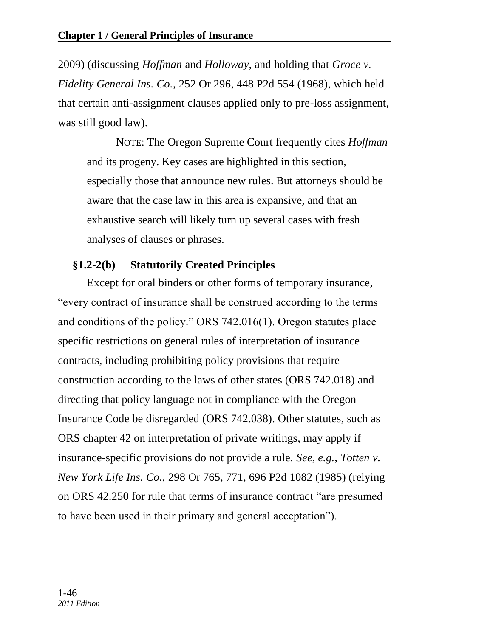2009) (discussing *Hoffman* and *Holloway,* and holding that *Groce v. Fidelity General Ins. Co.,* 252 Or 296, 448 P2d 554 (1968), which held that certain anti-assignment clauses applied only to pre-loss assignment, was still good law).

NOTE: The Oregon Supreme Court frequently cites *Hoffman* and its progeny. Key cases are highlighted in this section, especially those that announce new rules. But attorneys should be aware that the case law in this area is expansive, and that an exhaustive search will likely turn up several cases with fresh analyses of clauses or phrases.

# **§1.2-2(b) Statutorily Created Principles**

Except for oral binders or other forms of temporary insurance, "every contract of insurance shall be construed according to the terms" and conditions of the policy." ORS  $742.016(1)$ . Oregon statutes place specific restrictions on general rules of interpretation of insurance contracts, including prohibiting policy provisions that require construction according to the laws of other states (ORS 742.018) and directing that policy language not in compliance with the Oregon Insurance Code be disregarded (ORS 742.038). Other statutes, such as ORS chapter 42 on interpretation of private writings, may apply if insurance-specific provisions do not provide a rule. *See, e.g., Totten v. New York Life Ins. Co.,* 298 Or 765, 771, 696 P2d 1082 (1985) (relying on ORS 42.250 for rule that terms of insurance contract "are presumed to have been used in their primary and general acceptation").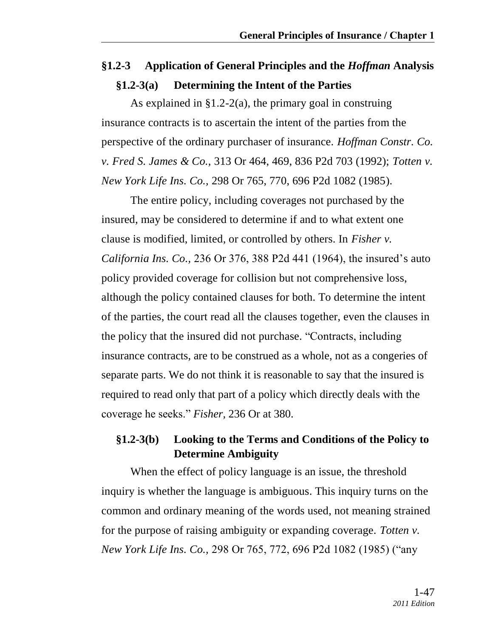# **§1.2-3 Application of General Principles and the** *Hoffman* **Analysis §1.2-3(a) Determining the Intent of the Parties**

As explained in  $\S1.2-2(a)$ , the primary goal in construing insurance contracts is to ascertain the intent of the parties from the perspective of the ordinary purchaser of insurance. *Hoffman Constr. Co. v. Fred S. James & Co.,* 313 Or 464, 469, 836 P2d 703 (1992); *Totten v. New York Life Ins. Co.,* 298 Or 765, 770, 696 P2d 1082 (1985).

The entire policy, including coverages not purchased by the insured, may be considered to determine if and to what extent one clause is modified, limited, or controlled by others. In *Fisher v. California Ins. Co.,* 236 Or 376, 388 P2d 441 (1964), the insured's auto policy provided coverage for collision but not comprehensive loss, although the policy contained clauses for both. To determine the intent of the parties, the court read all the clauses together, even the clauses in the policy that the insured did not purchase. "Contracts, including insurance contracts, are to be construed as a whole, not as a congeries of separate parts. We do not think it is reasonable to say that the insured is required to read only that part of a policy which directly deals with the coverage he seeks.‖ *Fisher,* 236 Or at 380.

# **§1.2-3(b) Looking to the Terms and Conditions of the Policy to Determine Ambiguity**

When the effect of policy language is an issue, the threshold inquiry is whether the language is ambiguous. This inquiry turns on the common and ordinary meaning of the words used, not meaning strained for the purpose of raising ambiguity or expanding coverage. *Totten v. New York Life Ins. Co., 298 Or 765, 772, 696 P2d 1082 (1985) ("any*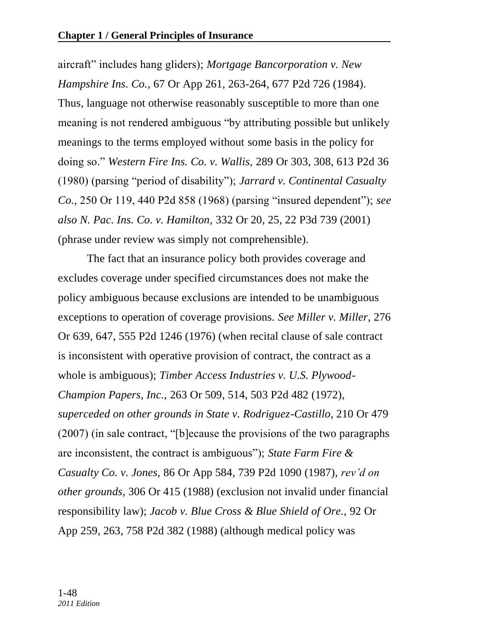aircraft" includes hang gliders); *Mortgage Bancorporation v. New Hampshire Ins. Co.,* 67 Or App 261, 263-264, 677 P2d 726 (1984). Thus, language not otherwise reasonably susceptible to more than one meaning is not rendered ambiguous "by attributing possible but unlikely meanings to the terms employed without some basis in the policy for doing so.‖ *Western Fire Ins. Co. v. Wallis,* 289 Or 303, 308, 613 P2d 36 (1980) (parsing "period of disability"); *Jarrard v. Continental Casualty Co.*, 250 Or 119, 440 P2d 858 (1968) (parsing "insured dependent"); *see also N. Pac. Ins. Co. v. Hamilton,* 332 Or 20, 25, 22 P3d 739 (2001) (phrase under review was simply not comprehensible).

The fact that an insurance policy both provides coverage and excludes coverage under specified circumstances does not make the policy ambiguous because exclusions are intended to be unambiguous exceptions to operation of coverage provisions. *See Miller v. Miller,* 276 Or 639, 647, 555 P2d 1246 (1976) (when recital clause of sale contract is inconsistent with operative provision of contract, the contract as a whole is ambiguous); *Timber Access Industries v. U.S. Plywood-Champion Papers, Inc.,* 263 Or 509, 514, 503 P2d 482 (1972), *superceded on other grounds in State v. Rodriguez-Castillo,* 210 Or 479  $(2007)$  (in sale contract, "[b]ecause the provisions of the two paragraphs are inconsistent, the contract is ambiguous"); *State Farm Fire & Casualty Co. v. Jones,* 86 Or App 584, 739 P2d 1090 (1987), *rev'd on other grounds,* 306 Or 415 (1988) (exclusion not invalid under financial responsibility law); *Jacob v. Blue Cross & Blue Shield of Ore.,* 92 Or App 259, 263, 758 P2d 382 (1988) (although medical policy was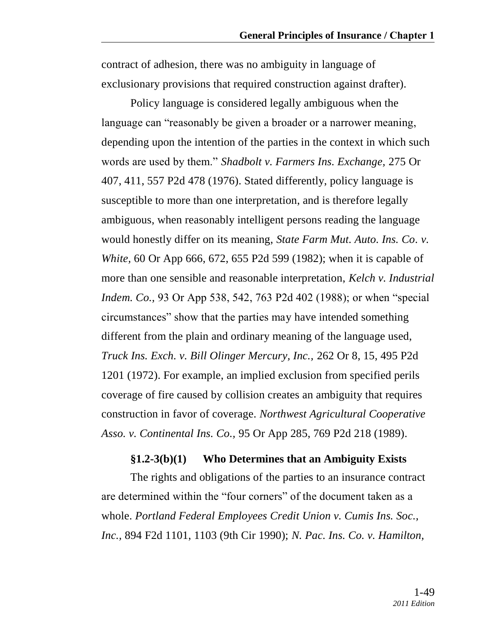contract of adhesion, there was no ambiguity in language of exclusionary provisions that required construction against drafter).

Policy language is considered legally ambiguous when the language can "reasonably be given a broader or a narrower meaning, depending upon the intention of the parties in the context in which such words are used by them.‖ *Shadbolt v. Farmers Ins. Exchange,* 275 Or 407, 411, 557 P2d 478 (1976). Stated differently, policy language is susceptible to more than one interpretation, and is therefore legally ambiguous, when reasonably intelligent persons reading the language would honestly differ on its meaning, *State Farm Mut. Auto. Ins. Co. v. White,* 60 Or App 666, 672, 655 P2d 599 (1982); when it is capable of more than one sensible and reasonable interpretation, *Kelch v. Industrial Indem. Co.*, 93 Or App 538, 542, 763 P2d 402 (1988); or when "special circumstances" show that the parties may have intended something different from the plain and ordinary meaning of the language used, *Truck Ins. Exch. v. Bill Olinger Mercury, Inc.,* 262 Or 8, 15, 495 P2d 1201 (1972). For example, an implied exclusion from specified perils coverage of fire caused by collision creates an ambiguity that requires construction in favor of coverage. *Northwest Agricultural Cooperative Asso. v. Continental Ins. Co.,* 95 Or App 285, 769 P2d 218 (1989).

#### **§1.2-3(b)(1) Who Determines that an Ambiguity Exists**

The rights and obligations of the parties to an insurance contract are determined within the "four corners" of the document taken as a whole. *Portland Federal Employees Credit Union v. Cumis Ins. Soc., Inc.,* 894 F2d 1101, 1103 (9th Cir 1990); *N. Pac. Ins. Co. v. Hamilton,*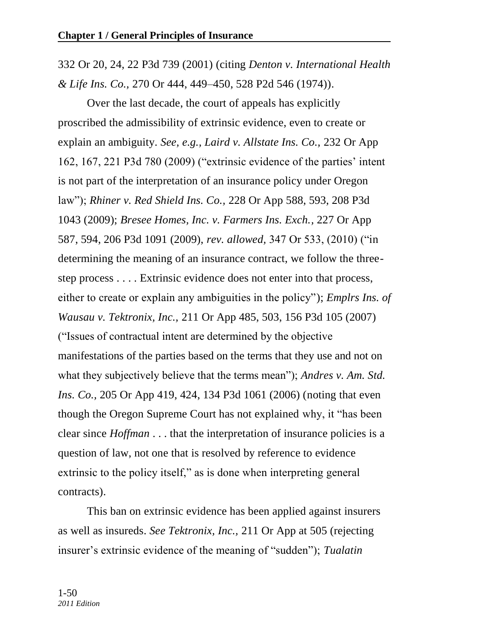332 Or 20, 24, 22 P3d 739 (2001) (citing *Denton v. International Health & Life Ins. Co.,* 270 Or 444, 449–450, 528 P2d 546 (1974)).

Over the last decade, the court of appeals has explicitly proscribed the admissibility of extrinsic evidence, even to create or explain an ambiguity. *See, e.g., Laird v. Allstate Ins. Co.,* 232 Or App 162, 167, 221 P3d 780 (2009) ("extrinsic evidence of the parties' intent is not part of the interpretation of an insurance policy under Oregon law‖); *Rhiner v. Red Shield Ins. Co.,* 228 Or App 588, 593, 208 P3d 1043 (2009); *Bresee Homes, Inc. v. Farmers Ins. Exch.,* 227 Or App 587, 594, 206 P3d 1091 (2009), *rev. allowed*, 347 Or 533, (2010) ("in determining the meaning of an insurance contract, we follow the threestep process . . . . Extrinsic evidence does not enter into that process, either to create or explain any ambiguities in the policy"); *Emplrs Ins. of Wausau v. Tektronix, Inc.,* 211 Or App 485, 503, 156 P3d 105 (2007) (―Issues of contractual intent are determined by the objective manifestations of the parties based on the terms that they use and not on what they subjectively believe that the terms mean"); *Andres v. Am. Std. Ins. Co.,* 205 Or App 419, 424, 134 P3d 1061 (2006) (noting that even though the Oregon Supreme Court has not explained why, it "has been clear since *Hoffman* . . . that the interpretation of insurance policies is a question of law, not one that is resolved by reference to evidence extrinsic to the policy itself," as is done when interpreting general contracts).

This ban on extrinsic evidence has been applied against insurers as well as insureds. *See Tektronix, Inc.,* 211 Or App at 505 (rejecting insurer's extrinsic evidence of the meaning of "sudden"); *Tualatin*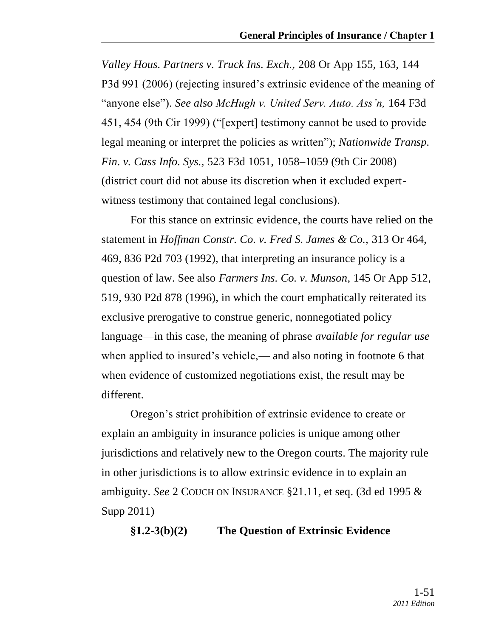*Valley Hous. Partners v. Truck Ins. Exch.,* 208 Or App 155, 163, 144 P3d 991 (2006) (rejecting insured's extrinsic evidence of the meaning of "anyone else"). *See also McHugh v. United Serv. Auto. Ass'n*, 164 F3d 451, 454 (9th Cir 1999) ("[expert] testimony cannot be used to provide legal meaning or interpret the policies as written"); *Nationwide Transp. Fin. v. Cass Info. Sys.,* 523 F3d 1051, 1058–1059 (9th Cir 2008) (district court did not abuse its discretion when it excluded expertwitness testimony that contained legal conclusions).

For this stance on extrinsic evidence, the courts have relied on the statement in *Hoffman Constr. Co. v. Fred S. James & Co.,* 313 Or 464, 469, 836 P2d 703 (1992), that interpreting an insurance policy is a question of law. See also *Farmers Ins. Co. v. Munson,* 145 Or App 512, 519, 930 P2d 878 (1996), in which the court emphatically reiterated its exclusive prerogative to construe generic, nonnegotiated policy language—in this case, the meaning of phrase *available for regular use* when applied to insured's vehicle,— and also noting in footnote 6 that when evidence of customized negotiations exist, the result may be different.

Oregon's strict prohibition of extrinsic evidence to create or explain an ambiguity in insurance policies is unique among other jurisdictions and relatively new to the Oregon courts. The majority rule in other jurisdictions is to allow extrinsic evidence in to explain an ambiguity. *See* 2 COUCH ON INSURANCE §21.11, et seq. (3d ed 1995 & Supp 2011)

### **§1.2-3(b)(2) The Question of Extrinsic Evidence**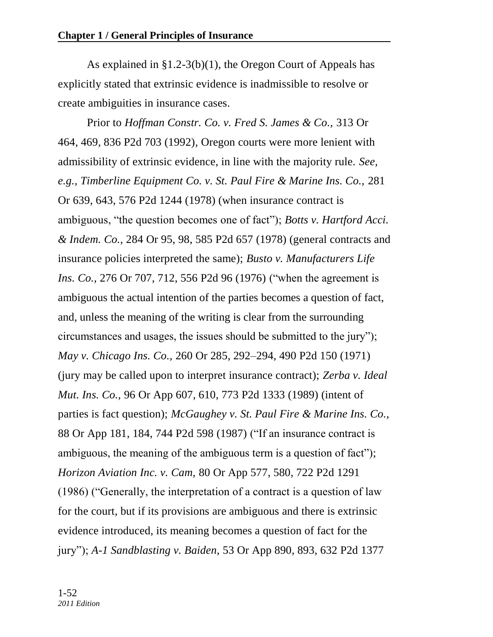As explained in §1.2-3(b)(1), the Oregon Court of Appeals has explicitly stated that extrinsic evidence is inadmissible to resolve or create ambiguities in insurance cases.

Prior to *Hoffman Constr. Co. v. Fred S. James & Co.,* 313 Or 464, 469, 836 P2d 703 (1992)*,* Oregon courts were more lenient with admissibility of extrinsic evidence, in line with the majority rule. *See, e.g., Timberline Equipment Co. v. St. Paul Fire & Marine Ins. Co.,* 281 Or 639, 643, 576 P2d 1244 (1978) (when insurance contract is ambiguous, "the question becomes one of fact"); *Botts v. Hartford Acci. & Indem. Co.,* 284 Or 95, 98, 585 P2d 657 (1978) (general contracts and insurance policies interpreted the same); *Busto v. Manufacturers Life Ins. Co., 276 Or 707, 712, 556 P2d 96 (1976)* ("when the agreement is ambiguous the actual intention of the parties becomes a question of fact, and, unless the meaning of the writing is clear from the surrounding circumstances and usages, the issues should be submitted to the jury"); *May v. Chicago Ins. Co.,* 260 Or 285, 292–294, 490 P2d 150 (1971) (jury may be called upon to interpret insurance contract); *Zerba v. Ideal Mut. Ins. Co.,* 96 Or App 607, 610, 773 P2d 1333 (1989) (intent of parties is fact question); *McGaughey v. St. Paul Fire & Marine Ins. Co.,* 88 Or App 181, 184, 744 P2d 598 (1987) ("If an insurance contract is ambiguous, the meaning of the ambiguous term is a question of fact"); *Horizon Aviation Inc. v. Cam,* 80 Or App 577, 580, 722 P2d 1291  $(1986)$  ("Generally, the interpretation of a contract is a question of law for the court, but if its provisions are ambiguous and there is extrinsic evidence introduced, its meaning becomes a question of fact for the jury"); *A-1 Sandblasting v. Baiden*, 53 Or App 890, 893, 632 P2d 1377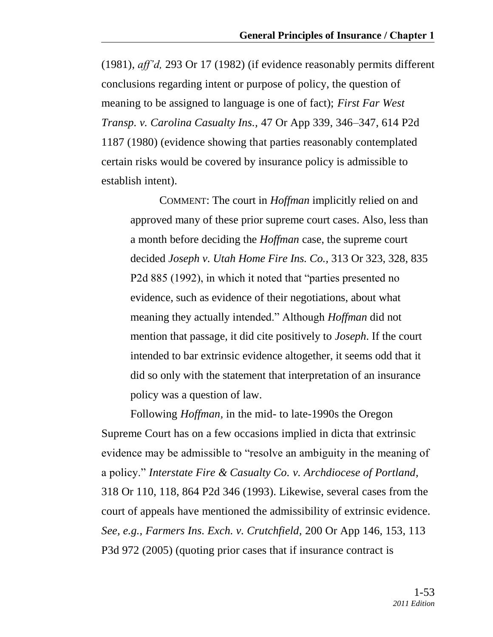(1981), *aff'd,* 293 Or 17 (1982) (if evidence reasonably permits different conclusions regarding intent or purpose of policy, the question of meaning to be assigned to language is one of fact); *First Far West Transp. v. Carolina Casualty Ins.,* 47 Or App 339, 346–347, 614 P2d 1187 (1980) (evidence showing that parties reasonably contemplated certain risks would be covered by insurance policy is admissible to establish intent).

COMMENT: The court in *Hoffman* implicitly relied on and approved many of these prior supreme court cases. Also, less than a month before deciding the *Hoffman* case, the supreme court decided *Joseph v. Utah Home Fire Ins. Co.,* 313 Or 323, 328, 835 P2d 885 (1992), in which it noted that "parties presented no evidence, such as evidence of their negotiations, about what meaning they actually intended." Although *Hoffman* did not mention that passage, it did cite positively to *Joseph*. If the court intended to bar extrinsic evidence altogether, it seems odd that it did so only with the statement that interpretation of an insurance policy was a question of law.

Following *Hoffman,* in the mid- to late-1990s the Oregon Supreme Court has on a few occasions implied in dicta that extrinsic evidence may be admissible to "resolve an ambiguity in the meaning of a policy.‖ *Interstate Fire & Casualty Co. v. Archdiocese of Portland,*  318 Or 110, 118, 864 P2d 346 (1993). Likewise, several cases from the court of appeals have mentioned the admissibility of extrinsic evidence. *See, e.g., Farmers Ins. Exch. v. Crutchfield,* 200 Or App 146, 153, 113 P3d 972 (2005) (quoting prior cases that if insurance contract is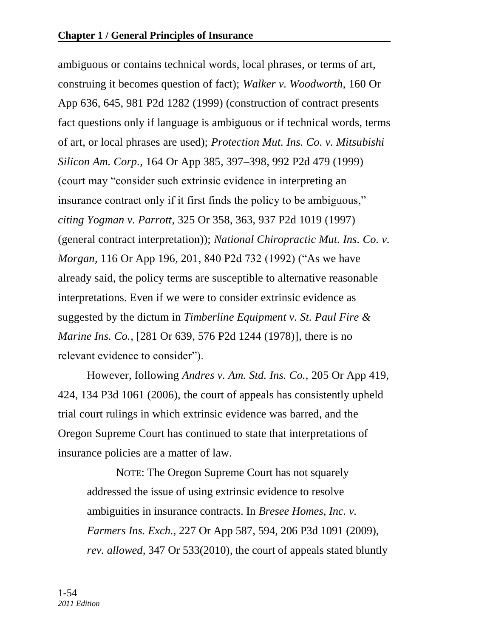ambiguous or contains technical words, local phrases, or terms of art, construing it becomes question of fact); *Walker v. Woodworth,* 160 Or App 636, 645, 981 P2d 1282 (1999) (construction of contract presents fact questions only if language is ambiguous or if technical words, terms of art, or local phrases are used); *Protection Mut. Ins. Co. v. Mitsubishi Silicon Am. Corp.,* 164 Or App 385, 397–398, 992 P2d 479 (1999) (court may "consider such extrinsic evidence in interpreting an insurance contract only if it first finds the policy to be ambiguous," *citing Yogman v. Parrott,* 325 Or 358, 363, 937 P2d 1019 (1997) (general contract interpretation)); *National Chiropractic Mut. Ins. Co. v. Morgan, 116 Or App 196, 201, 840 P2d 732 (1992)* ("As we have already said, the policy terms are susceptible to alternative reasonable interpretations. Even if we were to consider extrinsic evidence as suggested by the dictum in *Timberline Equipment v. St. Paul Fire & Marine Ins. Co.,* [281 Or 639, 576 P2d 1244 (1978)], there is no relevant evidence to consider".

However, following *Andres v. Am. Std. Ins. Co.,* 205 Or App 419, 424, 134 P3d 1061 (2006), the court of appeals has consistently upheld trial court rulings in which extrinsic evidence was barred, and the Oregon Supreme Court has continued to state that interpretations of insurance policies are a matter of law.

NOTE: The Oregon Supreme Court has not squarely addressed the issue of using extrinsic evidence to resolve ambiguities in insurance contracts. In *Bresee Homes, Inc. v. Farmers Ins. Exch.,* 227 Or App 587, 594, 206 P3d 1091 (2009), *rev. allowed,* 347 Or 533(2010)*,* the court of appeals stated bluntly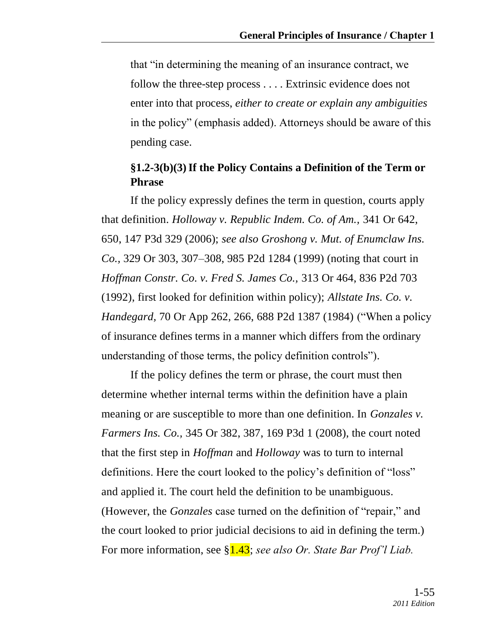that "in determining the meaning of an insurance contract, we follow the three-step process . . . . Extrinsic evidence does not enter into that process, *either to create or explain any ambiguities* in the policy" (emphasis added). Attorneys should be aware of this pending case.

### **§1.2-3(b)(3)If the Policy Contains a Definition of the Term or Phrase**

If the policy expressly defines the term in question, courts apply that definition. *Holloway v. Republic Indem. Co. of Am.,* 341 Or 642, 650, 147 P3d 329 (2006); *see also Groshong v. Mut. of Enumclaw Ins. Co.,* 329 Or 303, 307–308, 985 P2d 1284 (1999) (noting that court in *Hoffman Constr. Co. v. Fred S. James Co.,* 313 Or 464, 836 P2d 703 (1992), first looked for definition within policy); *Allstate Ins. Co. v. Handegard,* 70 Or App 262, 266, 688 P2d 1387 (1984) ("When a policy of insurance defines terms in a manner which differs from the ordinary understanding of those terms, the policy definition controls".

If the policy defines the term or phrase, the court must then determine whether internal terms within the definition have a plain meaning or are susceptible to more than one definition. In *Gonzales v. Farmers Ins. Co.,* 345 Or 382, 387, 169 P3d 1 (2008), the court noted that the first step in *Hoffman* and *Holloway* was to turn to internal definitions. Here the court looked to the policy's definition of "loss" and applied it. The court held the definition to be unambiguous. (However, the *Gonzales* case turned on the definition of "repair," and the court looked to prior judicial decisions to aid in defining the term.) For more information, see §1.43; *see also Or. State Bar Prof'l Liab.*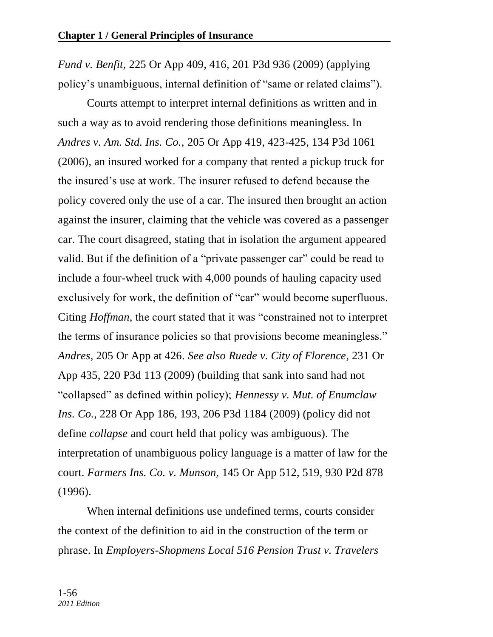*Fund v. Benfit,* 225 Or App 409, 416, 201 P3d 936 (2009) (applying policy's unambiguous, internal definition of "same or related claims").

Courts attempt to interpret internal definitions as written and in such a way as to avoid rendering those definitions meaningless. In *Andres v. Am. Std. Ins. Co.,* 205 Or App 419, 423-425, 134 P3d 1061 (2006), an insured worked for a company that rented a pickup truck for the insured's use at work. The insurer refused to defend because the policy covered only the use of a car. The insured then brought an action against the insurer, claiming that the vehicle was covered as a passenger car. The court disagreed, stating that in isolation the argument appeared valid. But if the definition of a "private passenger car" could be read to include a four-wheel truck with 4,000 pounds of hauling capacity used exclusively for work, the definition of "car" would become superfluous. Citing *Hoffman*, the court stated that it was "constrained not to interpret the terms of insurance policies so that provisions become meaningless." *Andres,* 205 Or App at 426. *See also Ruede v. City of Florence,* 231 Or App 435, 220 P3d 113 (2009) (building that sank into sand had not ―collapsed‖ as defined within policy); *Hennessy v. Mut. of Enumclaw Ins. Co.,* 228 Or App 186, 193, 206 P3d 1184 (2009) (policy did not define *collapse* and court held that policy was ambiguous). The interpretation of unambiguous policy language is a matter of law for the court. *Farmers Ins. Co. v. Munson,* 145 Or App 512, 519, 930 P2d 878 (1996).

When internal definitions use undefined terms, courts consider the context of the definition to aid in the construction of the term or phrase. In *Employers-Shopmens Local 516 Pension Trust v. Travelers*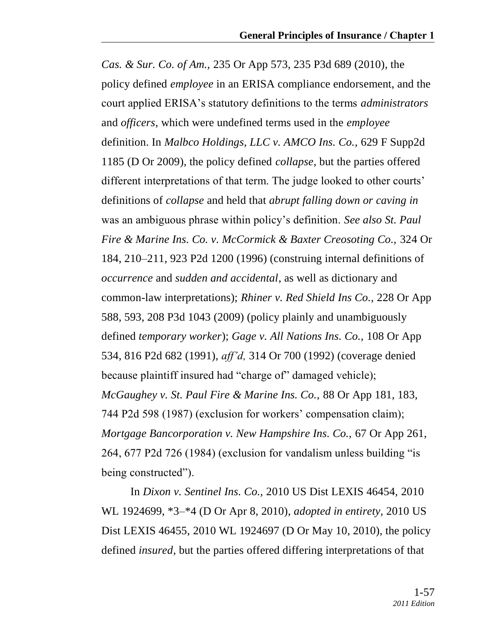*Cas. & Sur. Co. of Am.,* 235 Or App 573, 235 P3d 689 (2010), the policy defined *employee* in an ERISA compliance endorsement, and the court applied ERISA's statutory definitions to the terms *administrators* and *officers*, which were undefined terms used in the *employee*  definition. In *Malbco Holdings, LLC v. AMCO Ins. Co.,* 629 F Supp2d 1185 (D Or 2009), the policy defined *collapse*, but the parties offered different interpretations of that term. The judge looked to other courts' definitions of *collapse* and held that *abrupt falling down or caving in* was an ambiguous phrase within policy's definition. *See also St. Paul Fire & Marine Ins. Co. v. McCormick & Baxter Creosoting Co.,* 324 Or 184, 210–211, 923 P2d 1200 (1996) (construing internal definitions of *occurrence* and *sudden and accidental*, as well as dictionary and common-law interpretations); *Rhiner v. Red Shield Ins Co.,* 228 Or App 588, 593, 208 P3d 1043 (2009) (policy plainly and unambiguously defined *temporary worker*); *Gage v. All Nations Ins. Co.,* 108 Or App 534, 816 P2d 682 (1991), *aff'd,* 314 Or 700 (1992) (coverage denied because plaintiff insured had "charge of" damaged vehicle); *McGaughey v. St. Paul Fire & Marine Ins. Co.,* 88 Or App 181, 183, 744 P2d 598 (1987) (exclusion for workers' compensation claim); *Mortgage Bancorporation v. New Hampshire Ins. Co.,* 67 Or App 261, 264, 677 P2d 726 (1984) (exclusion for vandalism unless building  $\cdot$  is being constructed").

In *Dixon v. Sentinel Ins. Co.,* 2010 US Dist LEXIS 46454, 2010 WL 1924699, \*3–\*4 (D Or Apr 8, 2010), *adopted in entirety,* 2010 US Dist LEXIS 46455, 2010 WL 1924697 (D Or May 10, 2010), the policy defined *insured*, but the parties offered differing interpretations of that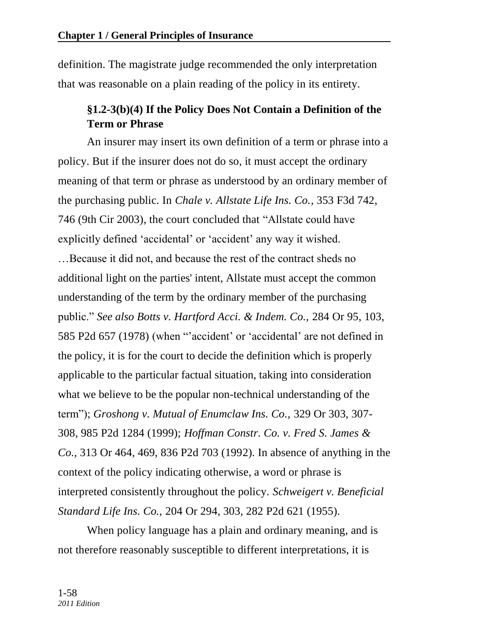definition. The magistrate judge recommended the only interpretation that was reasonable on a plain reading of the policy in its entirety.

# **§1.2-3(b)(4) If the Policy Does Not Contain a Definition of the Term or Phrase**

An insurer may insert its own definition of a term or phrase into a policy. But if the insurer does not do so, it must accept the ordinary meaning of that term or phrase as understood by an ordinary member of the purchasing public. In *Chale v. Allstate Life Ins. Co.,* 353 F3d 742, 746 (9th Cir 2003), the court concluded that "Allstate could have explicitly defined 'accidental' or 'accident' any way it wished. …Because it did not, and because the rest of the contract sheds no additional light on the parties' intent, Allstate must accept the common understanding of the term by the ordinary member of the purchasing public.‖ *See also Botts v. Hartford Acci. & Indem. Co.,* 284 Or 95, 103, 585 P2d 657 (1978) (when "accident' or 'accidental' are not defined in the policy, it is for the court to decide the definition which is properly applicable to the particular factual situation, taking into consideration what we believe to be the popular non-technical understanding of the term‖); *Groshong v. Mutual of Enumclaw Ins. Co.,* 329 Or 303, 307- 308, 985 P2d 1284 (1999); *Hoffman Constr. Co. v. Fred S. James & Co.,* 313 Or 464, 469, 836 P2d 703 (1992). In absence of anything in the context of the policy indicating otherwise, a word or phrase is interpreted consistently throughout the policy. *Schweigert v. Beneficial Standard Life Ins. Co.,* 204 Or 294, 303, 282 P2d 621 (1955).

When policy language has a plain and ordinary meaning, and is not therefore reasonably susceptible to different interpretations, it is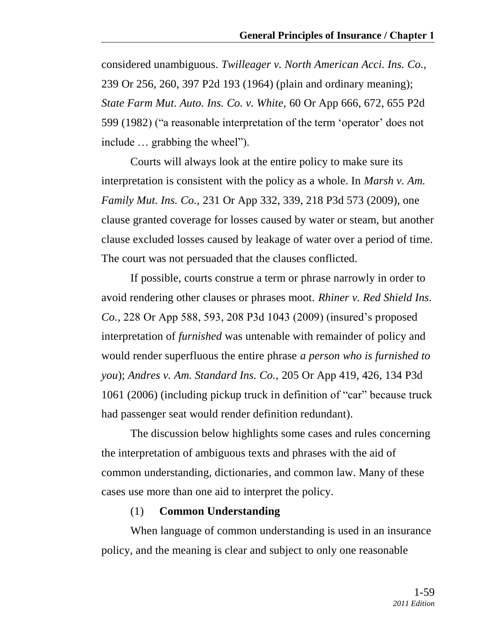considered unambiguous. *Twilleager v. North American Acci. Ins. Co.,* 239 Or 256, 260, 397 P2d 193 (1964) (plain and ordinary meaning); *State Farm Mut. Auto. Ins. Co. v. White,* 60 Or App 666, 672, 655 P2d 599 (1982) ("a reasonable interpretation of the term 'operator' does not include ... grabbing the wheel").

Courts will always look at the entire policy to make sure its interpretation is consistent with the policy as a whole. In *Marsh v. Am. Family Mut. Ins. Co.,* 231 Or App 332, 339, 218 P3d 573 (2009), one clause granted coverage for losses caused by water or steam, but another clause excluded losses caused by leakage of water over a period of time. The court was not persuaded that the clauses conflicted.

If possible, courts construe a term or phrase narrowly in order to avoid rendering other clauses or phrases moot. *Rhiner v. Red Shield Ins. Co.,* 228 Or App 588, 593, 208 P3d 1043 (2009) (insured's proposed interpretation of *furnished* was untenable with remainder of policy and would render superfluous the entire phrase *a person who is furnished to you*); *Andres v. Am. Standard Ins. Co.,* 205 Or App 419, 426, 134 P3d 1061 (2006) (including pickup truck in definition of "car" because truck had passenger seat would render definition redundant).

The discussion below highlights some cases and rules concerning the interpretation of ambiguous texts and phrases with the aid of common understanding, dictionaries, and common law. Many of these cases use more than one aid to interpret the policy.

#### (1) **Common Understanding**

When language of common understanding is used in an insurance policy, and the meaning is clear and subject to only one reasonable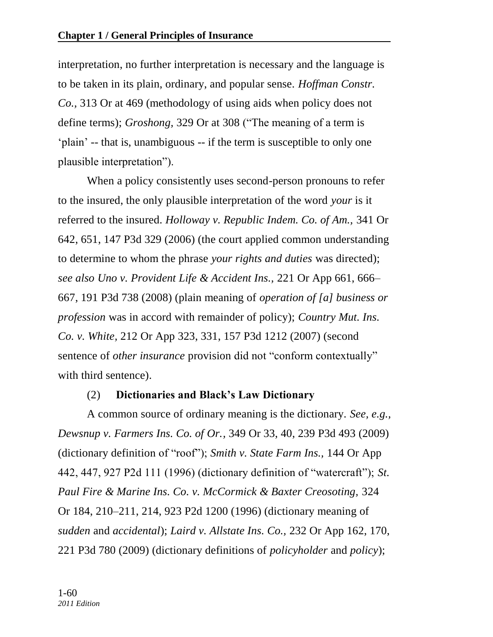interpretation, no further interpretation is necessary and the language is to be taken in its plain, ordinary, and popular sense. *Hoffman Constr. Co.,* 313 Or at 469 (methodology of using aids when policy does not define terms); *Groshong*, 329 Or at 308 ("The meaning of a term is ‗plain' -- that is, unambiguous -- if the term is susceptible to only one plausible interpretation").

When a policy consistently uses second-person pronouns to refer to the insured, the only plausible interpretation of the word *your* is it referred to the insured. *Holloway v. Republic Indem. Co. of Am.,* 341 Or 642, 651, 147 P3d 329 (2006) (the court applied common understanding to determine to whom the phrase *your rights and duties* was directed); *see also Uno v. Provident Life & Accident Ins.,* 221 Or App 661, 666– 667, 191 P3d 738 (2008) (plain meaning of *operation of [a] business or profession* was in accord with remainder of policy); *Country Mut. Ins. Co. v. White,* 212 Or App 323, 331, 157 P3d 1212 (2007) (second sentence of *other insurance* provision did not "conform contextually" with third sentence).

# (2) **Dictionaries and Black's Law Dictionary**

A common source of ordinary meaning is the dictionary. *See, e.g., Dewsnup v. Farmers Ins. Co. of Or.,* 349 Or 33, 40, 239 P3d 493 (2009) (dictionary definition of "roof"); *Smith v. State Farm Ins.*, 144 Or App 442, 447, 927 P2d 111 (1996) (dictionary definition of "watercraft"); *St. Paul Fire & Marine Ins. Co. v. McCormick & Baxter Creosoting,* 324 Or 184, 210–211, 214, 923 P2d 1200 (1996) (dictionary meaning of *sudden* and *accidental*); *Laird v. Allstate Ins. Co.,* 232 Or App 162, 170, 221 P3d 780 (2009) (dictionary definitions of *policyholder* and *policy*);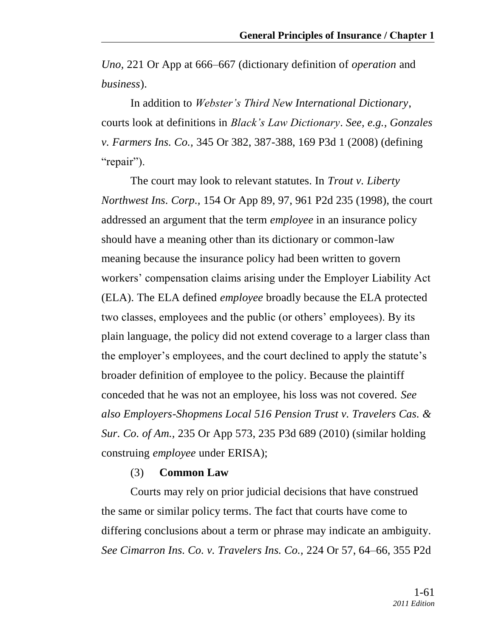*Uno,* 221 Or App at 666–667 (dictionary definition of *operation* and *business*).

In addition to *Webster's Third New International Dictionary*, courts look at definitions in *Black's Law Dictionary*. *See, e.g., Gonzales v. Farmers Ins. Co.,* 345 Or 382, 387-388, 169 P3d 1 (2008) (defining "repair").

The court may look to relevant statutes. In *Trout v. Liberty Northwest Ins. Corp.,* 154 Or App 89, 97, 961 P2d 235 (1998), the court addressed an argument that the term *employee* in an insurance policy should have a meaning other than its dictionary or common-law meaning because the insurance policy had been written to govern workers' compensation claims arising under the Employer Liability Act (ELA). The ELA defined *employee* broadly because the ELA protected two classes, employees and the public (or others' employees). By its plain language, the policy did not extend coverage to a larger class than the employer's employees, and the court declined to apply the statute's broader definition of employee to the policy. Because the plaintiff conceded that he was not an employee, his loss was not covered. *See also Employers-Shopmens Local 516 Pension Trust v. Travelers Cas. & Sur. Co. of Am.,* 235 Or App 573, 235 P3d 689 (2010) (similar holding construing *employee* under ERISA);

#### (3) **Common Law**

Courts may rely on prior judicial decisions that have construed the same or similar policy terms. The fact that courts have come to differing conclusions about a term or phrase may indicate an ambiguity. *See Cimarron Ins. Co. v. Travelers Ins. Co.,* 224 Or 57, 64–66, 355 P2d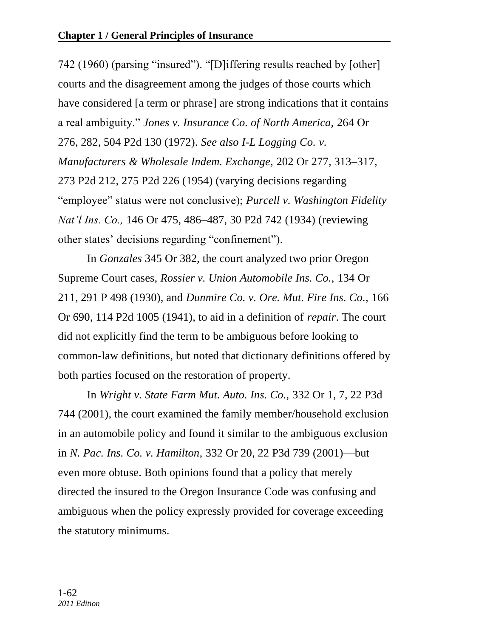742 (1960) (parsing "insured"). "[D]iffering results reached by [other] courts and the disagreement among the judges of those courts which have considered [a term or phrase] are strong indications that it contains a real ambiguity.‖ *Jones v. Insurance Co. of North America,* 264 Or 276, 282, 504 P2d 130 (1972). *See also I-L Logging Co. v. Manufacturers & Wholesale Indem. Exchange,* 202 Or 277, 313–317, 273 P2d 212, 275 P2d 226 (1954) (varying decisions regarding "employee" status were not conclusive); *Purcell v. Washington Fidelity Nat'l Ins. Co.,* 146 Or 475, 486–487, 30 P2d 742 (1934) (reviewing other states' decisions regarding "confinement".

In *Gonzales* 345 Or 382, the court analyzed two prior Oregon Supreme Court cases, *Rossier v. Union Automobile Ins. Co.,* 134 Or 211, 291 P 498 (1930), and *Dunmire Co. v. Ore. Mut. Fire Ins. Co.,* 166 Or 690, 114 P2d 1005 (1941), to aid in a definition of *repair*. The court did not explicitly find the term to be ambiguous before looking to common-law definitions, but noted that dictionary definitions offered by both parties focused on the restoration of property.

In *Wright v. State Farm Mut. Auto. Ins. Co.,* 332 Or 1, 7, 22 P3d 744 (2001), the court examined the family member/household exclusion in an automobile policy and found it similar to the ambiguous exclusion in *N. Pac. Ins. Co. v. Hamilton,* 332 Or 20, 22 P3d 739 (2001)—but even more obtuse. Both opinions found that a policy that merely directed the insured to the Oregon Insurance Code was confusing and ambiguous when the policy expressly provided for coverage exceeding the statutory minimums.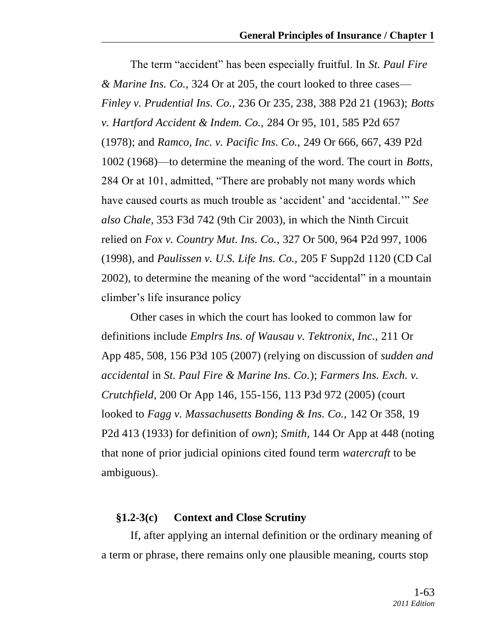The term "accident" has been especially fruitful. In *St. Paul Fire & Marine Ins. Co.,* 324 Or at 205, the court looked to three cases— *Finley v. Prudential Ins. Co.,* 236 Or 235, 238, 388 P2d 21 (1963); *Botts v. Hartford Accident & Indem. Co.,* 284 Or 95, 101, 585 P2d 657 (1978); and *Ramco, Inc. v. Pacific Ins. Co.,* 249 Or 666, 667, 439 P2d 1002 (1968)—to determine the meaning of the word. The court in *Botts,* 284 Or at 101, admitted, "There are probably not many words which have caused courts as much trouble as 'accident' and 'accidental.'" See *also Chale,* 353 F3d 742 (9th Cir 2003), in which the Ninth Circuit relied on *Fox v. Country Mut. Ins. Co.,* 327 Or 500, 964 P2d 997, 1006 (1998), and *Paulissen v. U.S. Life Ins. Co.,* 205 F Supp2d 1120 (CD Cal 2002), to determine the meaning of the word "accidental" in a mountain climber's life insurance policy

Other cases in which the court has looked to common law for definitions include *Emplrs Ins. of Wausau v. Tektronix, Inc.,* 211 Or App 485, 508, 156 P3d 105 (2007) (relying on discussion of *sudden and accidental* in *St. Paul Fire & Marine Ins. Co.*); *Farmers Ins. Exch. v. Crutchfield,* 200 Or App 146, 155-156, 113 P3d 972 (2005) (court looked to *Fagg v. Massachusetts Bonding & Ins. Co.,* 142 Or 358, 19 P2d 413 (1933) for definition of *own*); *Smith,* 144 Or App at 448 (noting that none of prior judicial opinions cited found term *watercraft* to be ambiguous).

### **§1.2-3(c) Context and Close Scrutiny**

If, after applying an internal definition or the ordinary meaning of a term or phrase, there remains only one plausible meaning, courts stop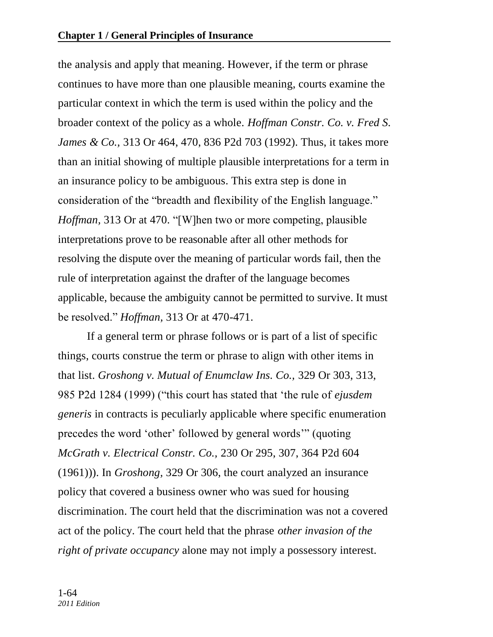the analysis and apply that meaning. However, if the term or phrase continues to have more than one plausible meaning, courts examine the particular context in which the term is used within the policy and the broader context of the policy as a whole. *Hoffman Constr. Co. v. Fred S. James & Co.,* 313 Or 464, 470, 836 P2d 703 (1992). Thus, it takes more than an initial showing of multiple plausible interpretations for a term in an insurance policy to be ambiguous. This extra step is done in consideration of the "breadth and flexibility of the English language." *Hoffman,* 313 Or at 470. "[W]hen two or more competing, plausible interpretations prove to be reasonable after all other methods for resolving the dispute over the meaning of particular words fail, then the rule of interpretation against the drafter of the language becomes applicable, because the ambiguity cannot be permitted to survive. It must be resolved.‖ *Hoffman,* 313 Or at 470-471.

If a general term or phrase follows or is part of a list of specific things, courts construe the term or phrase to align with other items in that list. *Groshong v. Mutual of Enumclaw Ins. Co.,* 329 Or 303, 313, 985 P2d 1284 (1999) ("this court has stated that 'the rule of *ejusdem generis* in contracts is peculiarly applicable where specific enumeration precedes the word 'other' followed by general words'" (quoting *McGrath v. Electrical Constr. Co.,* 230 Or 295, 307, 364 P2d 604 (1961))). In *Groshong,* 329 Or 306, the court analyzed an insurance policy that covered a business owner who was sued for housing discrimination. The court held that the discrimination was not a covered act of the policy. The court held that the phrase *other invasion of the right of private occupancy* alone may not imply a possessory interest.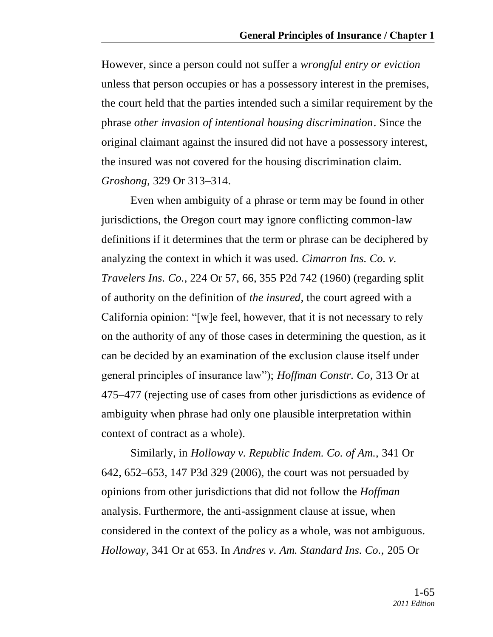However, since a person could not suffer a *wrongful entry or eviction* unless that person occupies or has a possessory interest in the premises, the court held that the parties intended such a similar requirement by the phrase *other invasion of intentional housing discrimination*. Since the original claimant against the insured did not have a possessory interest, the insured was not covered for the housing discrimination claim. *Groshong,* 329 Or 313–314.

Even when ambiguity of a phrase or term may be found in other jurisdictions, the Oregon court may ignore conflicting common-law definitions if it determines that the term or phrase can be deciphered by analyzing the context in which it was used. *Cimarron Ins. Co. v. Travelers Ins. Co.,* 224 Or 57, 66, 355 P2d 742 (1960) (regarding split of authority on the definition of *the insured*, the court agreed with a California opinion: "[w]e feel, however, that it is not necessary to rely on the authority of any of those cases in determining the question, as it can be decided by an examination of the exclusion clause itself under general principles of insurance law‖); *Hoffman Constr. Co,* 313 Or at 475–477 (rejecting use of cases from other jurisdictions as evidence of ambiguity when phrase had only one plausible interpretation within context of contract as a whole).

Similarly, in *Holloway v. Republic Indem. Co. of Am.,* 341 Or 642, 652–653, 147 P3d 329 (2006), the court was not persuaded by opinions from other jurisdictions that did not follow the *Hoffman* analysis. Furthermore, the anti-assignment clause at issue, when considered in the context of the policy as a whole, was not ambiguous. *Holloway,* 341 Or at 653. In *Andres v. Am. Standard Ins. Co.,* 205 Or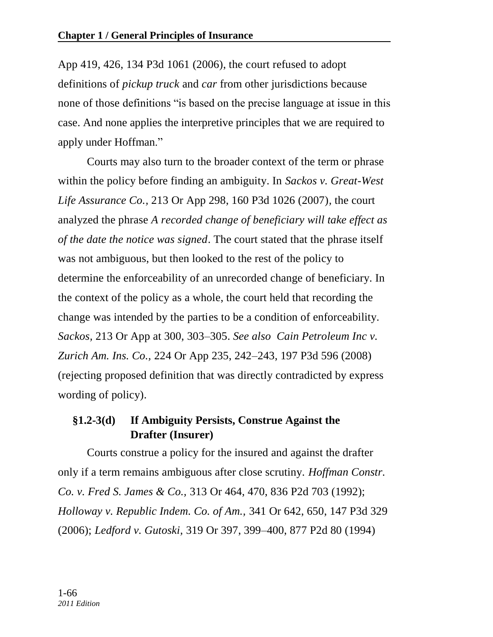App 419, 426, 134 P3d 1061 (2006), the court refused to adopt definitions of *pickup truck* and *car* from other jurisdictions because none of those definitions "is based on the precise language at issue in this case. And none applies the interpretive principles that we are required to apply under [Hoffman.](http://www.lexis.com/research/buttonTFLink?_m=304c8d8fda9321c895db8ceee5a20070&_xfercite=%3ccite%20cc%3d%22USA%22%3e%3c%21%5bCDATA%5b205%20Ore.%20App.%20419%5d%5d%3e%3c%2fcite%3e&_butType=3&_butStat=2&_butNum=25&_butInline=1&_butinfo=%3ccite%20cc%3d%22USA%22%3e%3c%21%5bCDATA%5b313%20Ore.%20464%5d%5d%3e%3c%2fcite%3e&_fmtstr=FULL&docnum=1&_startdoc=1&wchp=dGLzVzk-zSkAl&_md5=05106dd2d00b3fd4b054a3e3e533e9fd)"

Courts may also turn to the broader context of the term or phrase within the policy before finding an ambiguity. In *Sackos v. Great-West Life Assurance Co.,* 213 Or App 298, 160 P3d 1026 (2007)*,* the court analyzed the phrase *A recorded change of beneficiary will take effect as of the date the notice was signed*. The court stated that the phrase itself was not ambiguous, but then looked to the rest of the policy to determine the enforceability of an unrecorded change of beneficiary. In the context of the policy as a whole, the court held that recording the change was intended by the parties to be a condition of enforceability. *Sackos,* 213 Or App at 300, 303–305. *See also Cain Petroleum Inc v. Zurich Am. Ins. Co.,* 224 Or App 235, 242–243, 197 P3d 596 (2008) (rejecting proposed definition that was directly contradicted by express wording of policy).

# **§1.2-3(d) If Ambiguity Persists, Construe Against the Drafter (Insurer)**

Courts construe a policy for the insured and against the drafter only if a term remains ambiguous after close scrutiny. *Hoffman Constr. Co. v. Fred S. James & Co.,* 313 Or 464, 470, 836 P2d 703 (1992); *Holloway v. Republic Indem. Co. of Am.,* 341 Or 642, 650, 147 P3d 329 (2006); *Ledford v. Gutoski,* 319 Or 397, 399–400, 877 P2d 80 (1994)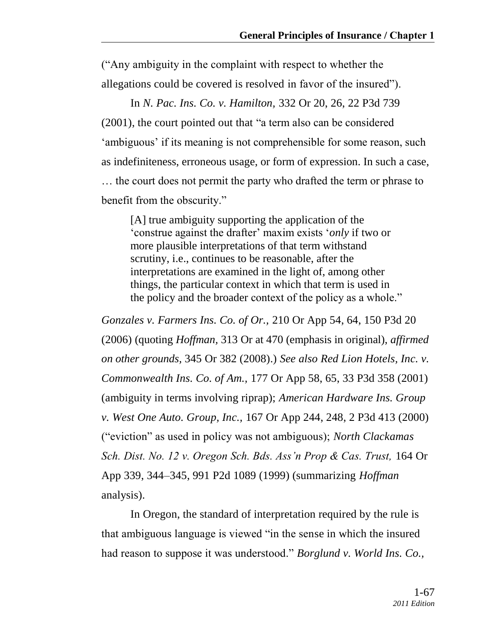(―Any ambiguity in the complaint with respect to whether the allegations could be covered is resolved in favor of the insured".

In *N. Pac. Ins. Co. v. Hamilton,* 332 Or 20, 26, 22 P3d 739  $(2001)$ , the court pointed out that "a term also can be considered 'ambiguous' if its meaning is not comprehensible for some reason, such as indefiniteness, erroneous usage, or form of expression. In such a case, … the court does not permit the party who drafted the term or phrase to benefit from the obscurity."

[A] true ambiguity supporting the application of the ‗construe against the drafter' maxim exists ‗*only* if two or more plausible interpretations of that term withstand scrutiny, i.e., continues to be reasonable, after the interpretations are examined in the light of, among other things, the particular context in which that term is used in the policy and the broader context of the policy as a whole."

*Gonzales v. Farmers Ins. Co. of Or.,* 210 Or App 54, 64, 150 P3d 20 (2006) (quoting *Hoffman,* 313 Or at 470 (emphasis in original), *affirmed on other grounds,* 345 Or 382 (2008).) *See also Red Lion Hotels, Inc. v. Commonwealth Ins. Co. of Am.,* 177 Or App 58, 65, 33 P3d 358 (2001) (ambiguity in terms involving riprap); *American Hardware Ins. Group v. West One Auto. Group, Inc.,* 167 Or App 244, 248, 2 P3d 413 (2000) (―eviction‖ as used in policy was not ambiguous); *North Clackamas Sch. Dist. No. 12 v. Oregon Sch. Bds. Ass'n Prop & Cas. Trust,* 164 Or App 339, 344–345, 991 P2d 1089 (1999) (summarizing *Hoffman* analysis).

In Oregon, the standard of interpretation required by the rule is that ambiguous language is viewed "in the sense in which the insured had reason to suppose it was understood." *Borglund v. World Ins. Co.*,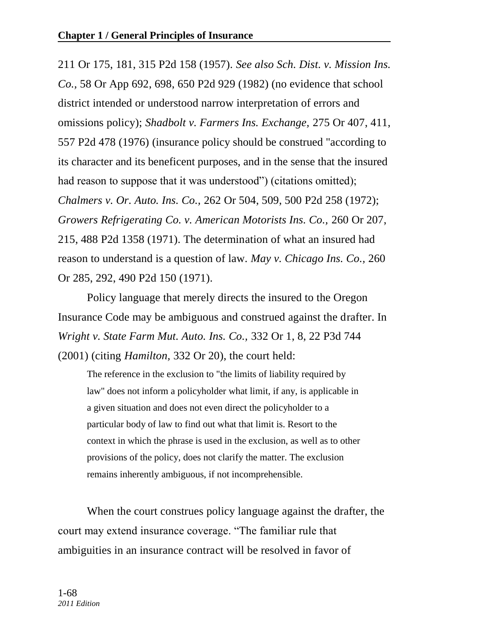211 Or 175, 181, 315 P2d 158 (1957). *See also Sch. Dist. v. Mission Ins. Co.,* 58 Or App 692, 698, 650 P2d 929 (1982) (no evidence that school district intended or understood narrow interpretation of errors and omissions policy); *Shadbolt v. Farmers Ins. Exchange,* 275 Or 407, 411, 557 P2d 478 (1976) (insurance policy should be construed "according to its character and its beneficent purposes, and in the sense that the insured had reason to suppose that it was understood") (citations omitted); *Chalmers v. Or. Auto. Ins. Co.,* 262 Or 504, 509, 500 P2d 258 (1972); *Growers Refrigerating Co. v. American Motorists Ins. Co.,* 260 Or 207, 215, 488 P2d 1358 (1971). The determination of what an insured had reason to understand is a question of law. *May v. Chicago Ins. Co.,* 260 Or 285, 292, 490 P2d 150 (1971).

Policy language that merely directs the insured to the Oregon Insurance Code may be ambiguous and construed against the drafter. In *Wright v. State Farm Mut. Auto. Ins. Co.,* 332 Or 1, 8, 22 P3d 744 (2001) (citing *Hamilton,* 332 Or 20), the court held:

The reference in the exclusion to "the limits of liability required by law" does not inform a policyholder what limit, if any, is applicable in a given situation and does not even direct the policyholder to a particular body of law to find out what that limit is. Resort to the context in which the phrase is used in the exclusion, as well as to other provisions of the policy, does not clarify the matter. The exclusion remains inherently ambiguous, if not incomprehensible.

When the court construes policy language against the drafter, the court may extend insurance coverage. "The familiar rule that ambiguities in an insurance contract will be resolved in favor of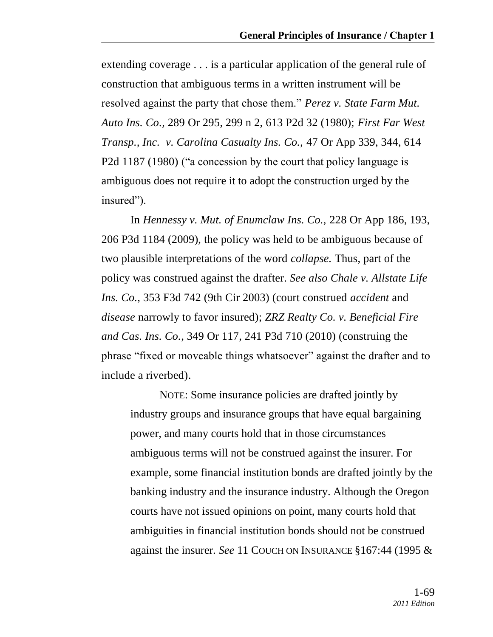extending coverage . . . is a particular application of the general rule of construction that ambiguous terms in a written instrument will be resolved against the party that chose them." Perez v. State Farm Mut. *Auto Ins. Co.,* 289 Or 295, 299 n 2, 613 P2d 32 (1980); *First Far West Transp., Inc. v. Carolina Casualty Ins. Co.,* 47 Or App 339, 344, 614 P2d 1187 (1980) ("a concession by the court that policy language is ambiguous does not require it to adopt the construction urged by the insured").

In *Hennessy v. Mut. of Enumclaw Ins. Co.,* 228 Or App 186, 193, 206 P3d 1184 (2009), the policy was held to be ambiguous because of two plausible interpretations of the word *collapse.* Thus, part of the policy was construed against the drafter. *See also Chale v. Allstate Life Ins. Co.,* 353 F3d 742 (9th Cir 2003) (court construed *accident* and *disease* narrowly to favor insured); *ZRZ Realty Co. v. Beneficial Fire and Cas. Ins. Co.*, 349 Or 117, 241 P3d 710 (2010) (construing the phrase "fixed or moveable things whatsoever" against the drafter and to include a riverbed).

NOTE: Some insurance policies are drafted jointly by industry groups and insurance groups that have equal bargaining power, and many courts hold that in those circumstances ambiguous terms will not be construed against the insurer. For example, some financial institution bonds are drafted jointly by the banking industry and the insurance industry. Although the Oregon courts have not issued opinions on point, many courts hold that ambiguities in financial institution bonds should not be construed against the insurer. *See* 11 COUCH ON INSURANCE §167:44 (1995 &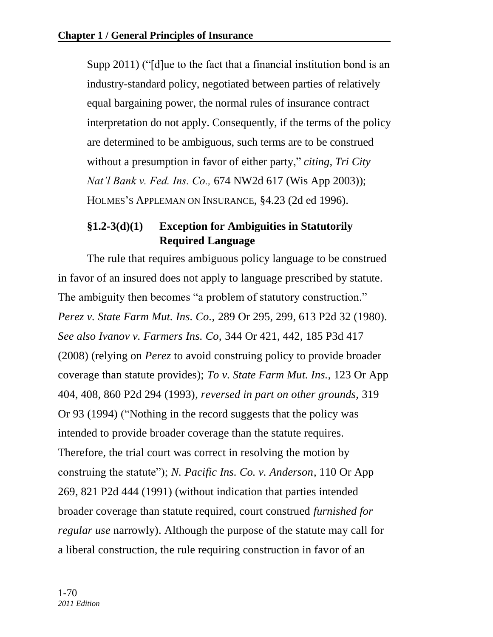Supp 2011) ( $\degree$ [d]ue to the fact that a financial institution bond is an industry-standard policy, negotiated between parties of relatively equal bargaining power, the normal rules of insurance contract interpretation do not apply. Consequently, if the terms of the policy are determined to be ambiguous, such terms are to be construed without a presumption in favor of either party," *citing, Tri City Nat'l Bank v. Fed. Ins. Co.,* 674 NW2d 617 (Wis App 2003)); HOLMES'S APPLEMAN ON INSURANCE, §4.23 (2d ed 1996).

# **§1.2-3(d)(1) Exception for Ambiguities in Statutorily Required Language**

The rule that requires ambiguous policy language to be construed in favor of an insured does not apply to language prescribed by statute. The ambiguity then becomes "a problem of statutory construction." *Perez v. State Farm Mut. Ins. Co.,* 289 Or 295, 299, 613 P2d 32 (1980). *See also Ivanov v. Farmers Ins. Co,* 344 Or 421, 442, 185 P3d 417 (2008) (relying on *Perez* to avoid construing policy to provide broader coverage than statute provides); *To v. State Farm Mut. Ins.,* 123 Or App 404, 408, 860 P2d 294 (1993), *reversed in part on other grounds,* 319 Or 93 (1994) ("Nothing in the record suggests that the policy was intended to provide broader coverage than the statute requires. Therefore, the trial court was correct in resolving the motion by construing the statute"); *N. Pacific Ins. Co. v. Anderson*, 110 Or App 269, 821 P2d 444 (1991) (without indication that parties intended broader coverage than statute required, court construed *furnished for regular use* narrowly). Although the purpose of the statute may call for a liberal construction, the rule requiring construction in favor of an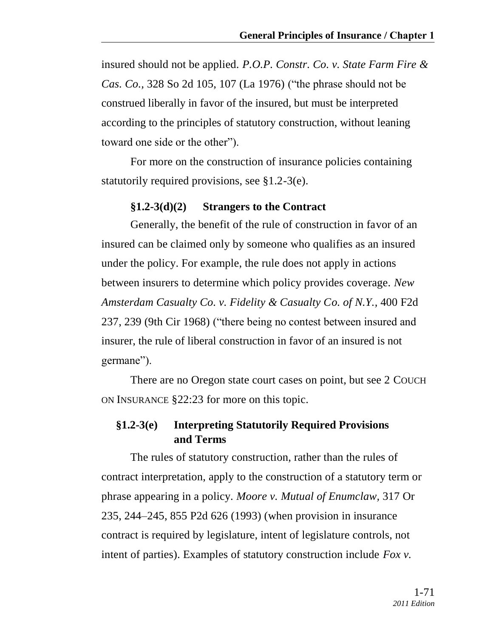insured should not be applied. *P.O.P. Constr. Co. v. State Farm Fire & Cas. Co.*, 328 So 2d 105, 107 (La 1976) ("the phrase should not be construed liberally in favor of the insured, but must be interpreted according to the principles of statutory construction, without leaning toward one side or the other".

For more on the construction of insurance policies containing statutorily required provisions, see §1.2-3(e).

### **§1.2-3(d)(2) Strangers to the Contract**

Generally, the benefit of the rule of construction in favor of an insured can be claimed only by someone who qualifies as an insured under the policy. For example, the rule does not apply in actions between insurers to determine which policy provides coverage. *New Amsterdam Casualty Co. v. Fidelity & Casualty Co. of N.Y.,* 400 F2d 237, 239 (9th Cir 1968) ("there being no contest between insured and insurer, the rule of liberal construction in favor of an insured is not germane").

There are no Oregon state court cases on point, but see 2 COUCH ON INSURANCE §22:23 for more on this topic.

# **§1.2-3(e) Interpreting Statutorily Required Provisions and Terms**

The rules of statutory construction, rather than the rules of contract interpretation, apply to the construction of a statutory term or phrase appearing in a policy. *Moore v. Mutual of Enumclaw,* 317 Or 235, 244–245, 855 P2d 626 (1993) (when provision in insurance contract is required by legislature, intent of legislature controls, not intent of parties). Examples of statutory construction include *Fox v.*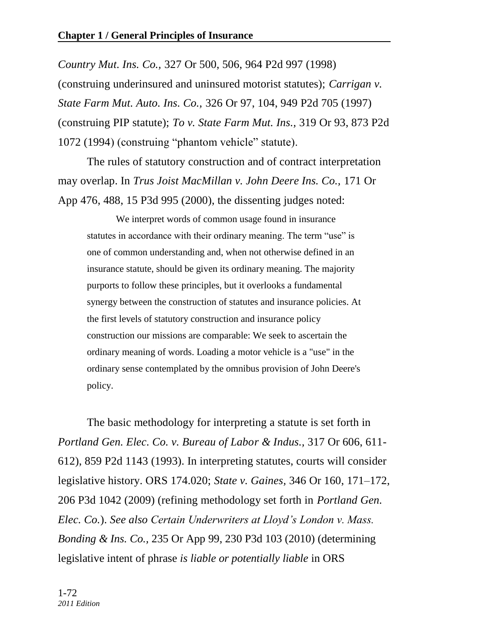*Country Mut. Ins. Co.,* 327 Or 500, 506, 964 P2d 997 (1998) (construing underinsured and uninsured motorist statutes); *Carrigan v. State Farm Mut. Auto. Ins. Co.,* 326 Or 97, 104, 949 P2d 705 (1997) (construing PIP statute); *To v. State Farm Mut. Ins.,* 319 Or 93, 873 P2d 1072 (1994) (construing "phantom vehicle" statute).

The rules of statutory construction and of contract interpretation may overlap. In *Trus Joist MacMillan v. John Deere Ins. Co.,* 171 Or App 476, 488, 15 P3d 995 (2000), the dissenting judges noted:

We interpret words of common usage found in insurance statutes in accordance with their ordinary meaning. The term "use" is one of common understanding and, when not otherwise defined in an insurance statute, should be given its ordinary meaning. The majority purports to follow these principles, but it overlooks a fundamental synergy between the construction of statutes and insurance policies. At the first levels of statutory construction and insurance policy construction our missions are comparable: We seek to ascertain the ordinary meaning of words. Loading a motor vehicle is a "use" in the ordinary sense contemplated by the omnibus provision of John Deere's policy.

The basic methodology for interpreting a statute is set forth in *Portland Gen. Elec. Co. v. Bureau of Labor & Indus.,* 317 Or 606, 611- 612), 859 P2d 1143 (1993). In interpreting statutes, courts will consider legislative history. ORS 174.020; *State v. Gaines,* 346 Or 160, 171–172, 206 P3d 1042 (2009) (refining methodology set forth in *Portland Gen. Elec. Co.*). *See also Certain Underwriters at Lloyd's London v. Mass. Bonding & Ins. Co.,* 235 Or App 99, 230 P3d 103 (2010) (determining legislative intent of phrase *is liable or potentially liable* in ORS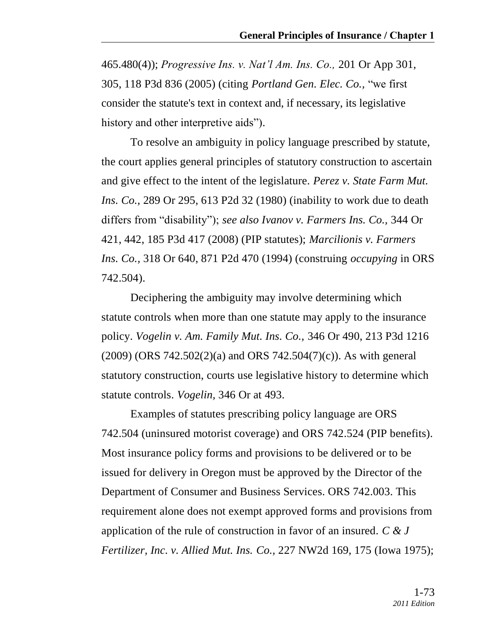465.480(4)); *Progressive Ins. v. Nat'l Am. Ins. Co.,* 201 Or App 301, 305, 118 P3d 836 (2005) (citing *Portland Gen. Elec. Co.,* ―we first consider the statute's text in context and, if necessary, its legislative history and other interpretive aids").

To resolve an ambiguity in policy language prescribed by statute, the court applies general principles of statutory construction to ascertain and give effect to the intent of the legislature. *Perez v. State Farm Mut. Ins. Co.,* 289 Or 295, 613 P2d 32 (1980) (inability to work due to death differs from "disability"); *see also Ivanov v. Farmers Ins. Co.*, 344 Or 421, 442, 185 P3d 417 (2008) (PIP statutes); *Marcilionis v. Farmers Ins. Co.,* 318 Or 640, 871 P2d 470 (1994) (construing *occupying* in ORS 742.504).

Deciphering the ambiguity may involve determining which statute controls when more than one statute may apply to the insurance policy. *Vogelin v. Am. Family Mut. Ins. Co.,* 346 Or 490, 213 P3d 1216  $(2009)$  (ORS 742.502 $(2)$ (a) and ORS 742.504 $(7)$ (c)). As with general statutory construction, courts use legislative history to determine which statute controls. *Vogelin,* 346 Or at 493.

Examples of statutes prescribing policy language are ORS 742.504 (uninsured motorist coverage) and ORS 742.524 (PIP benefits). Most insurance policy forms and provisions to be delivered or to be issued for delivery in Oregon must be approved by the Director of the Department of Consumer and Business Services. ORS 742.003. This requirement alone does not exempt approved forms and provisions from application of the rule of construction in favor of an insured. *C & J Fertilizer, Inc. v. Allied Mut. Ins. Co.,* 227 NW2d 169, 175 (Iowa 1975);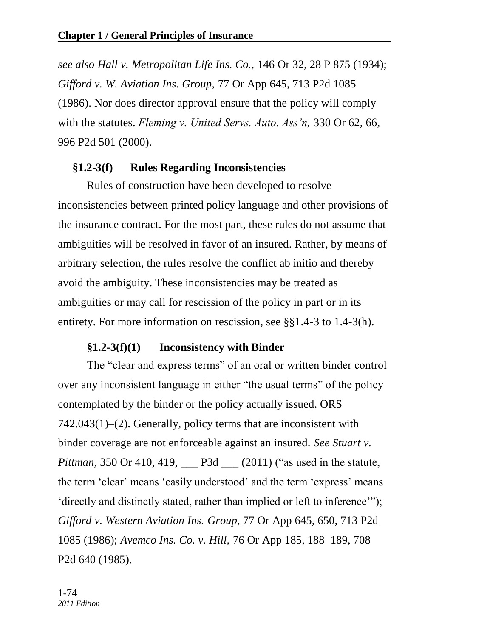*see also Hall v. Metropolitan Life Ins. Co.,* 146 Or 32, 28 P 875 (1934); *Gifford v. W. Aviation Ins. Group,* 77 Or App 645, 713 P2d 1085 (1986). Nor does director approval ensure that the policy will comply with the statutes. *Fleming v. United Servs. Auto. Ass'n,* 330 Or 62, 66, 996 P2d 501 (2000).

#### **§1.2-3(f) Rules Regarding Inconsistencies**

Rules of construction have been developed to resolve inconsistencies between printed policy language and other provisions of the insurance contract. For the most part, these rules do not assume that ambiguities will be resolved in favor of an insured. Rather, by means of arbitrary selection, the rules resolve the conflict ab initio and thereby avoid the ambiguity. These inconsistencies may be treated as ambiguities or may call for rescission of the policy in part or in its entirety. For more information on rescission, see §§1.4-3 to 1.4-3(h).

#### **§1.2-3(f)(1) Inconsistency with Binder**

The "clear and express terms" of an oral or written binder control over any inconsistent language in either "the usual terms" of the policy contemplated by the binder or the policy actually issued. ORS 742.043(1)–(2). Generally, policy terms that are inconsistent with binder coverage are not enforceable against an insured. *See Stuart v. Pittman,* 350 Or 410, 419, <u>\_\_\_</u> P3d \_\_\_ (2011) ("as used in the statute, the term 'clear' means 'easily understood' and the term 'express' means 'directly and distinctly stated, rather than implied or left to inference'''); *Gifford v. Western Aviation Ins. Group,* 77 Or App 645, 650, 713 P2d 1085 (1986); *Avemco Ins. Co. v. Hill,* 76 Or App 185, 188–189, 708 P2d 640 (1985).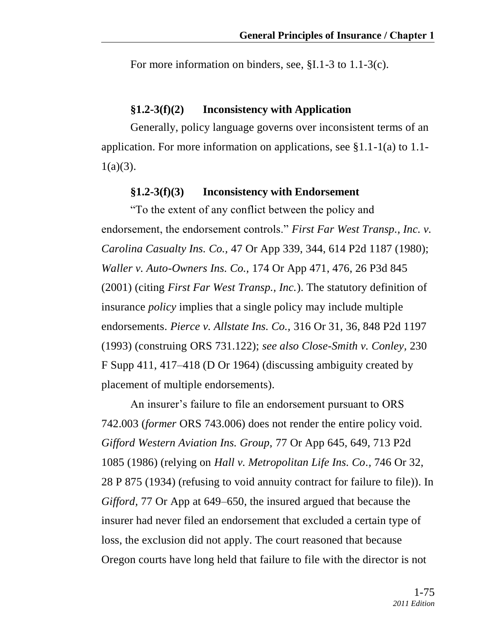For more information on binders, see, §I.1-3 to 1.1-3(c).

### **§1.2-3(f)(2) Inconsistency with Application**

Generally, policy language governs over inconsistent terms of an application. For more information on applications, see §1.1-1(a) to 1.1-  $1(a)(3)$ .

### **§1.2-3(f)(3) Inconsistency with Endorsement**

―To the extent of any conflict between the policy and endorsement, the endorsement controls." *First Far West Transp., Inc. v. Carolina Casualty Ins. Co.,* 47 Or App 339, 344, 614 P2d 1187 (1980); *Waller v. Auto-Owners Ins. Co.,* 174 Or App 471, 476, 26 P3d 845 (2001) (citing *First Far West Transp., Inc.*). The statutory definition of insurance *policy* implies that a single policy may include multiple endorsements. *Pierce v. Allstate Ins. Co.,* 316 Or 31, 36, 848 P2d 1197 (1993) (construing ORS 731.122); *see also Close-Smith v. Conley,* 230 F Supp 411, 417–418 (D Or 1964) (discussing ambiguity created by placement of multiple endorsements).

An insurer's failure to file an endorsement pursuant to ORS 742.003 (*former* ORS 743.006) does not render the entire policy void. *Gifford Western Aviation Ins. Group,* 77 Or App 645, 649, 713 P2d 1085 (1986) (relying on *Hall v. Metropolitan Life Ins. Co.,* 746 Or 32, 28 P 875 (1934) (refusing to void annuity contract for failure to file)). In *Gifford,* 77 Or App at 649–650, the insured argued that because the insurer had never filed an endorsement that excluded a certain type of loss, the exclusion did not apply. The court reasoned that because Oregon courts have long held that failure to file with the director is not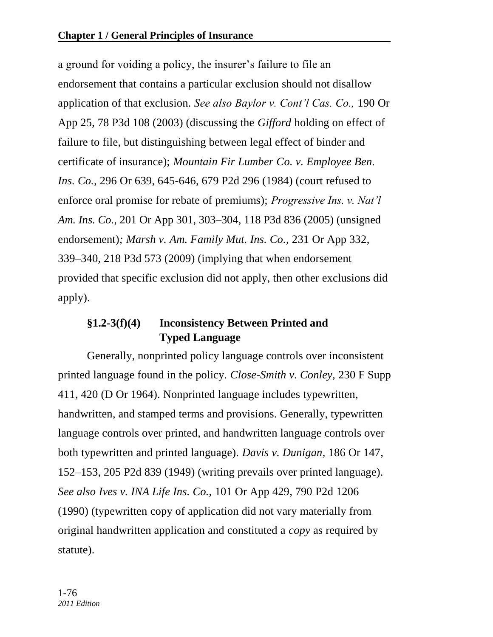a ground for voiding a policy, the insurer's failure to file an endorsement that contains a particular exclusion should not disallow application of that exclusion. *See also Baylor v. Cont'l Cas. Co.,* 190 Or App 25, 78 P3d 108 (2003) (discussing the *Gifford* holding on effect of failure to file, but distinguishing between legal effect of binder and certificate of insurance); *Mountain Fir Lumber Co. v. Employee Ben. Ins. Co.,* 296 Or 639, 645-646, 679 P2d 296 (1984) (court refused to enforce oral promise for rebate of premiums); *Progressive Ins. v. Nat'l Am. Ins. Co.,* 201 Or App 301, 303–304, 118 P3d 836 (2005) (unsigned endorsement)*; Marsh v. Am. Family Mut. Ins. Co.,* 231 Or App 332, 339–340, 218 P3d 573 (2009) (implying that when endorsement provided that specific exclusion did not apply, then other exclusions did apply).

# **§1.2-3(f)(4) Inconsistency Between Printed and Typed Language**

Generally, nonprinted policy language controls over inconsistent printed language found in the policy. *Close-Smith v. Conley,* 230 F Supp 411, 420 (D Or 1964). Nonprinted language includes typewritten, handwritten, and stamped terms and provisions. Generally, typewritten language controls over printed, and handwritten language controls over both typewritten and printed language). *Davis v. Dunigan,* 186 Or 147, 152–153, 205 P2d 839 (1949) (writing prevails over printed language). *See also Ives v. INA Life Ins. Co.,* 101 Or App 429, 790 P2d 1206 (1990) (typewritten copy of application did not vary materially from original handwritten application and constituted a *copy* as required by statute).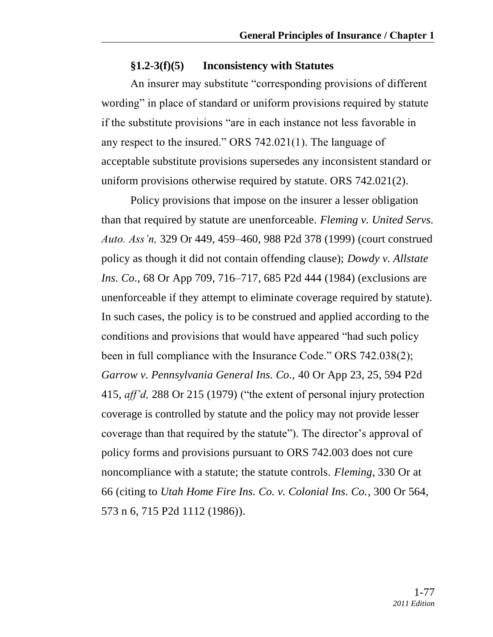### **§1.2-3(f)(5) Inconsistency with Statutes**

An insurer may substitute "corresponding provisions of different wording" in place of standard or uniform provisions required by statute if the substitute provisions "are in each instance not less favorable in any respect to the insured." ORS  $742.021(1)$ . The language of acceptable substitute provisions supersedes any inconsistent standard or uniform provisions otherwise required by statute. ORS 742.021(2).

Policy provisions that impose on the insurer a lesser obligation than that required by statute are unenforceable. *Fleming v. United Servs. Auto. Ass'n,* 329 Or 449, 459–460, 988 P2d 378 (1999) (court construed policy as though it did not contain offending clause); *Dowdy v. Allstate Ins. Co.,* 68 Or App 709, 716–717, 685 P2d 444 (1984) (exclusions are unenforceable if they attempt to eliminate coverage required by statute). In such cases, the policy is to be construed and applied according to the conditions and provisions that would have appeared "had such policy" been in full compliance with the Insurance Code." ORS 742.038(2); *Garrow v. Pennsylvania General Ins. Co.,* 40 Or App 23, 25, 594 P2d 415, *aff'd*, 288 Or 215 (1979) ("the extent of personal injury protection coverage is controlled by statute and the policy may not provide lesser coverage than that required by the statute"). The director's approval of policy forms and provisions pursuant to ORS 742.003 does not cure noncompliance with a statute; the statute controls. *Fleming*, 330 Or at 66 (citing to *Utah Home Fire Ins. Co. v. Colonial Ins. Co.*, 300 Or 564, 573 n 6, 715 P2d 1112 (1986)).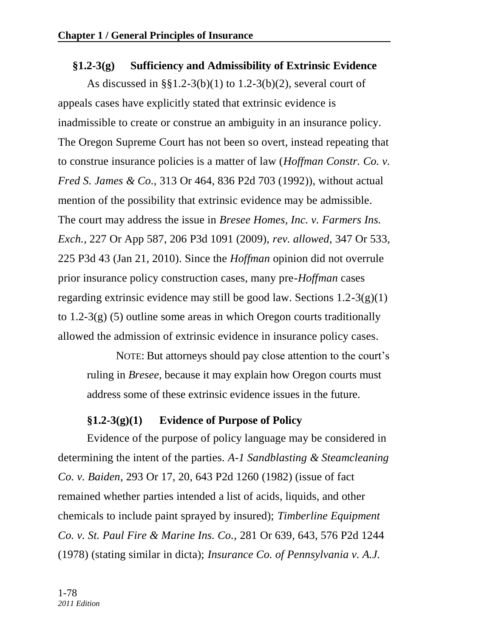# **§1.2-3(g) Sufficiency and Admissibility of Extrinsic Evidence**

As discussed in §§1.2-3(b)(1) to 1.2-3(b)(2), several court of appeals cases have explicitly stated that extrinsic evidence is inadmissible to create or construe an ambiguity in an insurance policy. The Oregon Supreme Court has not been so overt, instead repeating that to construe insurance policies is a matter of law (*Hoffman Constr. Co. v. Fred S. James & Co.,* 313 Or 464, 836 P2d 703 (1992)), without actual mention of the possibility that extrinsic evidence may be admissible. The court may address the issue in *Bresee Homes, Inc. v. Farmers Ins. Exch.,* 227 Or App 587, 206 P3d 1091 (2009), *rev. allowed,* 347 Or 533, 225 P3d 43 (Jan 21, 2010). Since the *Hoffman* opinion did not overrule prior insurance policy construction cases, many pre-*Hoffman* cases regarding extrinsic evidence may still be good law. Sections  $1.2\n-3(g)(1)$ to 1.2-3(g) (5) outline some areas in which Oregon courts traditionally allowed the admission of extrinsic evidence in insurance policy cases.

NOTE: But attorneys should pay close attention to the court's ruling in *Bresee,* because it may explain how Oregon courts must address some of these extrinsic evidence issues in the future.

### **§1.2-3(g)(1) Evidence of Purpose of Policy**

Evidence of the purpose of policy language may be considered in determining the intent of the parties. *A-1 Sandblasting & Steamcleaning Co. v. Baiden,* 293 Or 17, 20, 643 P2d 1260 (1982) (issue of fact remained whether parties intended a list of acids, liquids, and other chemicals to include paint sprayed by insured); *Timberline Equipment Co. v. St. Paul Fire & Marine Ins. Co.,* 281 Or 639, 643, 576 P2d 1244 (1978) (stating similar in dicta); *Insurance Co. of Pennsylvania v. A.J.*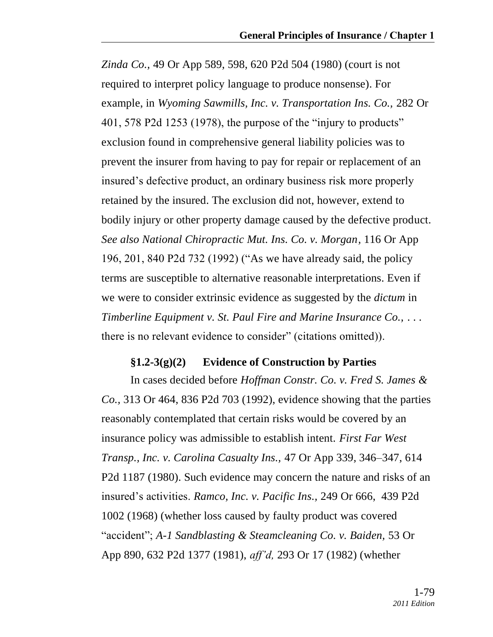*Zinda Co.,* 49 Or App 589, 598, 620 P2d 504 (1980) (court is not required to interpret policy language to produce nonsense). For example, in *Wyoming Sawmills, Inc. v. Transportation Ins. Co.,* 282 Or 401, 578 P2d 1253 (1978), the purpose of the "injury to products" exclusion found in comprehensive general liability policies was to prevent the insurer from having to pay for repair or replacement of an insured's defective product, an ordinary business risk more properly retained by the insured. The exclusion did not, however, extend to bodily injury or other property damage caused by the defective product. *See also National Chiropractic Mut. Ins. Co. v. Morgan,* 116 Or App 196, 201, 840 P2d 732 (1992) ("As we have already said, the policy terms are susceptible to alternative reasonable interpretations. Even if we were to consider extrinsic evidence as suggested by the *dictum* in *Timberline Equipment v. St. Paul Fire and Marine Insurance Co.,* . . . there is no relevant evidence to consider" (citations omitted)).

#### **§1.2-3(g)(2) Evidence of Construction by Parties**

In cases decided before *Hoffman Constr. Co. v. Fred S. James & Co.,* 313 Or 464, 836 P2d 703 (1992), evidence showing that the parties reasonably contemplated that certain risks would be covered by an insurance policy was admissible to establish intent. *First Far West Transp., Inc. v. Carolina Casualty Ins.,* 47 Or App 339, 346–347, 614 P2d 1187 (1980). Such evidence may concern the nature and risks of an insured's activities. *Ramco, Inc. v. Pacific Ins.,* 249 Or 666, 439 P2d 1002 (1968) (whether loss caused by faulty product was covered ―accident‖; *A-1 Sandblasting & Steamcleaning Co. v. Baiden,* 53 Or App 890, 632 P2d 1377 (1981), *aff'd,* 293 Or 17 (1982) (whether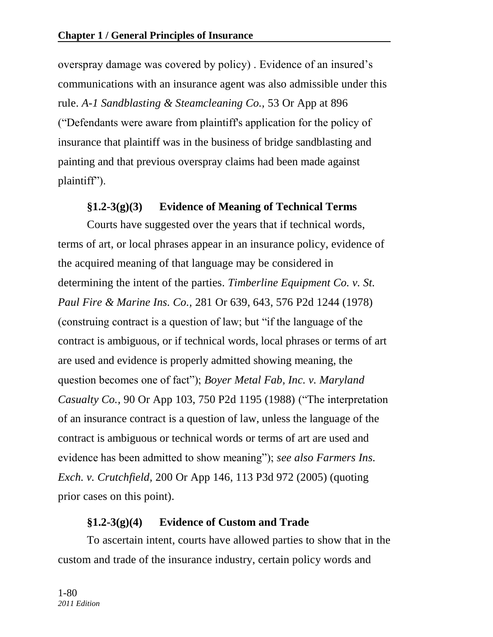overspray damage was covered by policy) . Evidence of an insured's communications with an insurance agent was also admissible under this rule. *A-1 Sandblasting & Steamcleaning Co.,* 53 Or App at 896 (―Defendants were aware from plaintiff's application for the policy of insurance that plaintiff was in the business of bridge sandblasting and painting and that previous overspray claims had been made against  $plaintextff$ <sup>"</sup>).

### **§1.2-3(g)(3) Evidence of Meaning of Technical Terms**

Courts have suggested over the years that if technical words, terms of art, or local phrases appear in an insurance policy, evidence of the acquired meaning of that language may be considered in determining the intent of the parties. *Timberline Equipment Co. v. St. Paul Fire & Marine Ins. Co.,* 281 Or 639, 643, 576 P2d 1244 (1978) (construing contract is a question of law; but "if the language of the contract is ambiguous, or if technical words, local phrases or terms of art are used and evidence is properly admitted showing meaning, the question becomes one of fact"); *Boyer Metal Fab, Inc. v. Maryland Casualty Co.,* 90 Or App 103, 750 P2d 1195 (1988) ("The interpretation of an insurance contract is a question of law, unless the language of the contract is ambiguous or technical words or terms of art are used and evidence has been admitted to show meaning"); *see also Farmers Ins. Exch. v. Crutchfield,* 200 Or App 146, 113 P3d 972 (2005) (quoting prior cases on this point).

### **§1.2-3(g)(4) Evidence of Custom and Trade**

To ascertain intent, courts have allowed parties to show that in the custom and trade of the insurance industry, certain policy words and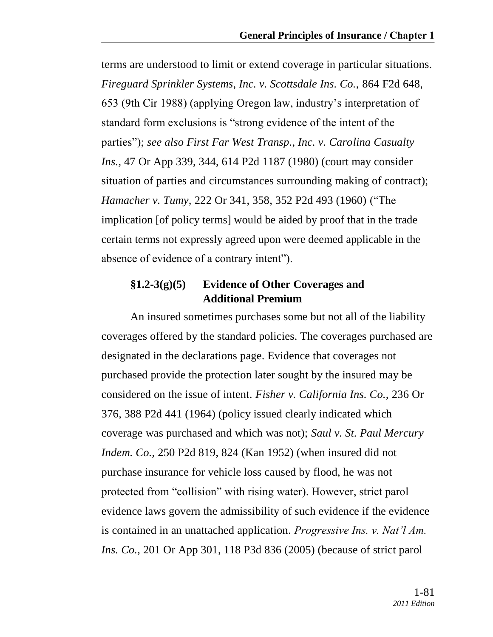terms are understood to limit or extend coverage in particular situations. *Fireguard Sprinkler Systems, Inc. v. Scottsdale Ins. Co.,* 864 F2d 648, 653 (9th Cir 1988) (applying Oregon law, industry's interpretation of standard form exclusions is "strong evidence of the intent of the parties"); *see also First Far West Transp., Inc. v. Carolina Casualty Ins.,* 47 Or App 339, 344, 614 P2d 1187 (1980) (court may consider situation of parties and circumstances surrounding making of contract); *Hamacher v. Tumy,* 222 Or 341, 358, 352 P2d 493 (1960) ("The implication [of policy terms] would be aided by proof that in the trade certain terms not expressly agreed upon were deemed applicable in the absence of evidence of a contrary intent").

# **§1.2-3(g)(5) Evidence of Other Coverages and Additional Premium**

An insured sometimes purchases some but not all of the liability coverages offered by the standard policies. The coverages purchased are designated in the declarations page. Evidence that coverages not purchased provide the protection later sought by the insured may be considered on the issue of intent. *Fisher v. California Ins. Co.,* 236 Or 376, 388 P2d 441 (1964) (policy issued clearly indicated which coverage was purchased and which was not); *Saul v. St. Paul Mercury Indem. Co.,* 250 P2d 819, 824 (Kan 1952) (when insured did not purchase insurance for vehicle loss caused by flood, he was not protected from "collision" with rising water). However, strict parol evidence laws govern the admissibility of such evidence if the evidence is contained in an unattached application. *Progressive Ins. v. Nat'l Am. Ins. Co.,* 201 Or App 301, 118 P3d 836 (2005) (because of strict parol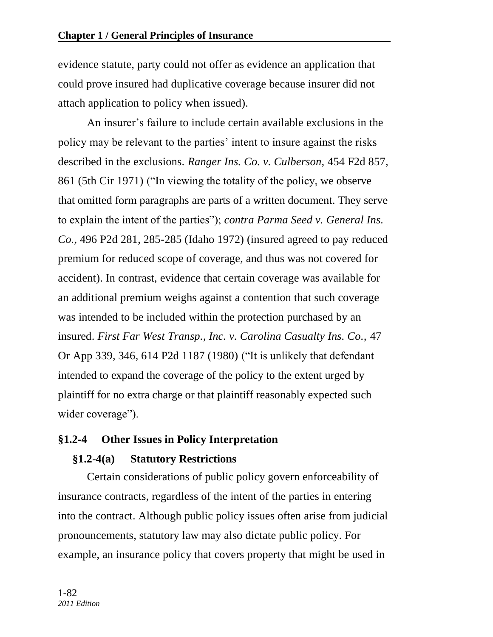evidence statute, party could not offer as evidence an application that could prove insured had duplicative coverage because insurer did not attach application to policy when issued).

An insurer's failure to include certain available exclusions in the policy may be relevant to the parties' intent to insure against the risks described in the exclusions. *Ranger Ins. Co. v. Culberson,* 454 F2d 857, 861 (5th Cir 1971) ("In viewing the totality of the policy, we observe that omitted form paragraphs are parts of a written document. They serve to explain the intent of the parties"); *contra Parma Seed v. General Ins. Co.,* 496 P2d 281, 285-285 (Idaho 1972) (insured agreed to pay reduced premium for reduced scope of coverage, and thus was not covered for accident). In contrast, evidence that certain coverage was available for an additional premium weighs against a contention that such coverage was intended to be included within the protection purchased by an insured. *First Far West Transp., Inc. v. Carolina Casualty Ins. Co.,* 47 Or App 339, 346, 614 P2d 1187 (1980) ("It is unlikely that defendant intended to expand the coverage of the policy to the extent urged by plaintiff for no extra charge or that plaintiff reasonably expected such wider coverage").

# **§1.2-4 Other Issues in Policy Interpretation**

# **§1.2-4(a) Statutory Restrictions**

Certain considerations of public policy govern enforceability of insurance contracts, regardless of the intent of the parties in entering into the contract. Although public policy issues often arise from judicial pronouncements, statutory law may also dictate public policy. For example, an insurance policy that covers property that might be used in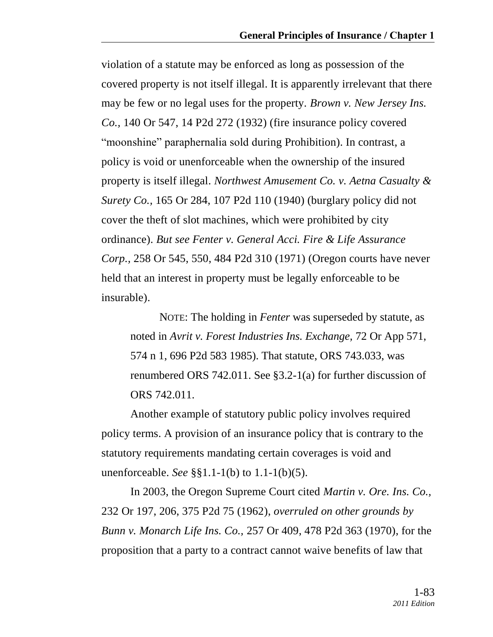violation of a statute may be enforced as long as possession of the covered property is not itself illegal. It is apparently irrelevant that there may be few or no legal uses for the property. *Brown v. New Jersey Ins. Co.,* 140 Or 547, 14 P2d 272 (1932) (fire insurance policy covered "moonshine" paraphernalia sold during Prohibition). In contrast, a policy is void or unenforceable when the ownership of the insured property is itself illegal. *Northwest Amusement Co. v. Aetna Casualty & Surety Co.,* 165 Or 284, 107 P2d 110 (1940) (burglary policy did not cover the theft of slot machines, which were prohibited by city ordinance). *But see Fenter v. General Acci. Fire & Life Assurance Corp.,* 258 Or 545, 550, 484 P2d 310 (1971) (Oregon courts have never held that an interest in property must be legally enforceable to be insurable).

NOTE: The holding in *Fenter* was superseded by statute, as noted in *Avrit v. Forest Industries Ins. Exchange,* 72 Or App 571, 574 n 1, 696 P2d 583 1985). That statute, ORS 743.033, was renumbered ORS 742.011. See §3.2-1(a) for further discussion of ORS 742.011.

Another example of statutory public policy involves required policy terms. A provision of an insurance policy that is contrary to the statutory requirements mandating certain coverages is void and unenforceable. *See* §§1.1-1(b) to 1.1-1(b)(5).

In 2003, the Oregon Supreme Court cited *Martin v. Ore. Ins. Co.,* 232 Or 197, 206, 375 P2d 75 (1962), *overruled on other grounds by Bunn v. Monarch Life Ins. Co.,* 257 Or 409, 478 P2d 363 (1970), for the proposition that a party to a contract cannot waive benefits of law that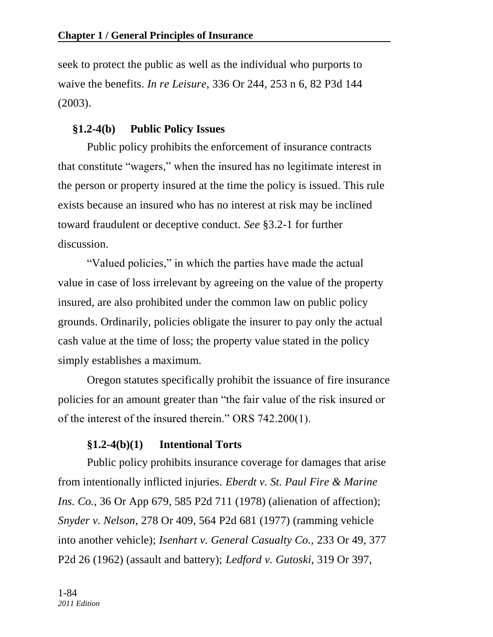seek to protect the public as well as the individual who purports to waive the benefits. *In re Leisure,* 336 Or 244, 253 n 6, 82 P3d 144 (2003).

### **§1.2-4(b) Public Policy Issues**

Public policy prohibits the enforcement of insurance contracts that constitute "wagers," when the insured has no legitimate interest in the person or property insured at the time the policy is issued. This rule exists because an insured who has no interest at risk may be inclined toward fraudulent or deceptive conduct. *See* §3.2-1 for further discussion.

"Valued policies," in which the parties have made the actual value in case of loss irrelevant by agreeing on the value of the property insured, are also prohibited under the common law on public policy grounds. Ordinarily, policies obligate the insurer to pay only the actual cash value at the time of loss; the property value stated in the policy simply establishes a maximum.

Oregon statutes specifically prohibit the issuance of fire insurance policies for an amount greater than "the fair value of the risk insured or of the interest of the insured therein." ORS  $742.200(1)$ .

### **§1.2-4(b)(1) Intentional Torts**

Public policy prohibits insurance coverage for damages that arise from intentionally inflicted injuries. *Eberdt v. St. Paul Fire & Marine Ins. Co.,* 36 Or App 679, 585 P2d 711 (1978) (alienation of affection); *Snyder v. Nelson,* 278 Or 409, 564 P2d 681 (1977) (ramming vehicle into another vehicle); *Isenhart v. General Casualty Co.,* 233 Or 49, 377 P2d 26 (1962) (assault and battery); *Ledford v. Gutoski,* 319 Or 397,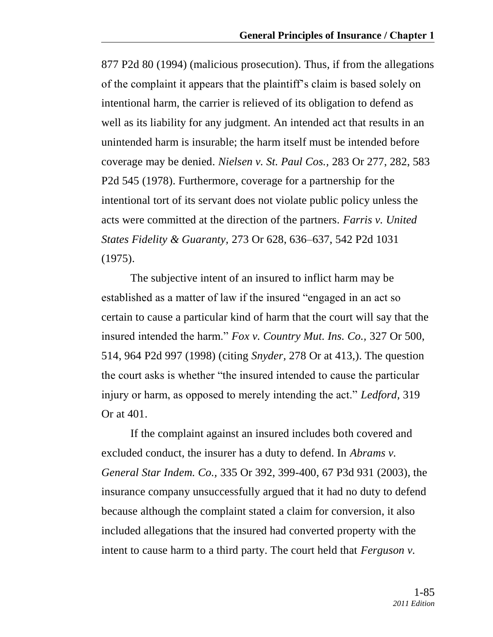877 P2d 80 (1994) (malicious prosecution). Thus, if from the allegations of the complaint it appears that the plaintiff's claim is based solely on intentional harm, the carrier is relieved of its obligation to defend as well as its liability for any judgment. An intended act that results in an unintended harm is insurable; the harm itself must be intended before coverage may be denied. *Nielsen v. St. Paul Cos.,* 283 Or 277, 282, 583 P2d 545 (1978). Furthermore, coverage for a partnership for the intentional tort of its servant does not violate public policy unless the acts were committed at the direction of the partners. *Farris v. United States Fidelity & Guaranty,* 273 Or 628, 636–637, 542 P2d 1031 (1975).

The subjective intent of an insured to inflict harm may be established as a matter of law if the insured "engaged in an act so certain to cause a particular kind of harm that the court will say that the insured intended the harm.‖ *Fox v. Country Mut. Ins. Co.,* 327 Or 500, 514, 964 P2d 997 (1998) (citing *Snyder,* 278 Or at 413,). The question the court asks is whether "the insured intended to cause the particular injury or harm, as opposed to merely intending the act." *Ledford*, 319 Or at 401.

If the complaint against an insured includes both covered and excluded conduct, the insurer has a duty to defend. In *Abrams v. General Star Indem. Co.,* 335 Or 392, 399-400, 67 P3d 931 (2003), the insurance company unsuccessfully argued that it had no duty to defend because although the complaint stated a claim for conversion, it also included allegations that the insured had converted property with the intent to cause harm to a third party. The court held that *Ferguson v.*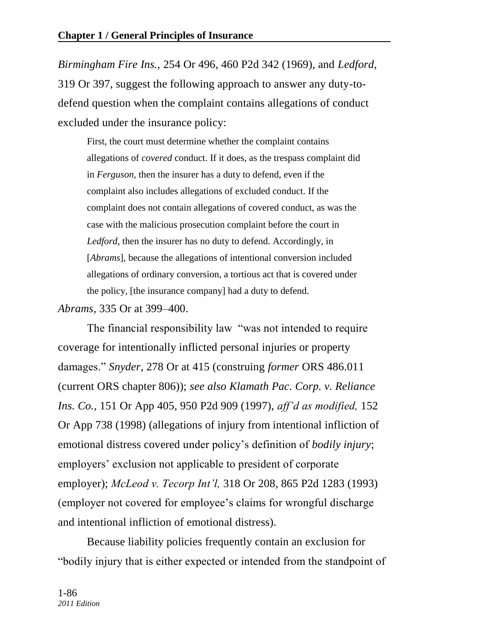*Birmingham Fire Ins.,* 254 Or 496, 460 P2d 342 (1969), and *Ledford,* 319 Or 397, suggest the following approach to answer any duty-todefend question when the complaint contains allegations of conduct excluded under the insurance policy:

First, the court must determine whether the complaint contains allegations of *covered* conduct. If it does, as the trespass complaint did in *Ferguson,* then the insurer has a duty to defend, even if the complaint also includes allegations of excluded conduct. If the complaint does not contain allegations of covered conduct, as was the case with the malicious prosecution complaint before the court in *Ledford,* then the insurer has no duty to defend. Accordingly, in [*Abrams*]*,* because the allegations of intentional conversion included allegations of ordinary conversion, a tortious act that is covered under the policy, [the insurance company] had a duty to defend.

*Abrams,* 335 Or at 399–400.

The financial responsibility law "was not intended to require coverage for intentionally inflicted personal injuries or property damages.‖ *Snyder,* 278 Or at 415 (construing *former* ORS 486.011 (current ORS chapter 806)); *see also Klamath Pac. Corp. v. Reliance Ins. Co.,* 151 Or App 405, 950 P2d 909 (1997), *aff'd as modified,* 152 Or App 738 (1998) (allegations of injury from intentional infliction of emotional distress covered under policy's definition of *bodily injury*; employers' exclusion not applicable to president of corporate employer); *McLeod v. Tecorp Int'l,* 318 Or 208, 865 P2d 1283 (1993) (employer not covered for employee's claims for wrongful discharge and intentional infliction of emotional distress).

Because liability policies frequently contain an exclusion for ―bodily injury that is either expected or intended from the standpoint of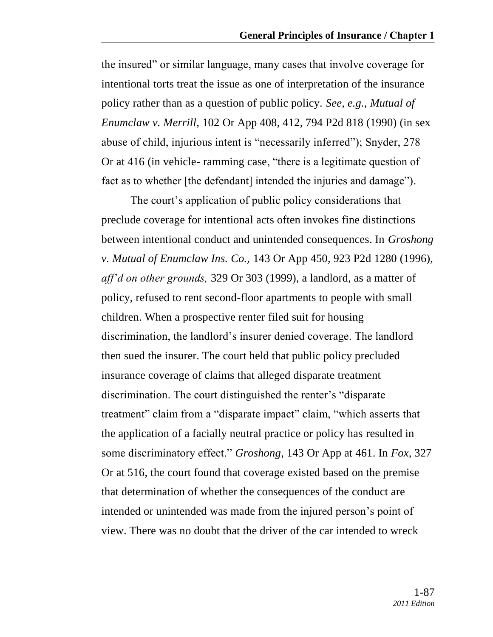the insured" or similar language, many cases that involve coverage for intentional torts treat the issue as one of interpretation of the insurance policy rather than as a question of public policy. *See, e.g., Mutual of Enumclaw v. Merrill,* 102 Or App 408, 412, 794 P2d 818 (1990) (in sex abuse of child, injurious intent is "necessarily inferred"); Snyder, 278 Or at 416 (in vehicle- ramming case, "there is a legitimate question of fact as to whether [the defendant] intended the injuries and damage").

The court's application of public policy considerations that preclude coverage for intentional acts often invokes fine distinctions between intentional conduct and unintended consequences. In *Groshong v. Mutual of Enumclaw Ins. Co.,* 143 Or App 450, 923 P2d 1280 (1996), *aff'd on other grounds,* 329 Or 303 (1999), a landlord, as a matter of policy, refused to rent second-floor apartments to people with small children. When a prospective renter filed suit for housing discrimination, the landlord's insurer denied coverage. The landlord then sued the insurer. The court held that public policy precluded insurance coverage of claims that alleged disparate treatment discrimination. The court distinguished the renter's "disparate" treatment" claim from a "disparate impact" claim, "which asserts that the application of a facially neutral practice or policy has resulted in some discriminatory effect.‖ *Groshong,* 143 Or App at 461. In *Fox,* 327 Or at 516, the court found that coverage existed based on the premise that determination of whether the consequences of the conduct are intended or unintended was made from the injured person's point of view. There was no doubt that the driver of the car intended to wreck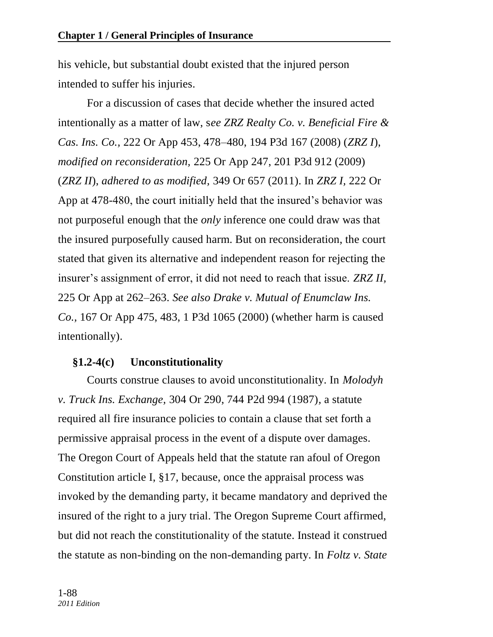his vehicle, but substantial doubt existed that the injured person intended to suffer his injuries.

For a discussion of cases that decide whether the insured acted intentionally as a matter of law, s*ee ZRZ Realty Co. v. Beneficial Fire & Cas. Ins. Co.,* 222 Or App 453, 478–480, 194 P3d 167 (2008) (*ZRZ I*), *modified on reconsideration,* 225 Or App 247, 201 P3d 912 (2009) (*ZRZ II*), *adhered to as modified,* 349 Or 657 (2011). In *ZRZ I,* 222 Or App at 478-480, the court initially held that the insured's behavior was not purposeful enough that the *only* inference one could draw was that the insured purposefully caused harm. But on reconsideration, the court stated that given its alternative and independent reason for rejecting the insurer's assignment of error, it did not need to reach that issue. *ZRZ II,* 225 Or App at 262–263. *See also Drake v. Mutual of Enumclaw Ins. Co.,* 167 Or App 475, 483, 1 P3d 1065 (2000) (whether harm is caused intentionally).

# **§1.2-4(c) Unconstitutionality**

Courts construe clauses to avoid unconstitutionality. In *Molodyh v. Truck Ins. Exchange,* 304 Or 290, 744 P2d 994 (1987)*,* a statute required all fire insurance policies to contain a clause that set forth a permissive appraisal process in the event of a dispute over damages. The Oregon Court of Appeals held that the statute ran afoul of Oregon Constitution article I, §17, because, once the appraisal process was invoked by the demanding party, it became mandatory and deprived the insured of the right to a jury trial. The Oregon Supreme Court affirmed, but did not reach the constitutionality of the statute. Instead it construed the statute as non-binding on the non-demanding party. In *Foltz v. State*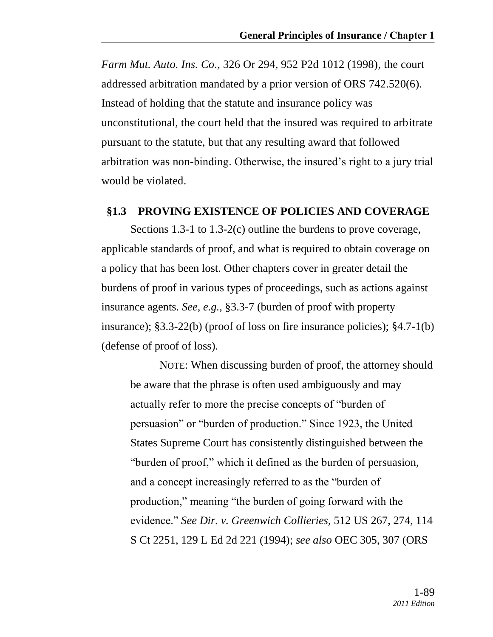*Farm Mut. Auto. Ins. Co.,* 326 Or 294, 952 P2d 1012 (1998)*,* the court addressed arbitration mandated by a prior version of ORS 742.520(6). Instead of holding that the statute and insurance policy was unconstitutional, the court held that the insured was required to arbitrate pursuant to the statute, but that any resulting award that followed arbitration was non-binding. Otherwise, the insured's right to a jury trial would be violated.

### **§1.3 PROVING EXISTENCE OF POLICIES AND COVERAGE**

Sections 1.3-1 to 1.3-2(c) outline the burdens to prove coverage, applicable standards of proof, and what is required to obtain coverage on a policy that has been lost. Other chapters cover in greater detail the burdens of proof in various types of proceedings, such as actions against insurance agents. *See, e.g.,* §3.3-7 (burden of proof with property insurance); §3.3-22(b) (proof of loss on fire insurance policies); §4.7-1(b) (defense of proof of loss).

NOTE: When discussing burden of proof, the attorney should be aware that the phrase is often used ambiguously and may actually refer to more the precise concepts of "burden of persuasion" or "burden of production." Since 1923, the United States Supreme Court has consistently distinguished between the "burden of proof," which it defined as the burden of persuasion, and a concept increasingly referred to as the "burden of" production," meaning "the burden of going forward with the evidence.‖ *See Dir. v. Greenwich Collieries,* 512 US 267, 274, 114 S Ct 2251, 129 L Ed 2d 221 (1994); *see also* OEC 305, 307 (ORS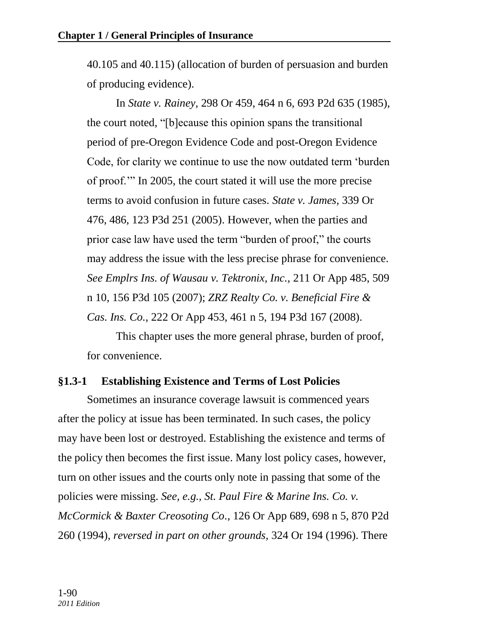40.105 and 40.115) (allocation of burden of persuasion and burden of producing evidence).

In *State v. Rainey,* 298 Or 459, 464 n 6, 693 P2d 635 (1985), the court noted, "[b]ecause this opinion spans the transitional period of pre-Oregon Evidence Code and post-Oregon Evidence Code, for clarity we continue to use the now outdated term 'burden' of proof." In 2005, the court stated it will use the more precise terms to avoid confusion in future cases. *State v. James,* 339 Or 476, 486, 123 P3d 251 (2005). However, when the parties and prior case law have used the term "burden of proof," the courts may address the issue with the less precise phrase for convenience. *See Emplrs Ins. of Wausau v. Tektronix, Inc.,* 211 Or App 485, 509 n 10, 156 P3d 105 (2007); *ZRZ Realty Co. v. Beneficial Fire & Cas. Ins. Co.,* 222 Or App 453, 461 n 5, 194 P3d 167 (2008).

This chapter uses the more general phrase, burden of proof, for convenience.

### **§1.3-1 Establishing Existence and Terms of Lost Policies**

Sometimes an insurance coverage lawsuit is commenced years after the policy at issue has been terminated. In such cases, the policy may have been lost or destroyed. Establishing the existence and terms of the policy then becomes the first issue. Many lost policy cases, however, turn on other issues and the courts only note in passing that some of the policies were missing. *See, e.g., St. Paul Fire & Marine Ins. Co. v. McCormick & Baxter Creosoting Co.,* 126 Or App 689, 698 n 5, 870 P2d 260 (1994), *reversed in part on other grounds,* 324 Or 194 (1996). There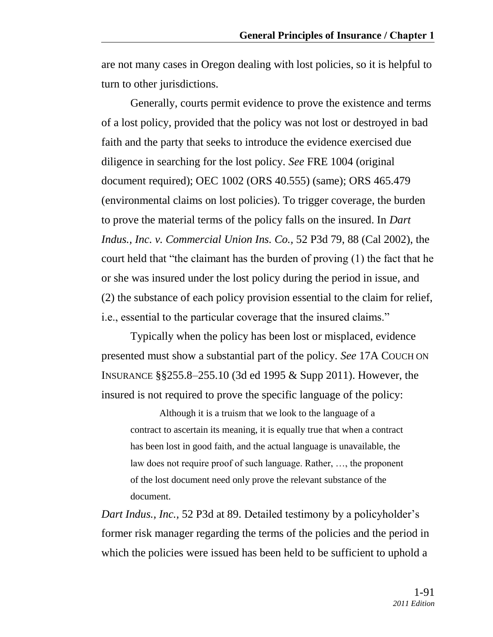are not many cases in Oregon dealing with lost policies, so it is helpful to turn to other jurisdictions.

Generally, courts permit evidence to prove the existence and terms of a lost policy, provided that the policy was not lost or destroyed in bad faith and the party that seeks to introduce the evidence exercised due diligence in searching for the lost policy. *See* FRE 1004 (original document required); OEC 1002 (ORS 40.555) (same); ORS 465.479 (environmental claims on lost policies). To trigger coverage, the burden to prove the material terms of the policy falls on the insured. In *Dart Indus., Inc. v. Commercial Union Ins. Co.,* 52 P3d 79, 88 (Cal 2002), the court held that "the claimant has the burden of proving  $(1)$  the fact that he or she was insured under the lost policy during the period in issue, and (2) the substance of each policy provision essential to the claim for relief, i.e., essential to the particular coverage that the insured claims."

Typically when the policy has been lost or misplaced, evidence presented must show a substantial part of the policy. *See* 17A COUCH ON INSURANCE §§255.8–255.10 (3d ed 1995 & Supp 2011). However, the insured is not required to prove the specific language of the policy:

Although it is a truism that we look to the language of a contract to ascertain its meaning, it is equally true that when a contract has been lost in good faith, and the actual language is unavailable, the law does not require proof of such language. Rather, …, the proponent of the lost document need only prove the relevant substance of the document.

*Dart Indus., Inc.,* 52 P3d at 89. Detailed testimony by a policyholder's former risk manager regarding the terms of the policies and the period in which the policies were issued has been held to be sufficient to uphold a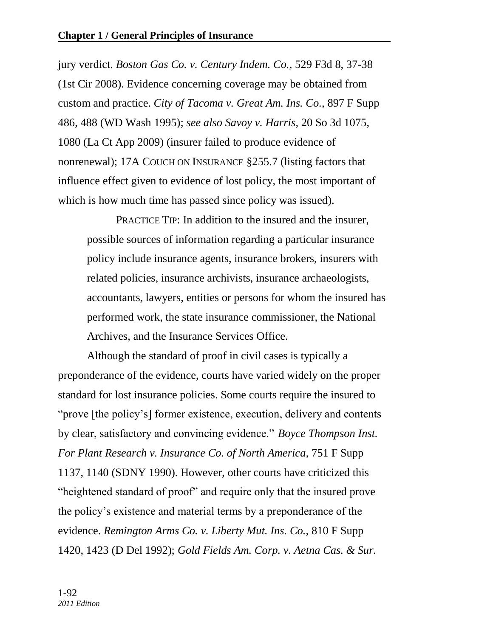jury verdict. *Boston Gas Co. v. Century Indem. Co.,* 529 F3d 8, 37-38 (1st Cir 2008). Evidence concerning coverage may be obtained from custom and practice. *City of Tacoma v. Great Am. Ins. Co.,* 897 F Supp 486, 488 (WD Wash 1995); *see also Savoy v. Harris,* 20 So 3d 1075, 1080 (La Ct App 2009) (insurer failed to produce evidence of nonrenewal); 17A COUCH ON INSURANCE §255.7 (listing factors that influence effect given to evidence of lost policy, the most important of which is how much time has passed since policy was issued).

PRACTICE TIP: In addition to the insured and the insurer, possible sources of information regarding a particular insurance policy include insurance agents, insurance brokers, insurers with related policies, insurance archivists, insurance archaeologists, accountants, lawyers, entities or persons for whom the insured has performed work, the state insurance commissioner, the National Archives, and the Insurance Services Office.

Although the standard of proof in civil cases is typically a preponderance of the evidence, courts have varied widely on the proper standard for lost insurance policies. Some courts require the insured to "prove [the policy's] former existence, execution, delivery and contents by clear, satisfactory and convincing evidence.‖ *Boyce Thompson Inst. For Plant Research v. Insurance Co. of North America,* 751 F Supp 1137, 1140 (SDNY 1990). However, other courts have criticized this "heightened standard of proof" and require only that the insured prove the policy's existence and material terms by a preponderance of the evidence. *Remington Arms Co. v. Liberty Mut. Ins. Co.,* 810 F Supp 1420, 1423 (D Del 1992); *Gold Fields Am. Corp. v. Aetna Cas. & Sur.*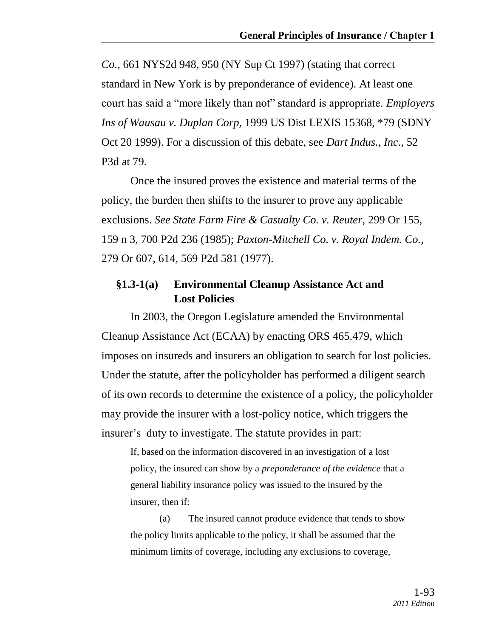*Co.,* 661 NYS2d 948, 950 (NY Sup Ct 1997) (stating that correct standard in New York is by preponderance of evidence). At least one court has said a "more likely than not" standard is appropriate. *Employers Ins of Wausau v. Duplan Corp,* 1999 US Dist LEXIS 15368, \*79 (SDNY Oct 20 1999). For a discussion of this debate, see *Dart Indus., Inc.,* 52 P3d at 79.

Once the insured proves the existence and material terms of the policy, the burden then shifts to the insurer to prove any applicable exclusions. *See State Farm Fire & Casualty Co. v. Reuter,* 299 Or 155, 159 n 3, 700 P2d 236 (1985); *Paxton-Mitchell Co. v. Royal Indem. Co.,* 279 Or 607, 614, 569 P2d 581 (1977).

### **§1.3-1(a) Environmental Cleanup Assistance Act and Lost Policies**

In 2003, the Oregon Legislature amended the Environmental Cleanup Assistance Act (ECAA) by enacting ORS 465.479, which imposes on insureds and insurers an obligation to search for lost policies. Under the statute, after the policyholder has performed a diligent search of its own records to determine the existence of a policy, the policyholder may provide the insurer with a lost-policy notice, which triggers the insurer's duty to investigate. The statute provides in part:

If, based on the information discovered in an investigation of a lost policy, the insured can show by a *preponderance of the evidence* that a general liability insurance policy was issued to the insured by the insurer, then if:

(a) The insured cannot produce evidence that tends to show the policy limits applicable to the policy, it shall be assumed that the minimum limits of coverage, including any exclusions to coverage,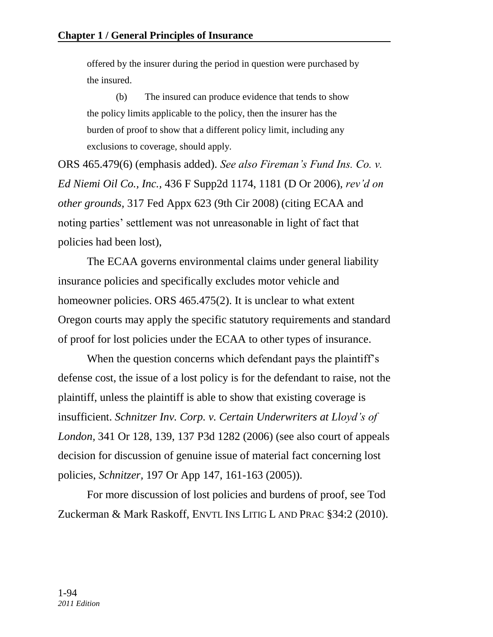offered by the insurer during the period in question were purchased by the insured.

(b) The insured can produce evidence that tends to show the policy limits applicable to the policy, then the insurer has the burden of proof to show that a different policy limit, including any exclusions to coverage, should apply.

ORS 465.479(6) (emphasis added). *See also Fireman's Fund Ins. Co. v. Ed Niemi Oil Co., Inc.,* 436 F Supp2d 1174, 1181 (D Or 2006), *rev'd on other grounds,* 317 Fed Appx 623 (9th Cir 2008) (citing ECAA and noting parties' settlement was not unreasonable in light of fact that policies had been lost),

The ECAA governs environmental claims under general liability insurance policies and specifically excludes motor vehicle and homeowner policies. ORS 465.475(2). It is unclear to what extent Oregon courts may apply the specific statutory requirements and standard of proof for lost policies under the ECAA to other types of insurance.

When the question concerns which defendant pays the plaintiff's defense cost, the issue of a lost policy is for the defendant to raise, not the plaintiff, unless the plaintiff is able to show that existing coverage is insufficient. *Schnitzer Inv. Corp. v. Certain Underwriters at Lloyd's of London,* 341 Or 128, 139, 137 P3d 1282 (2006) (see also court of appeals decision for discussion of genuine issue of material fact concerning lost policies, *Schnitzer,* 197 Or App 147, 161-163 (2005)).

For more discussion of lost policies and burdens of proof, see Tod Zuckerman & Mark Raskoff, ENVTL INS LITIG L AND PRAC §34:2 (2010).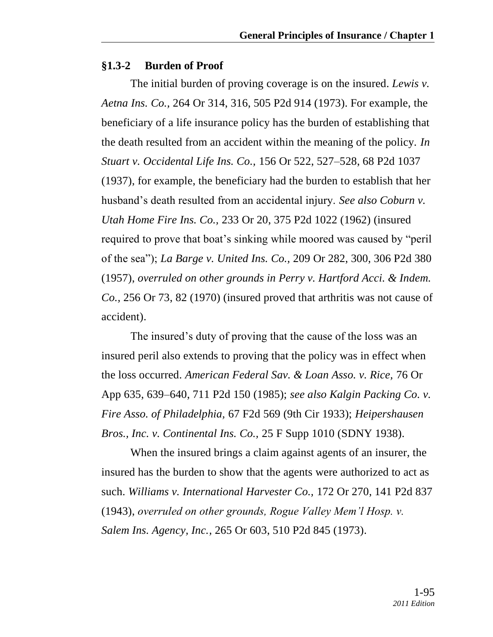#### **§1.3-2 Burden of Proof**

The initial burden of proving coverage is on the insured. *Lewis v. Aetna Ins. Co.,* 264 Or 314, 316, 505 P2d 914 (1973). For example, the beneficiary of a life insurance policy has the burden of establishing that the death resulted from an accident within the meaning of the policy. *In Stuart v. Occidental Life Ins. Co.,* 156 Or 522, 527–528, 68 P2d 1037 (1937), for example, the beneficiary had the burden to establish that her husband's death resulted from an accidental injury. *See also Coburn v. Utah Home Fire Ins. Co.,* 233 Or 20, 375 P2d 1022 (1962) (insured required to prove that boat's sinking while moored was caused by "peril" of the sea‖); *La Barge v. United Ins. Co.,* 209 Or 282, 300, 306 P2d 380 (1957), *overruled on other grounds in Perry v. Hartford Acci. & Indem. Co.,* 256 Or 73, 82 (1970) (insured proved that arthritis was not cause of accident).

The insured's duty of proving that the cause of the loss was an insured peril also extends to proving that the policy was in effect when the loss occurred. *American Federal Sav. & Loan Asso. v. Rice,* 76 Or App 635, 639–640, 711 P2d 150 (1985); *see also Kalgin Packing Co. v. Fire Asso. of Philadelphia,* 67 F2d 569 (9th Cir 1933); *Heipershausen Bros., Inc. v. Continental Ins. Co.,* 25 F Supp 1010 (SDNY 1938).

When the insured brings a claim against agents of an insurer, the insured has the burden to show that the agents were authorized to act as such. *Williams v. International Harvester Co.,* 172 Or 270, 141 P2d 837 (1943), *overruled on other grounds, Rogue Valley Mem'l Hosp. v. Salem Ins. Agency, Inc.,* 265 Or 603, 510 P2d 845 (1973).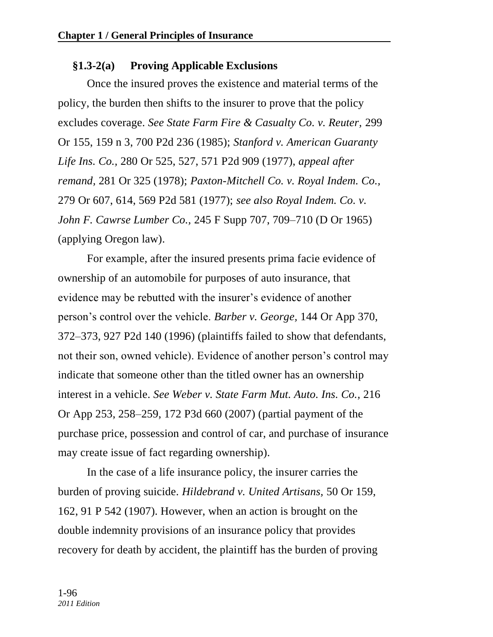# **§1.3-2(a) Proving Applicable Exclusions**

Once the insured proves the existence and material terms of the policy, the burden then shifts to the insurer to prove that the policy excludes coverage. *See State Farm Fire & Casualty Co. v. Reuter,* 299 Or 155, 159 n 3, 700 P2d 236 (1985); *Stanford v. American Guaranty Life Ins. Co.,* 280 Or 525, 527, 571 P2d 909 (1977), *appeal after remand,* 281 Or 325 (1978); *Paxton-Mitchell Co. v. Royal Indem. Co.,* 279 Or 607, 614, 569 P2d 581 (1977); *see also Royal Indem. Co. v. John F. Cawrse Lumber Co.,* 245 F Supp 707, 709–710 (D Or 1965) (applying Oregon law).

For example, after the insured presents prima facie evidence of ownership of an automobile for purposes of auto insurance, that evidence may be rebutted with the insurer's evidence of another person's control over the vehicle. *Barber v. George,* 144 Or App 370, 372–373, 927 P2d 140 (1996) (plaintiffs failed to show that defendants, not their son, owned vehicle). Evidence of another person's control may indicate that someone other than the titled owner has an ownership interest in a vehicle. *See Weber v. State Farm Mut. Auto. Ins. Co.,* 216 Or App 253, 258–259, 172 P3d 660 (2007) (partial payment of the purchase price, possession and control of car, and purchase of insurance may create issue of fact regarding ownership).

In the case of a life insurance policy, the insurer carries the burden of proving suicide. *Hildebrand v. United Artisans,* 50 Or 159, 162, 91 P 542 (1907). However, when an action is brought on the double indemnity provisions of an insurance policy that provides recovery for death by accident, the plaintiff has the burden of proving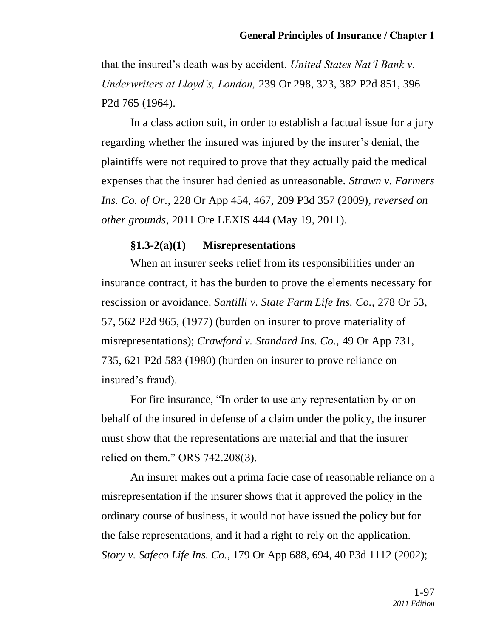that the insured's death was by accident. *United States Nat'l Bank v. Underwriters at Lloyd's, London,* 239 Or 298, 323, 382 P2d 851, 396 P2d 765 (1964).

In a class action suit, in order to establish a factual issue for a jury regarding whether the insured was injured by the insurer's denial, the plaintiffs were not required to prove that they actually paid the medical expenses that the insurer had denied as unreasonable. *Strawn v. Farmers Ins. Co. of Or.,* 228 Or App 454, 467, 209 P3d 357 (2009), *reversed on other grounds,* 2011 Ore LEXIS 444 (May 19, 2011).

#### **§1.3-2(a)(1) Misrepresentations**

When an insurer seeks relief from its responsibilities under an insurance contract, it has the burden to prove the elements necessary for rescission or avoidance. *Santilli v. State Farm Life Ins. Co.,* 278 Or 53, 57, 562 P2d 965, (1977) (burden on insurer to prove materiality of misrepresentations); *Crawford v. Standard Ins. Co.,* 49 Or App 731, 735, 621 P2d 583 (1980) (burden on insurer to prove reliance on insured's fraud).

For fire insurance, "In order to use any representation by or on behalf of the insured in defense of a claim under the policy, the insurer must show that the representations are material and that the insurer relied on them." ORS 742.208(3).

An insurer makes out a prima facie case of reasonable reliance on a misrepresentation if the insurer shows that it approved the policy in the ordinary course of business, it would not have issued the policy but for the false representations, and it had a right to rely on the application. *Story v. Safeco Life Ins. Co.,* 179 Or App 688, 694, 40 P3d 1112 (2002);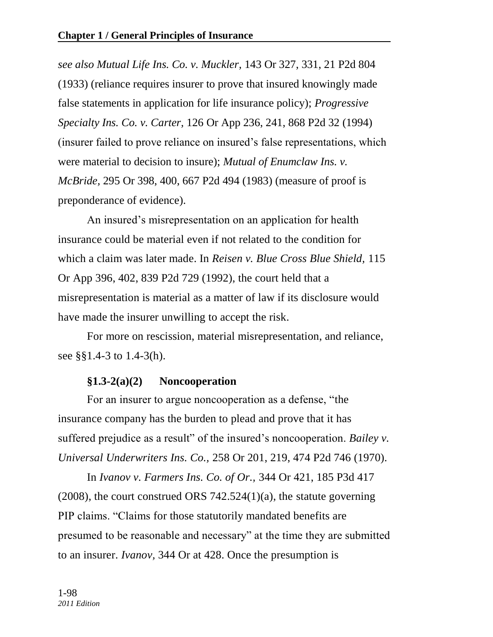*see also Mutual Life Ins. Co. v. Muckler,* 143 Or 327, 331, 21 P2d 804 (1933) (reliance requires insurer to prove that insured knowingly made false statements in application for life insurance policy); *Progressive Specialty Ins. Co. v. Carter,* 126 Or App 236, 241, 868 P2d 32 (1994) (insurer failed to prove reliance on insured's false representations, which were material to decision to insure); *Mutual of Enumclaw Ins. v. McBride,* 295 Or 398, 400, 667 P2d 494 (1983) (measure of proof is preponderance of evidence).

An insured's misrepresentation on an application for health insurance could be material even if not related to the condition for which a claim was later made. In *Reisen v. Blue Cross Blue Shield,* 115 Or App 396, 402, 839 P2d 729 (1992), the court held that a misrepresentation is material as a matter of law if its disclosure would have made the insurer unwilling to accept the risk.

For more on rescission, material misrepresentation, and reliance, see §§1.4-3 to 1.4-3(h).

# **§1.3-2(a)(2) Noncooperation**

For an insurer to argue noncooperation as a defense, "the insurance company has the burden to plead and prove that it has suffered prejudice as a result" of the insured's noncooperation. *Bailey v. Universal Underwriters Ins. Co.,* 258 Or 201, 219, 474 P2d 746 (1970).

In *Ivanov v. Farmers Ins. Co. of Or.,* 344 Or 421, 185 P3d 417 (2008), the court construed ORS 742.524(1)(a), the statute governing PIP claims. "Claims for those statutorily mandated benefits are presumed to be reasonable and necessary" at the time they are submitted to an insurer. *Ivanov,* 344 Or at 428. Once the presumption is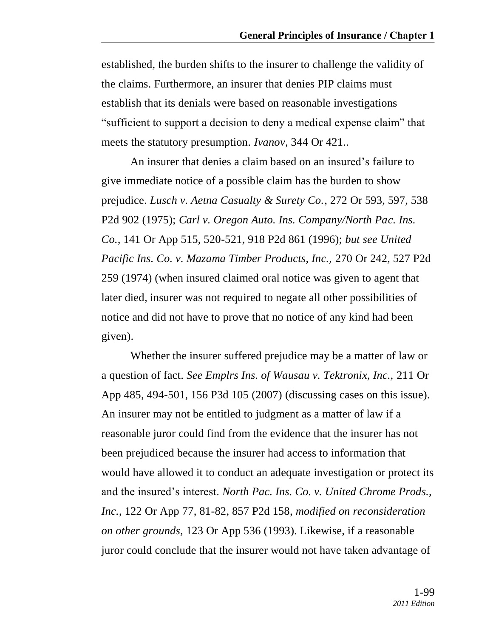established, the burden shifts to the insurer to challenge the validity of the claims. Furthermore, an insurer that denies PIP claims must establish that its denials were based on reasonable investigations "sufficient to support a decision to deny a medical expense claim" that meets the statutory presumption. *Ivanov,* 344 Or 421..

An insurer that denies a claim based on an insured's failure to give immediate notice of a possible claim has the burden to show prejudice. *Lusch v. Aetna Casualty & Surety Co.,* 272 Or 593, 597, 538 P2d 902 (1975); *Carl v. Oregon Auto. Ins. Company/North Pac. Ins. Co.,* 141 Or App 515, 520-521, 918 P2d 861 (1996); *but see United Pacific Ins. Co. v. Mazama Timber Products, Inc.,* 270 Or 242, 527 P2d 259 (1974) (when insured claimed oral notice was given to agent that later died, insurer was not required to negate all other possibilities of notice and did not have to prove that no notice of any kind had been given).

Whether the insurer suffered prejudice may be a matter of law or a question of fact. *See Emplrs Ins. of Wausau v. Tektronix, Inc.,* 211 Or App 485, 494-501, 156 P3d 105 (2007) (discussing cases on this issue). An insurer may not be entitled to judgment as a matter of law if a reasonable juror could find from the evidence that the insurer has not been prejudiced because the insurer had access to information that would have allowed it to conduct an adequate investigation or protect its and the insured's interest. *North Pac. Ins. Co. v. United Chrome Prods., Inc.,* 122 Or App 77, 81-82, 857 P2d 158, *modified on reconsideration on other grounds,* 123 Or App 536 (1993). Likewise, if a reasonable juror could conclude that the insurer would not have taken advantage of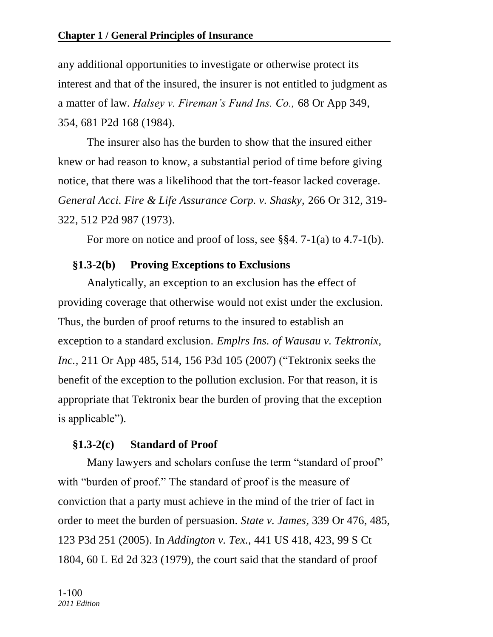any additional opportunities to investigate or otherwise protect its interest and that of the insured, the insurer is not entitled to judgment as a matter of law. *Halsey v. Fireman's Fund Ins. Co.,* 68 Or App 349, 354, 681 P2d 168 (1984).

The insurer also has the burden to show that the insured either knew or had reason to know, a substantial period of time before giving notice, that there was a likelihood that the tort-feasor lacked coverage. *General Acci. Fire & Life Assurance Corp. v. Shasky,* 266 Or 312, 319- 322, 512 P2d 987 (1973).

For more on notice and proof of loss, see §§4. 7-1(a) to 4.7-1(b).

# **§1.3-2(b) Proving Exceptions to Exclusions**

Analytically, an exception to an exclusion has the effect of providing coverage that otherwise would not exist under the exclusion. Thus, the burden of proof returns to the insured to establish an exception to a standard exclusion. *Emplrs Ins. of Wausau v. Tektronix, Inc.*, 211 Or App 485, 514, 156 P3d 105 (2007) ("Tektronix seeks the benefit of the exception to the pollution exclusion. For that reason, it is appropriate that Tektronix bear the burden of proving that the exception is applicable").

# **§1.3-2(c) Standard of Proof**

Many lawyers and scholars confuse the term "standard of proof" with "burden of proof." The standard of proof is the measure of conviction that a party must achieve in the mind of the trier of fact in order to meet the burden of persuasion. *State v. James,* 339 Or 476, 485, 123 P3d 251 (2005). In *Addington v. Tex.,* 441 US 418, 423, 99 S Ct 1804, 60 L Ed 2d 323 (1979), the court said that the standard of proof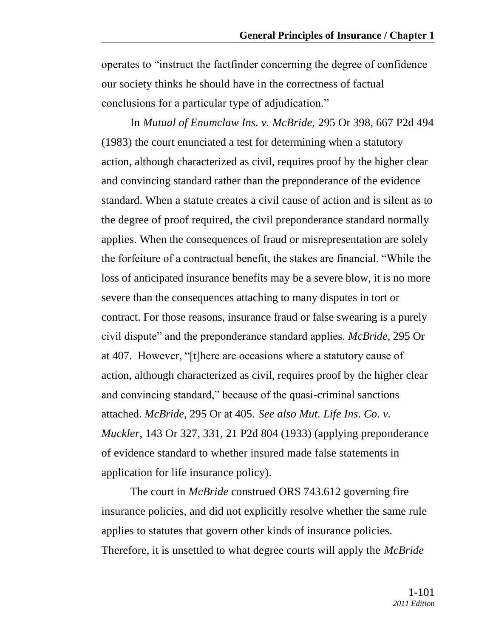operates to "instruct the factfinder concerning the degree of confidence" our society thinks he should have in the correctness of factual conclusions for a particular type of adjudication."

In *Mutual of Enumclaw Ins. v. McBride,* 295 Or 398, 667 P2d 494 (1983) the court enunciated a test for determining when a statutory action, although characterized as civil, requires proof by the higher clear and convincing standard rather than the preponderance of the evidence standard. When a statute creates a civil cause of action and is silent as to the degree of proof required, the civil preponderance standard normally applies. When the consequences of fraud or misrepresentation are solely the forfeiture of a contractual benefit, the stakes are financial. "While the loss of anticipated insurance benefits may be a severe blow, it is no more severe than the consequences attaching to many disputes in tort or contract. For those reasons, insurance fraud or false swearing is a purely civil dispute‖ and the preponderance standard applies. *McBride,* 295 Or at 407. However, "[t]here are occasions where a statutory cause of action, although characterized as civil, requires proof by the higher clear and convincing standard," because of the quasi-criminal sanctions attached. *McBride,* 295 Or at 405. *See also Mut. Life Ins. Co. v. Muckler,* 143 Or 327, 331, 21 P2d 804 (1933) (applying preponderance of evidence standard to whether insured made false statements in application for life insurance policy).

The court in *McBride* construed ORS 743.612 governing fire insurance policies, and did not explicitly resolve whether the same rule applies to statutes that govern other kinds of insurance policies. Therefore, it is unsettled to what degree courts will apply the *McBride*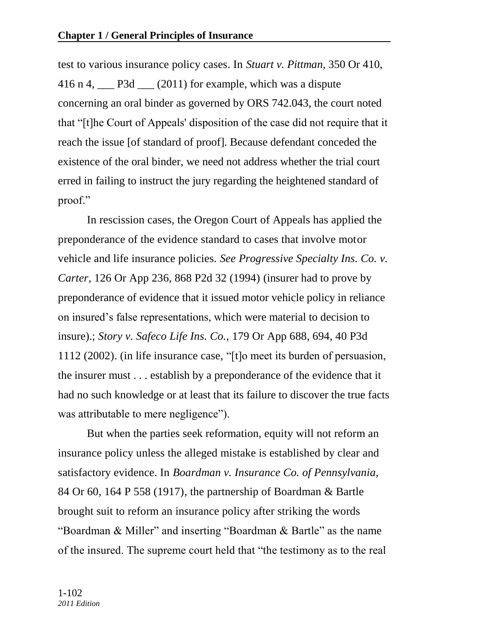test to various insurance policy cases. In *Stuart v. Pittman,* 350 Or 410, 416 n 4,  $\_\_$  P3d  $\_\_$  (2011) for example, which was a dispute concerning an oral binder as governed by ORS 742.043, the court noted that ―[t]he Court of Appeals' disposition of the case did not require that it reach the issue [of standard of proof]. Because defendant conceded the existence of the oral binder, we need not address whether the trial court erred in failing to instruct the jury regarding the heightened standard of proof."

In rescission cases, the Oregon Court of Appeals has applied the preponderance of the evidence standard to cases that involve motor vehicle and life insurance policies. *See Progressive Specialty Ins. Co. v. Carter,* 126 Or App 236, 868 P2d 32 (1994) (insurer had to prove by preponderance of evidence that it issued motor vehicle policy in reliance on insured's false representations, which were material to decision to insure).; *Story v. Safeco Life Ins. Co.,* 179 Or App 688, 694, 40 P3d 1112 (2002). (in life insurance case, " $[t]$ o meet its burden of persuasion, the insurer must . . . establish by a preponderance of the evidence that it had no such knowledge or at least that its failure to discover the true facts was attributable to mere negligence".

But when the parties seek reformation, equity will not reform an insurance policy unless the alleged mistake is established by clear and satisfactory evidence. In *Boardman v. Insurance Co. of Pennsylvania,* 84 Or 60, 164 P 558 (1917)*,* the partnership of Boardman & Bartle brought suit to reform an insurance policy after striking the words "Boardman & Miller" and inserting "Boardman & Bartle" as the name of the insured. The supreme court held that "the testimony as to the real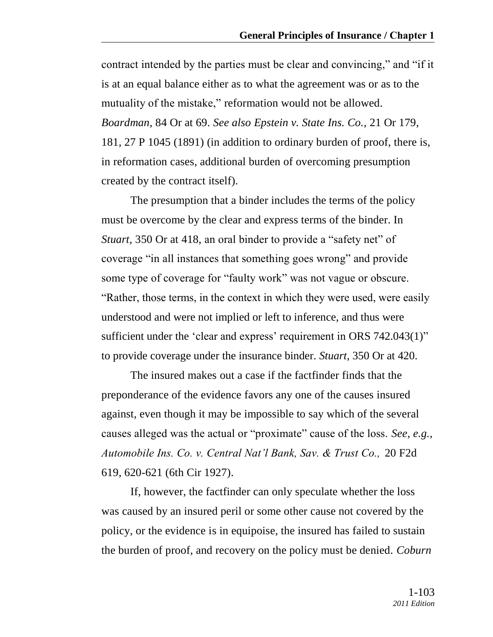contract intended by the parties must be clear and convincing," and "if it is at an equal balance either as to what the agreement was or as to the mutuality of the mistake," reformation would not be allowed. *Boardman,* 84 Or at 69. *See also Epstein v. State Ins. Co.,* 21 Or 179, 181, 27 P 1045 (1891) (in addition to ordinary burden of proof, there is, in reformation cases, additional burden of overcoming presumption created by the contract itself).

The presumption that a binder includes the terms of the policy must be overcome by the clear and express terms of the binder. In *Stuart,* 350 Or at 418, an oral binder to provide a "safety net" of coverage "in all instances that something goes wrong" and provide some type of coverage for "faulty work" was not vague or obscure. "Rather, those terms, in the context in which they were used, were easily understood and were not implied or left to inference, and thus were sufficient under the 'clear and express' requirement in ORS  $742.043(1)$ " to provide coverage under the insurance binder. *Stuart,* 350 Or at 420.

The insured makes out a case if the factfinder finds that the preponderance of the evidence favors any one of the causes insured against, even though it may be impossible to say which of the several causes alleged was the actual or "proximate" cause of the loss. *See, e.g., Automobile Ins. Co. v. Central Nat'l Bank, Sav. & Trust Co.,* 20 F2d 619, 620-621 (6th Cir 1927).

If, however, the factfinder can only speculate whether the loss was caused by an insured peril or some other cause not covered by the policy, or the evidence is in equipoise, the insured has failed to sustain the burden of proof, and recovery on the policy must be denied. *Coburn*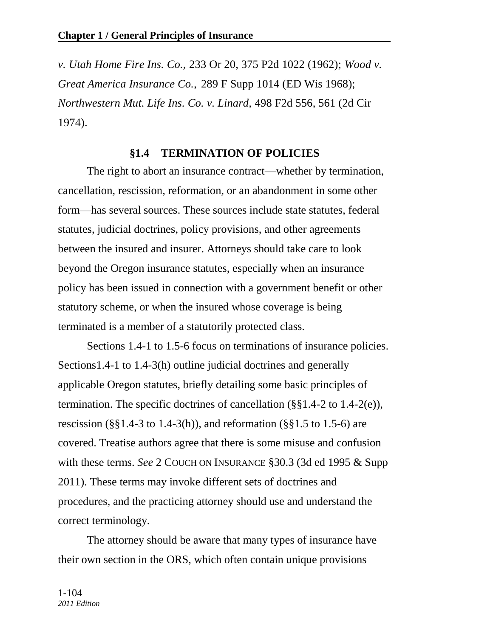*v. Utah Home Fire Ins. Co.,* 233 Or 20, 375 P2d 1022 (1962); *Wood v. Great America Insurance Co.,* 289 F Supp 1014 (ED Wis 1968); *Northwestern Mut. Life Ins. Co. v. Linard,* 498 F2d 556, 561 (2d Cir 1974).

### **§1.4 TERMINATION OF POLICIES**

The right to abort an insurance contract—whether by termination, cancellation, rescission, reformation, or an abandonment in some other form—has several sources. These sources include state statutes, federal statutes, judicial doctrines, policy provisions, and other agreements between the insured and insurer. Attorneys should take care to look beyond the Oregon insurance statutes, especially when an insurance policy has been issued in connection with a government benefit or other statutory scheme, or when the insured whose coverage is being terminated is a member of a statutorily protected class.

Sections 1.4-1 to 1.5-6 focus on terminations of insurance policies. Sections1.4-1 to 1.4-3(h) outline judicial doctrines and generally applicable Oregon statutes, briefly detailing some basic principles of termination. The specific doctrines of cancellation (§§1.4-2 to 1.4-2(e)), rescission ( $\S$ §1.4-3 to 1.4-3(h)), and reformation ( $\S$ §1.5 to 1.5-6) are covered. Treatise authors agree that there is some misuse and confusion with these terms. *See* 2 COUCH ON INSURANCE §30.3 (3d ed 1995 & Supp 2011). These terms may invoke different sets of doctrines and procedures, and the practicing attorney should use and understand the correct terminology.

The attorney should be aware that many types of insurance have their own section in the ORS, which often contain unique provisions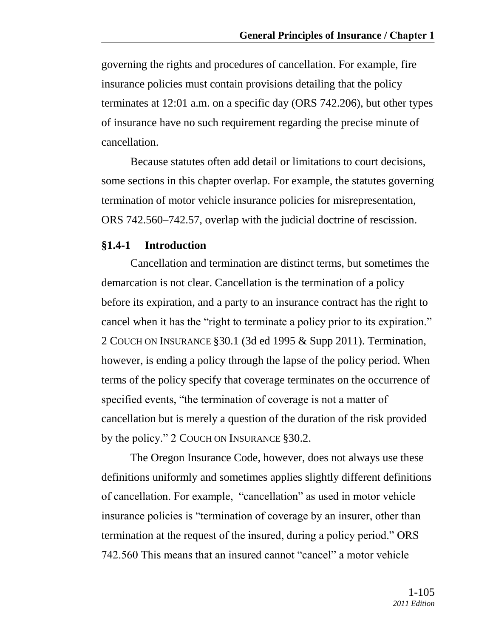governing the rights and procedures of cancellation. For example, fire insurance policies must contain provisions detailing that the policy terminates at 12:01 a.m. on a specific day (ORS 742.206), but other types of insurance have no such requirement regarding the precise minute of cancellation.

Because statutes often add detail or limitations to court decisions, some sections in this chapter overlap. For example, the statutes governing termination of motor vehicle insurance policies for misrepresentation, ORS 742.560–742.57, overlap with the judicial doctrine of rescission.

#### **§1.4-1 Introduction**

Cancellation and termination are distinct terms, but sometimes the demarcation is not clear. Cancellation is the termination of a policy before its expiration, and a party to an insurance contract has the right to cancel when it has the "right to terminate a policy prior to its expiration." 2 COUCH ON INSURANCE §30.1 (3d ed 1995 & Supp 2011). Termination, however, is ending a policy through the lapse of the policy period. When terms of the policy specify that coverage terminates on the occurrence of specified events, "the termination of coverage is not a matter of cancellation but is merely a question of the duration of the risk provided by the policy."  $2$  COUCH ON INSURANCE § 30.2.

The Oregon Insurance Code, however, does not always use these definitions uniformly and sometimes applies slightly different definitions of cancellation. For example, "cancellation" as used in motor vehicle insurance policies is "termination of coverage by an insurer, other than termination at the request of the insured, during a policy period." ORS 742.560 This means that an insured cannot "cancel" a motor vehicle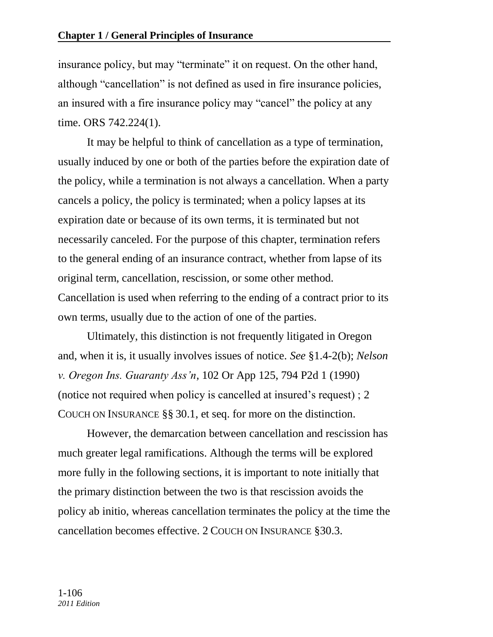insurance policy, but may "terminate" it on request. On the other hand, although "cancellation" is not defined as used in fire insurance policies, an insured with a fire insurance policy may "cancel" the policy at any time. ORS 742.224(1).

It may be helpful to think of cancellation as a type of termination, usually induced by one or both of the parties before the expiration date of the policy, while a termination is not always a cancellation. When a party cancels a policy, the policy is terminated; when a policy lapses at its expiration date or because of its own terms, it is terminated but not necessarily canceled. For the purpose of this chapter, termination refers to the general ending of an insurance contract, whether from lapse of its original term, cancellation, rescission, or some other method. Cancellation is used when referring to the ending of a contract prior to its own terms, usually due to the action of one of the parties.

Ultimately, this distinction is not frequently litigated in Oregon and, when it is, it usually involves issues of notice. *See* §1.4-2(b); *Nelson v. Oregon Ins. Guaranty Ass'n,* 102 Or App 125, 794 P2d 1 (1990) (notice not required when policy is cancelled at insured's request) ; 2 COUCH ON INSURANCE §§ 30.1, et seq. for more on the distinction.

However, the demarcation between cancellation and rescission has much greater legal ramifications. Although the terms will be explored more fully in the following sections, it is important to note initially that the primary distinction between the two is that rescission avoids the policy ab initio, whereas cancellation terminates the policy at the time the cancellation becomes effective. 2 COUCH ON INSURANCE §30.3.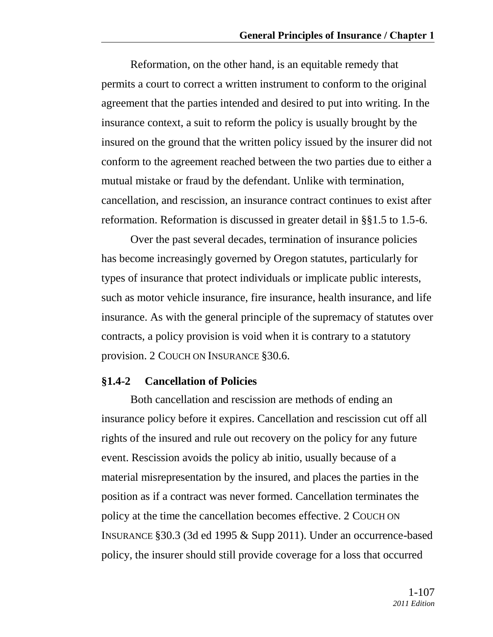Reformation, on the other hand, is an equitable remedy that permits a court to correct a written instrument to conform to the original agreement that the parties intended and desired to put into writing. In the insurance context, a suit to reform the policy is usually brought by the insured on the ground that the written policy issued by the insurer did not conform to the agreement reached between the two parties due to either a mutual mistake or fraud by the defendant. Unlike with termination, cancellation, and rescission, an insurance contract continues to exist after reformation. Reformation is discussed in greater detail in §§1.5 to 1.5-6.

Over the past several decades, termination of insurance policies has become increasingly governed by Oregon statutes, particularly for types of insurance that protect individuals or implicate public interests, such as motor vehicle insurance, fire insurance, health insurance, and life insurance. As with the general principle of the supremacy of statutes over contracts, a policy provision is void when it is contrary to a statutory provision. 2 COUCH ON INSURANCE §30.6.

#### **§1.4-2 Cancellation of Policies**

Both cancellation and rescission are methods of ending an insurance policy before it expires. Cancellation and rescission cut off all rights of the insured and rule out recovery on the policy for any future event. Rescission avoids the policy ab initio, usually because of a material misrepresentation by the insured, and places the parties in the position as if a contract was never formed. Cancellation terminates the policy at the time the cancellation becomes effective. 2 COUCH ON INSURANCE §30.3 (3d ed 1995 & Supp 2011). Under an occurrence-based policy, the insurer should still provide coverage for a loss that occurred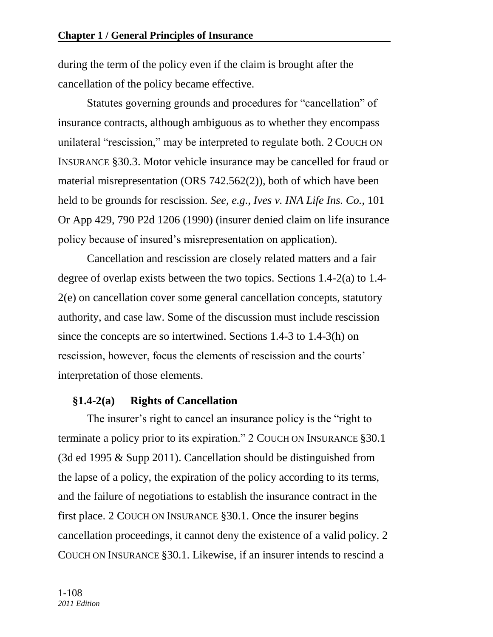during the term of the policy even if the claim is brought after the cancellation of the policy became effective.

Statutes governing grounds and procedures for "cancellation" of insurance contracts, although ambiguous as to whether they encompass unilateral "rescission," may be interpreted to regulate both. 2 COUCH ON INSURANCE §30.3. Motor vehicle insurance may be cancelled for fraud or material misrepresentation (ORS 742.562(2)), both of which have been held to be grounds for rescission. *See, e.g., Ives v. INA Life Ins. Co.,* 101 Or App 429, 790 P2d 1206 (1990) (insurer denied claim on life insurance policy because of insured's misrepresentation on application).

Cancellation and rescission are closely related matters and a fair degree of overlap exists between the two topics. Sections 1.4-2(a) to 1.4- 2(e) on cancellation cover some general cancellation concepts, statutory authority, and case law. Some of the discussion must include rescission since the concepts are so intertwined. Sections 1.4-3 to 1.4-3(h) on rescission, however, focus the elements of rescission and the courts' interpretation of those elements.

### **§1.4-2(a) Rights of Cancellation**

The insurer's right to cancel an insurance policy is the "right to" terminate a policy prior to its expiration." 2 COUCH ON INSURANCE §30.1 (3d ed 1995 & Supp 2011). Cancellation should be distinguished from the lapse of a policy, the expiration of the policy according to its terms, and the failure of negotiations to establish the insurance contract in the first place. 2 COUCH ON INSURANCE §30.1. Once the insurer begins cancellation proceedings, it cannot deny the existence of a valid policy. 2 COUCH ON INSURANCE §30.1. Likewise, if an insurer intends to rescind a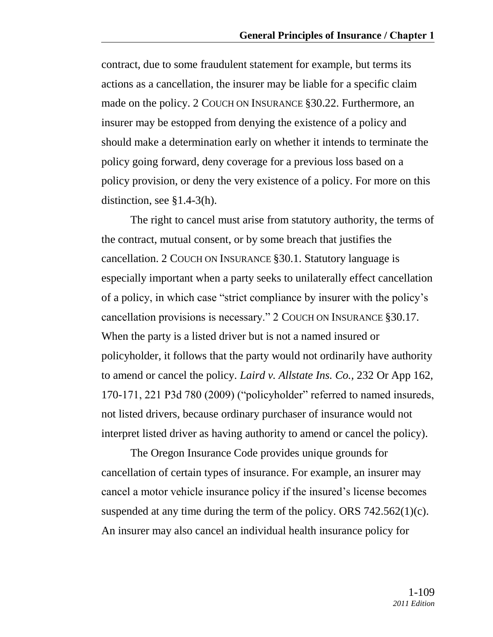contract, due to some fraudulent statement for example, but terms its actions as a cancellation, the insurer may be liable for a specific claim made on the policy. 2 COUCH ON INSURANCE §30.22. Furthermore, an insurer may be estopped from denying the existence of a policy and should make a determination early on whether it intends to terminate the policy going forward, deny coverage for a previous loss based on a policy provision, or deny the very existence of a policy. For more on this distinction, see §1.4-3(h).

The right to cancel must arise from statutory authority, the terms of the contract, mutual consent, or by some breach that justifies the cancellation. 2 COUCH ON INSURANCE §30.1. Statutory language is especially important when a party seeks to unilaterally effect cancellation of a policy, in which case "strict compliance by insurer with the policy's cancellation provisions is necessary." 2 COUCH ON INSURANCE §30.17. When the party is a listed driver but is not a named insured or policyholder, it follows that the party would not ordinarily have authority to amend or cancel the policy. *Laird v. Allstate Ins. Co.,* 232 Or App 162,  $170-171$ ,  $221$  P3d  $780$   $(2009)$  ("policyholder" referred to named insureds, not listed drivers, because ordinary purchaser of insurance would not interpret listed driver as having authority to amend or cancel the policy).

The Oregon Insurance Code provides unique grounds for cancellation of certain types of insurance. For example, an insurer may cancel a motor vehicle insurance policy if the insured's license becomes suspended at any time during the term of the policy. ORS 742.562(1)(c). An insurer may also cancel an individual health insurance policy for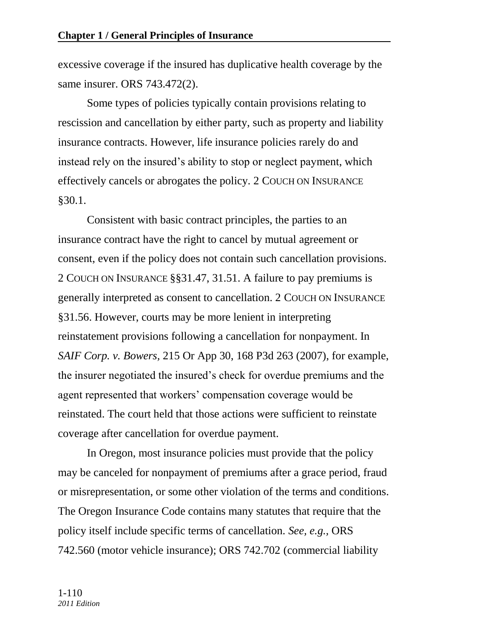excessive coverage if the insured has duplicative health coverage by the same insurer. ORS 743.472(2).

Some types of policies typically contain provisions relating to rescission and cancellation by either party, such as property and liability insurance contracts. However, life insurance policies rarely do and instead rely on the insured's ability to stop or neglect payment, which effectively cancels or abrogates the policy. 2 COUCH ON INSURANCE §30.1.

Consistent with basic contract principles, the parties to an insurance contract have the right to cancel by mutual agreement or consent, even if the policy does not contain such cancellation provisions. 2 COUCH ON INSURANCE §§31.47, 31.51. A failure to pay premiums is generally interpreted as consent to cancellation. 2 COUCH ON INSURANCE §31.56. However, courts may be more lenient in interpreting reinstatement provisions following a cancellation for nonpayment. In *SAIF Corp. v. Bowers,* 215 Or App 30, 168 P3d 263 (2007), for example, the insurer negotiated the insured's check for overdue premiums and the agent represented that workers' compensation coverage would be reinstated. The court held that those actions were sufficient to reinstate coverage after cancellation for overdue payment.

In Oregon, most insurance policies must provide that the policy may be canceled for nonpayment of premiums after a grace period, fraud or misrepresentation, or some other violation of the terms and conditions. The Oregon Insurance Code contains many statutes that require that the policy itself include specific terms of cancellation. *See, e.g.,* ORS 742.560 (motor vehicle insurance); ORS 742.702 (commercial liability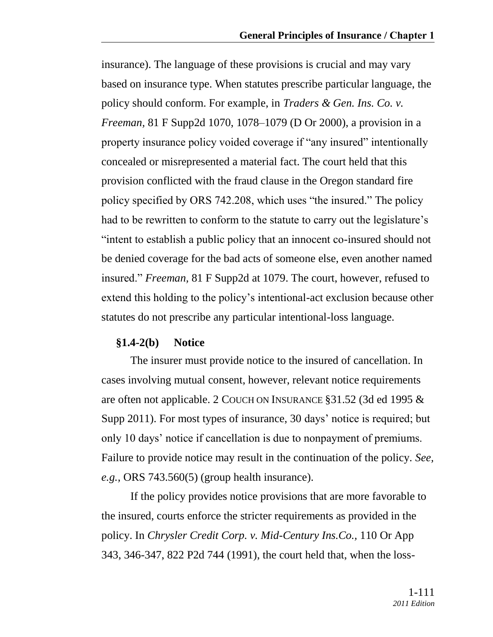insurance). The language of these provisions is crucial and may vary based on insurance type. When statutes prescribe particular language, the policy should conform. For example, in *Traders & Gen. Ins. Co. v. Freeman,* 81 F Supp2d 1070, 1078–1079 (D Or 2000), a provision in a property insurance policy voided coverage if "any insured" intentionally concealed or misrepresented a material fact. The court held that this provision conflicted with the fraud clause in the Oregon standard fire policy specified by ORS 742.208, which uses "the insured." The policy had to be rewritten to conform to the statute to carry out the legislature's ―intent to establish a public policy that an innocent co-insured should not be denied coverage for the bad acts of someone else, even another named insured." *Freeman*, 81 F Supp2d at 1079. The court, however, refused to extend this holding to the policy's intentional-act exclusion because other statutes do not prescribe any particular intentional-loss language.

#### **§1.4-2(b) Notice**

The insurer must provide notice to the insured of cancellation. In cases involving mutual consent, however, relevant notice requirements are often not applicable. 2 COUCH ON INSURANCE §31.52 (3d ed 1995 & Supp 2011). For most types of insurance, 30 days' notice is required; but only 10 days' notice if cancellation is due to nonpayment of premiums. Failure to provide notice may result in the continuation of the policy. *See, e.g.,* ORS 743.560(5) (group health insurance).

If the policy provides notice provisions that are more favorable to the insured, courts enforce the stricter requirements as provided in the policy. In *Chrysler Credit Corp. v. Mid-Century Ins.Co.,* 110 Or App 343, 346-347, 822 P2d 744 (1991), the court held that, when the loss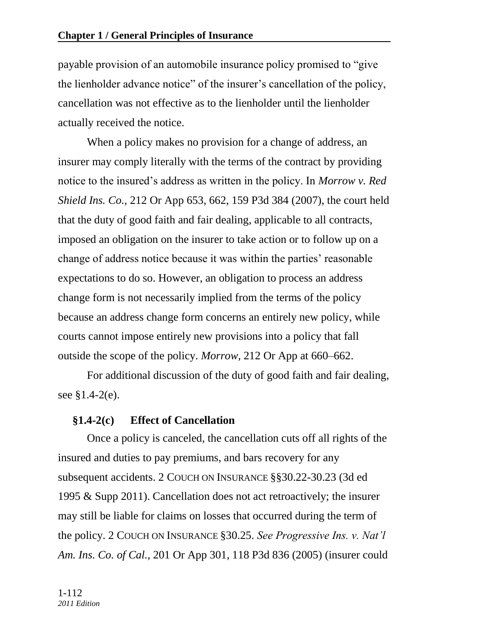payable provision of an automobile insurance policy promised to "give" the lienholder advance notice" of the insurer's cancellation of the policy, cancellation was not effective as to the lienholder until the lienholder actually received the notice.

When a policy makes no provision for a change of address, an insurer may comply literally with the terms of the contract by providing notice to the insured's address as written in the policy. In *Morrow v. Red Shield Ins. Co.,* 212 Or App 653, 662, 159 P3d 384 (2007), the court held that the duty of good faith and fair dealing, applicable to all contracts, imposed an obligation on the insurer to take action or to follow up on a change of address notice because it was within the parties' reasonable expectations to do so. However, an obligation to process an address change form is not necessarily implied from the terms of the policy because an address change form concerns an entirely new policy, while courts cannot impose entirely new provisions into a policy that fall outside the scope of the policy. *Morrow,* 212 Or App at 660–662.

For additional discussion of the duty of good faith and fair dealing, see §1.4-2(e).

## **§1.4-2(c) Effect of Cancellation**

Once a policy is canceled, the cancellation cuts off all rights of the insured and duties to pay premiums, and bars recovery for any subsequent accidents. 2 COUCH ON INSURANCE §§30.22-30.23 (3d ed 1995 & Supp 2011). Cancellation does not act retroactively; the insurer may still be liable for claims on losses that occurred during the term of the policy. 2 COUCH ON INSURANCE §30.25. *See Progressive Ins. v. Nat'l Am. Ins. Co. of Cal.,* 201 Or App 301, 118 P3d 836 (2005) (insurer could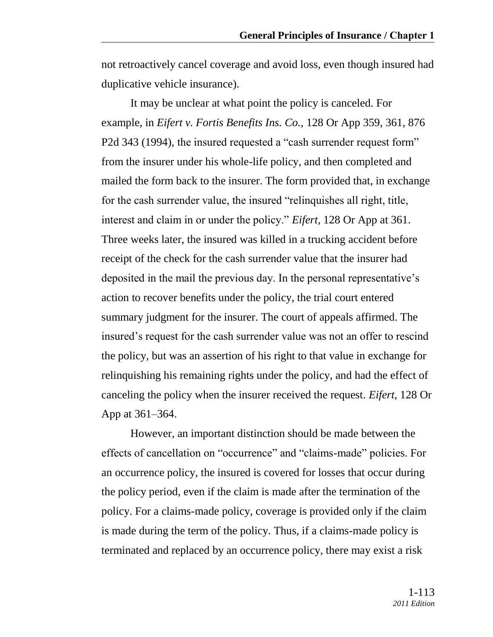not retroactively cancel coverage and avoid loss, even though insured had duplicative vehicle insurance).

It may be unclear at what point the policy is canceled. For example, in *Eifert v. Fortis Benefits Ins. Co.,* 128 Or App 359, 361, 876 P2d 343 (1994), the insured requested a "cash surrender request form" from the insurer under his whole-life policy, and then completed and mailed the form back to the insurer. The form provided that, in exchange for the cash surrender value, the insured "relinquishes all right, title, interest and claim in or under the policy." *Eifert*, 128 Or App at 361. Three weeks later, the insured was killed in a trucking accident before receipt of the check for the cash surrender value that the insurer had deposited in the mail the previous day. In the personal representative's action to recover benefits under the policy, the trial court entered summary judgment for the insurer. The court of appeals affirmed. The insured's request for the cash surrender value was not an offer to rescind the policy, but was an assertion of his right to that value in exchange for relinquishing his remaining rights under the policy, and had the effect of canceling the policy when the insurer received the request. *Eifert,* 128 Or App at 361–364.

However, an important distinction should be made between the effects of cancellation on "occurrence" and "claims-made" policies. For an occurrence policy, the insured is covered for losses that occur during the policy period, even if the claim is made after the termination of the policy. For a claims-made policy, coverage is provided only if the claim is made during the term of the policy. Thus, if a claims-made policy is terminated and replaced by an occurrence policy, there may exist a risk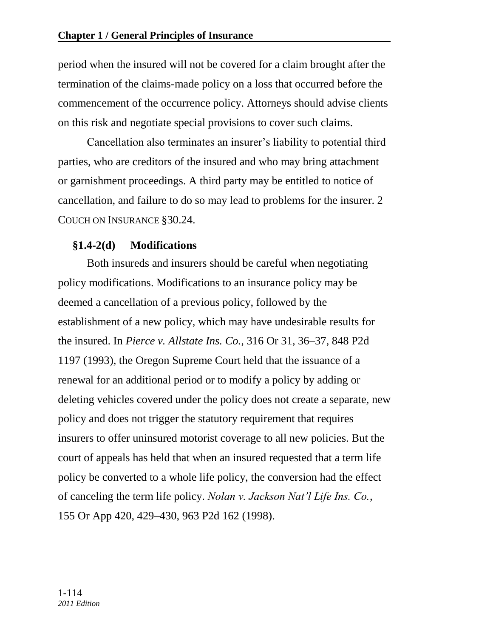period when the insured will not be covered for a claim brought after the termination of the claims-made policy on a loss that occurred before the commencement of the occurrence policy. Attorneys should advise clients on this risk and negotiate special provisions to cover such claims.

Cancellation also terminates an insurer's liability to potential third parties, who are creditors of the insured and who may bring attachment or garnishment proceedings. A third party may be entitled to notice of cancellation, and failure to do so may lead to problems for the insurer. 2 COUCH ON INSURANCE §30.24.

## **§1.4-2(d) Modifications**

Both insureds and insurers should be careful when negotiating policy modifications. Modifications to an insurance policy may be deemed a cancellation of a previous policy, followed by the establishment of a new policy, which may have undesirable results for the insured. In *Pierce v. Allstate Ins. Co.,* 316 Or 31, 36–37, 848 P2d 1197 (1993), the Oregon Supreme Court held that the issuance of a renewal for an additional period or to modify a policy by adding or deleting vehicles covered under the policy does not create a separate, new policy and does not trigger the statutory requirement that requires insurers to offer uninsured motorist coverage to all new policies. But the court of appeals has held that when an insured requested that a term life policy be converted to a whole life policy, the conversion had the effect of canceling the term life policy. *Nolan v. Jackson Nat'l Life Ins. Co.,* 155 Or App 420, 429–430, 963 P2d 162 (1998).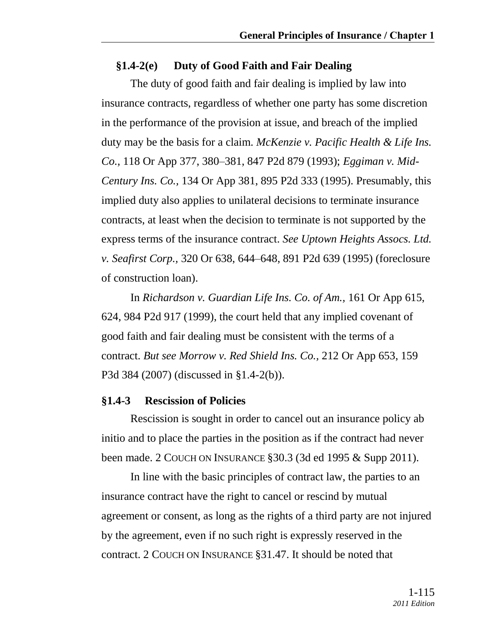### **§1.4-2(e) Duty of Good Faith and Fair Dealing**

The duty of good faith and fair dealing is implied by law into insurance contracts, regardless of whether one party has some discretion in the performance of the provision at issue, and breach of the implied duty may be the basis for a claim. *McKenzie v. Pacific Health & Life Ins. Co.,* 118 Or App 377, 380–381, 847 P2d 879 (1993); *Eggiman v. Mid-Century Ins. Co.,* 134 Or App 381, 895 P2d 333 (1995). Presumably, this implied duty also applies to unilateral decisions to terminate insurance contracts, at least when the decision to terminate is not supported by the express terms of the insurance contract. *See Uptown Heights Assocs. Ltd. v. Seafirst Corp.,* 320 Or 638, 644–648, 891 P2d 639 (1995) (foreclosure of construction loan).

In *Richardson v. Guardian Life Ins. Co. of Am.,* 161 Or App 615, 624, 984 P2d 917 (1999), the court held that any implied covenant of good faith and fair dealing must be consistent with the terms of a contract. *But see Morrow v. Red Shield Ins. Co.,* 212 Or App 653, 159 P3d 384 (2007) (discussed in §1.4-2(b)).

#### **§1.4-3 Rescission of Policies**

Rescission is sought in order to cancel out an insurance policy ab initio and to place the parties in the position as if the contract had never been made. 2 COUCH ON INSURANCE §30.3 (3d ed 1995 & Supp 2011).

In line with the basic principles of contract law, the parties to an insurance contract have the right to cancel or rescind by mutual agreement or consent, as long as the rights of a third party are not injured by the agreement, even if no such right is expressly reserved in the contract. 2 COUCH ON INSURANCE §31.47. It should be noted that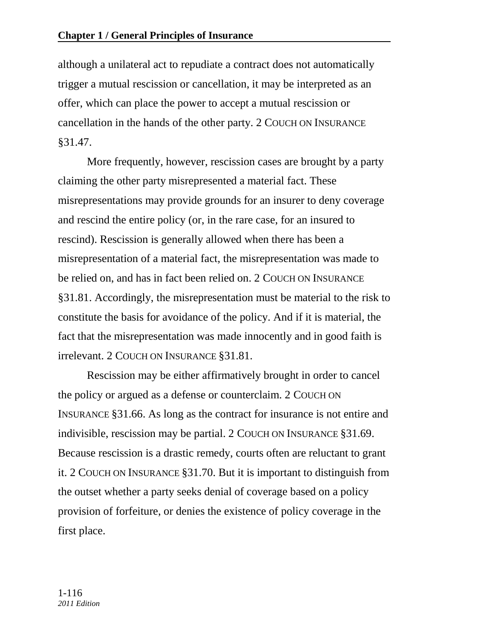although a unilateral act to repudiate a contract does not automatically trigger a mutual rescission or cancellation, it may be interpreted as an offer, which can place the power to accept a mutual rescission or cancellation in the hands of the other party. 2 COUCH ON INSURANCE §31.47.

More frequently, however, rescission cases are brought by a party claiming the other party misrepresented a material fact. These misrepresentations may provide grounds for an insurer to deny coverage and rescind the entire policy (or, in the rare case, for an insured to rescind). Rescission is generally allowed when there has been a misrepresentation of a material fact, the misrepresentation was made to be relied on, and has in fact been relied on. 2 COUCH ON INSURANCE §31.81. Accordingly, the misrepresentation must be material to the risk to constitute the basis for avoidance of the policy. And if it is material, the fact that the misrepresentation was made innocently and in good faith is irrelevant. 2 COUCH ON INSURANCE §31.81.

Rescission may be either affirmatively brought in order to cancel the policy or argued as a defense or counterclaim. 2 COUCH ON INSURANCE §31.66. As long as the contract for insurance is not entire and indivisible, rescission may be partial. 2 COUCH ON INSURANCE §31.69. Because rescission is a drastic remedy, courts often are reluctant to grant it. 2 COUCH ON INSURANCE §31.70. But it is important to distinguish from the outset whether a party seeks denial of coverage based on a policy provision of forfeiture, or denies the existence of policy coverage in the first place.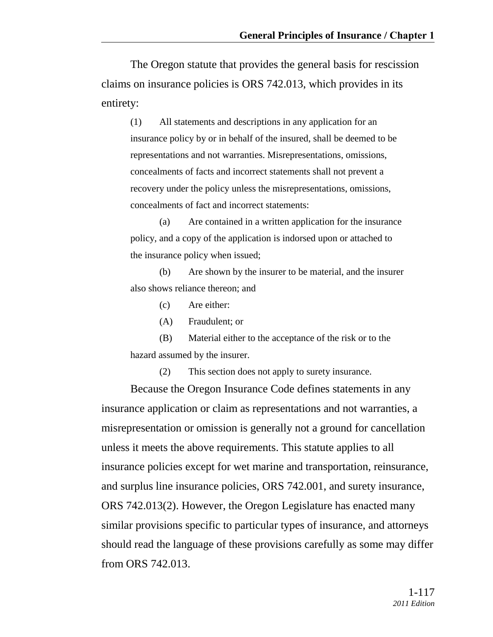The Oregon statute that provides the general basis for rescission claims on insurance policies is ORS 742.013, which provides in its entirety:

(1) All statements and descriptions in any application for an insurance policy by or in behalf of the insured, shall be deemed to be representations and not warranties. Misrepresentations, omissions, concealments of facts and incorrect statements shall not prevent a recovery under the policy unless the misrepresentations, omissions, concealments of fact and incorrect statements:

(a) Are contained in a written application for the insurance policy, and a copy of the application is indorsed upon or attached to the insurance policy when issued;

(b) Are shown by the insurer to be material, and the insurer also shows reliance thereon; and

(c) Are either:

(A) Fraudulent; or

(B) Material either to the acceptance of the risk or to the hazard assumed by the insurer.

(2) This section does not apply to surety insurance.

Because the Oregon Insurance Code defines statements in any insurance application or claim as representations and not warranties, a misrepresentation or omission is generally not a ground for cancellation unless it meets the above requirements. This statute applies to all insurance policies except for wet marine and transportation, reinsurance, and surplus line insurance policies, ORS 742.001, and surety insurance, ORS 742.013(2). However, the Oregon Legislature has enacted many similar provisions specific to particular types of insurance, and attorneys should read the language of these provisions carefully as some may differ from ORS 742.013.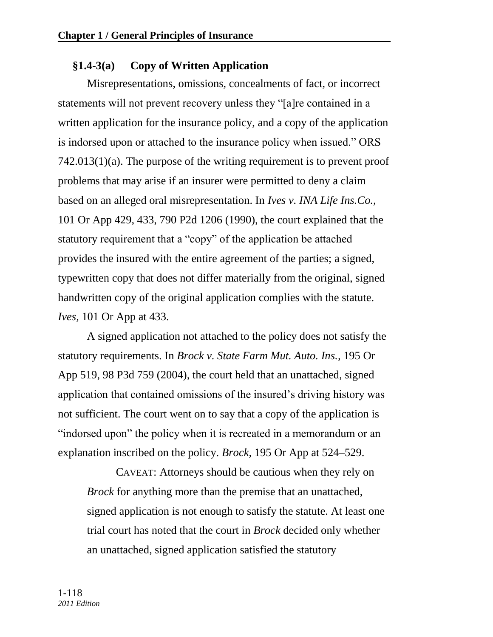# **§1.4-3(a) Copy of Written Application**

Misrepresentations, omissions, concealments of fact, or incorrect statements will not prevent recovery unless they "[a]re contained in a written application for the insurance policy, and a copy of the application is indorsed upon or attached to the insurance policy when issued." ORS 742.013(1)(a). The purpose of the writing requirement is to prevent proof problems that may arise if an insurer were permitted to deny a claim based on an alleged oral misrepresentation. In *Ives v. INA Life Ins.Co.,*  101 Or App 429, 433, 790 P2d 1206 (1990), the court explained that the statutory requirement that a "copy" of the application be attached provides the insured with the entire agreement of the parties; a signed, typewritten copy that does not differ materially from the original, signed handwritten copy of the original application complies with the statute. *Ives,* 101 Or App at 433.

A signed application not attached to the policy does not satisfy the statutory requirements. In *Brock v. State Farm Mut. Auto. Ins.,* 195 Or App 519, 98 P3d 759 (2004), the court held that an unattached, signed application that contained omissions of the insured's driving history was not sufficient. The court went on to say that a copy of the application is "indorsed upon" the policy when it is recreated in a memorandum or an explanation inscribed on the policy. *Brock,* 195 Or App at 524–529.

CAVEAT: Attorneys should be cautious when they rely on *Brock* for anything more than the premise that an unattached, signed application is not enough to satisfy the statute. At least one trial court has noted that the court in *Brock* decided only whether an unattached, signed application satisfied the statutory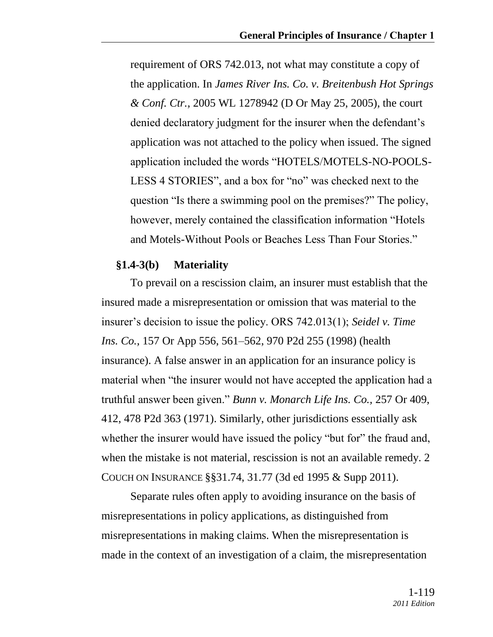requirement of ORS 742.013, not what may constitute a copy of the application. In *James River Ins. Co. v. Breitenbush Hot Springs & Conf. Ctr.,* 2005 WL 1278942 (D Or May 25, 2005), the court denied declaratory judgment for the insurer when the defendant's application was not attached to the policy when issued. The signed application included the words "HOTELS/MOTELS-NO-POOLS-LESS 4 STORIES", and a box for "no" was checked next to the question "Is there a swimming pool on the premises?" The policy, however, merely contained the classification information "Hotels" and Motels-Without Pools or Beaches Less Than Four Stories."

#### **§1.4-3(b) Materiality**

To prevail on a rescission claim, an insurer must establish that the insured made a misrepresentation or omission that was material to the insurer's decision to issue the policy. ORS 742.013(1); *Seidel v. Time Ins. Co.,* 157 Or App 556, 561–562, 970 P2d 255 (1998) (health insurance). A false answer in an application for an insurance policy is material when "the insurer would not have accepted the application had a truthful answer been given.‖ *Bunn v. Monarch Life Ins. Co.,* 257 Or 409, 412, 478 P2d 363 (1971). Similarly, other jurisdictions essentially ask whether the insurer would have issued the policy "but for" the fraud and, when the mistake is not material, rescission is not an available remedy. 2 COUCH ON INSURANCE §§31.74, 31.77 (3d ed 1995 & Supp 2011).

Separate rules often apply to avoiding insurance on the basis of misrepresentations in policy applications, as distinguished from misrepresentations in making claims. When the misrepresentation is made in the context of an investigation of a claim, the misrepresentation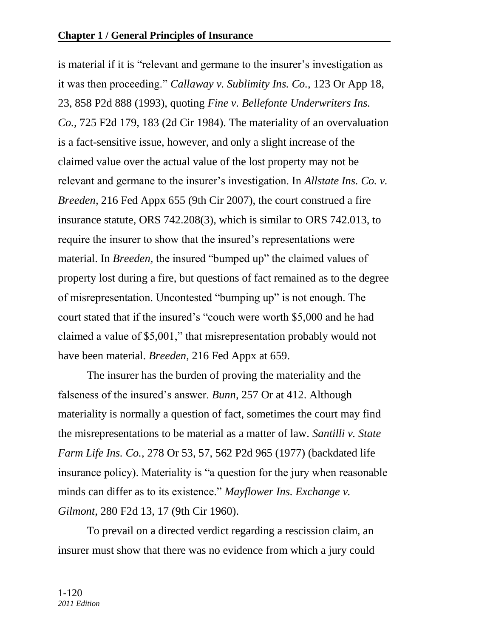is material if it is "relevant and germane to the insurer's investigation as it was then proceeding.‖ *Callaway v. Sublimity Ins. Co.,* 123 Or App 18, 23, 858 P2d 888 (1993), quoting *Fine v. Bellefonte Underwriters Ins. Co.,* 725 F2d 179, 183 (2d Cir 1984). The materiality of an overvaluation is a fact-sensitive issue, however, and only a slight increase of the claimed value over the actual value of the lost property may not be relevant and germane to the insurer's investigation. In *Allstate Ins. Co. v. Breeden,* 216 Fed Appx 655 (9th Cir 2007), the court construed a fire insurance statute, ORS 742.208(3), which is similar to ORS 742.013, to require the insurer to show that the insured's representations were material. In *Breeden*, the insured "bumped up" the claimed values of property lost during a fire, but questions of fact remained as to the degree of misrepresentation. Uncontested "bumping up" is not enough. The court stated that if the insured's "couch were worth \$5,000 and he had claimed a value of \$5,001," that misrepresentation probably would not have been material. *Breeden,* 216 Fed Appx at 659.

The insurer has the burden of proving the materiality and the falseness of the insured's answer. *Bunn,* 257 Or at 412. Although materiality is normally a question of fact, sometimes the court may find the misrepresentations to be material as a matter of law. *Santilli v. State Farm Life Ins. Co.,* 278 Or 53, 57, 562 P2d 965 (1977) (backdated life insurance policy). Materiality is "a question for the jury when reasonable minds can differ as to its existence." *Mayflower Ins. Exchange v. Gilmont,* 280 F2d 13, 17 (9th Cir 1960).

To prevail on a directed verdict regarding a rescission claim, an insurer must show that there was no evidence from which a jury could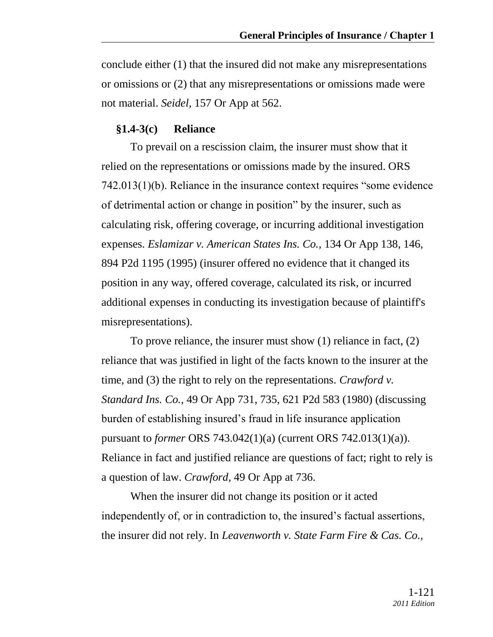conclude either (1) that the insured did not make any misrepresentations or omissions or (2) that any misrepresentations or omissions made were not material. *Seidel,* 157 Or App at 562.

#### **§1.4-3(c) Reliance**

To prevail on a rescission claim, the insurer must show that it relied on the representations or omissions made by the insured. ORS  $742.013(1)(b)$ . Reliance in the insurance context requires "some evidence" of detrimental action or change in position" by the insurer, such as calculating risk, offering coverage, or incurring additional investigation expenses. *Eslamizar v. American States Ins. Co.,* 134 Or App 138, 146, 894 P2d 1195 (1995) (insurer offered no evidence that it changed its position in any way, offered coverage, calculated its risk, or incurred additional expenses in conducting its investigation because of plaintiff's misrepresentations).

To prove reliance, the insurer must show (1) reliance in fact, (2) reliance that was justified in light of the facts known to the insurer at the time, and (3) the right to rely on the representations. *Crawford v. Standard Ins. Co.,* 49 Or App 731, 735, 621 P2d 583 (1980) (discussing burden of establishing insured's fraud in life insurance application pursuant to *former* ORS 743.042(1)(a) (current ORS 742.013(1)(a)). Reliance in fact and justified reliance are questions of fact; right to rely is a question of law. *Crawford,* 49 Or App at 736.

When the insurer did not change its position or it acted independently of, or in contradiction to, the insured's factual assertions, the insurer did not rely. In *Leavenworth v. State Farm Fire & Cas. Co.,*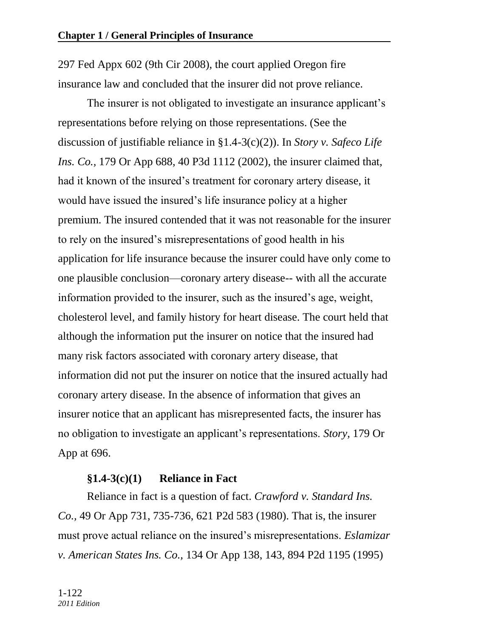297 Fed Appx 602 (9th Cir 2008), the court applied Oregon fire insurance law and concluded that the insurer did not prove reliance.

The insurer is not obligated to investigate an insurance applicant's representations before relying on those representations. (See the discussion of justifiable reliance in §1.4-3(c)(2)). In *Story v. Safeco Life Ins. Co.,* 179 Or App 688, 40 P3d 1112 (2002), the insurer claimed that, had it known of the insured's treatment for coronary artery disease, it would have issued the insured's life insurance policy at a higher premium. The insured contended that it was not reasonable for the insurer to rely on the insured's misrepresentations of good health in his application for life insurance because the insurer could have only come to one plausible conclusion—coronary artery disease-- with all the accurate information provided to the insurer, such as the insured's age, weight, cholesterol level, and family history for heart disease. The court held that although the information put the insurer on notice that the insured had many risk factors associated with coronary artery disease, that information did not put the insurer on notice that the insured actually had coronary artery disease. In the absence of information that gives an insurer notice that an applicant has misrepresented facts, the insurer has no obligation to investigate an applicant's representations. *Story,* 179 Or App at 696.

# **§1.4-3(c)(1) Reliance in Fact**

Reliance in fact is a question of fact. *Crawford v. Standard Ins. Co.,* 49 Or App 731, 735-736, 621 P2d 583 (1980). That is, the insurer must prove actual reliance on the insured's misrepresentations. *Eslamizar v. American States Ins. Co.,* 134 Or App 138, 143, 894 P2d 1195 (1995)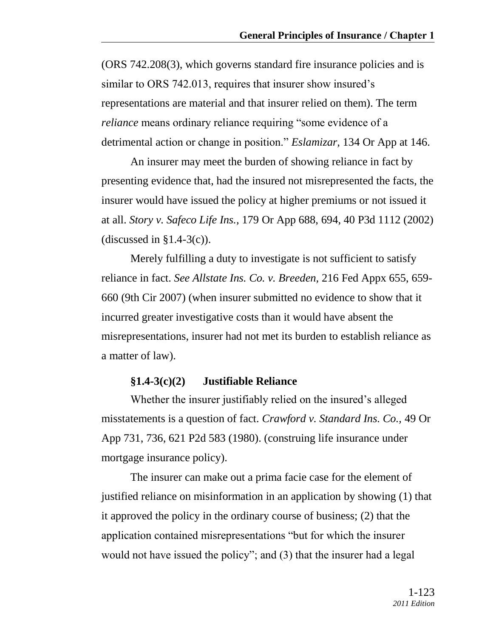(ORS 742.208(3), which governs standard fire insurance policies and is similar to ORS 742.013, requires that insurer show insured's representations are material and that insurer relied on them). The term *reliance* means ordinary reliance requiring "some evidence of a detrimental action or change in position." *Eslamizar*, 134 Or App at 146.

An insurer may meet the burden of showing reliance in fact by presenting evidence that, had the insured not misrepresented the facts, the insurer would have issued the policy at higher premiums or not issued it at all. *Story v. Safeco Life Ins.,* 179 Or App 688, 694, 40 P3d 1112 (2002) (discussed in  $\S1.4-3(c)$ ).

Merely fulfilling a duty to investigate is not sufficient to satisfy reliance in fact. *See Allstate Ins. Co. v. Breeden,* 216 Fed Appx 655, 659- 660 (9th Cir 2007) (when insurer submitted no evidence to show that it incurred greater investigative costs than it would have absent the misrepresentations, insurer had not met its burden to establish reliance as a matter of law).

### **§1.4-3(c)(2) Justifiable Reliance**

Whether the insurer justifiably relied on the insured's alleged misstatements is a question of fact. *Crawford v. Standard Ins. Co.,* 49 Or App 731, 736, 621 P2d 583 (1980). (construing life insurance under mortgage insurance policy).

The insurer can make out a prima facie case for the element of justified reliance on misinformation in an application by showing (1) that it approved the policy in the ordinary course of business; (2) that the application contained misrepresentations "but for which the insurer would not have issued the policy"; and (3) that the insurer had a legal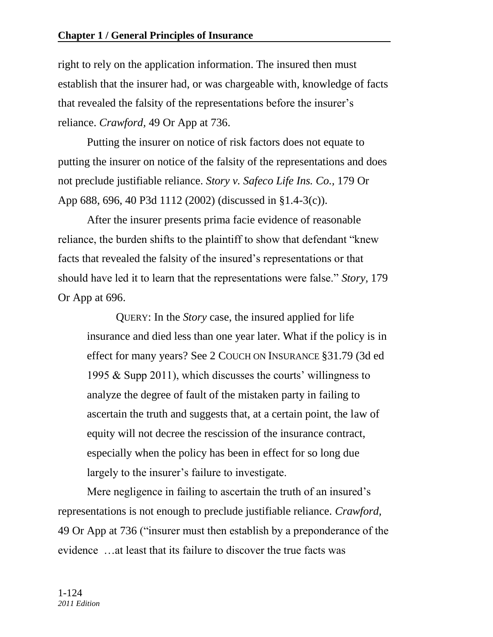right to rely on the application information. The insured then must establish that the insurer had, or was chargeable with, knowledge of facts that revealed the falsity of the representations before the insurer's reliance. *Crawford,* 49 Or App at 736.

Putting the insurer on notice of risk factors does not equate to putting the insurer on notice of the falsity of the representations and does not preclude justifiable reliance. *Story v. Safeco Life Ins. Co.,* 179 Or App 688, 696, 40 P3d 1112 (2002) (discussed in §1.4-3(c)).

After the insurer presents prima facie evidence of reasonable reliance, the burden shifts to the plaintiff to show that defendant "knew" facts that revealed the falsity of the insured's representations or that should have led it to learn that the representations were false." *Story*, 179 Or App at 696.

QUERY: In the *Story* case, the insured applied for life insurance and died less than one year later. What if the policy is in effect for many years? See 2 COUCH ON INSURANCE §31.79 (3d ed 1995 & Supp 2011), which discusses the courts' willingness to analyze the degree of fault of the mistaken party in failing to ascertain the truth and suggests that, at a certain point, the law of equity will not decree the rescission of the insurance contract, especially when the policy has been in effect for so long due largely to the insurer's failure to investigate.

Mere negligence in failing to ascertain the truth of an insured's representations is not enough to preclude justifiable reliance. *Crawford,* 49 Or App at 736 ("insurer must then establish by a preponderance of the evidence …at least that its failure to discover the true facts was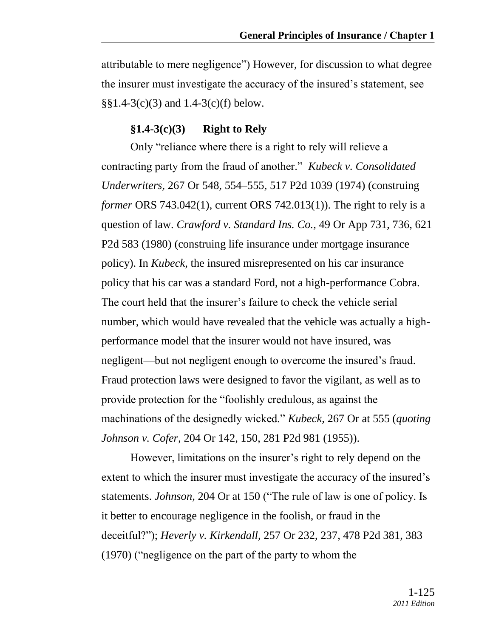attributable to mere negligence") However, for discussion to what degree the insurer must investigate the accuracy of the insured's statement, see §§1.4-3(c)(3) and 1.4-3(c)(f) below.

### **§1.4-3(c)(3) Right to Rely**

Only "reliance where there is a right to rely will relieve a contracting party from the fraud of another." *Kubeck v. Consolidated Underwriters,* 267 Or 548, 554–555, 517 P2d 1039 (1974) (construing *former* ORS 743.042(1), current ORS 742.013(1)). The right to rely is a question of law. *Crawford v. Standard Ins. Co.,* 49 Or App 731, 736, 621 P2d 583 (1980) (construing life insurance under mortgage insurance policy). In *Kubeck,* the insured misrepresented on his car insurance policy that his car was a standard Ford, not a high-performance Cobra. The court held that the insurer's failure to check the vehicle serial number, which would have revealed that the vehicle was actually a highperformance model that the insurer would not have insured, was negligent—but not negligent enough to overcome the insured's fraud. Fraud protection laws were designed to favor the vigilant, as well as to provide protection for the "foolishly credulous, as against the machinations of the designedly wicked." *Kubeck*, 267 Or at 555 (*quoting*) *Johnson v. Cofer,* 204 Or 142, 150, 281 P2d 981 (1955)).

However, limitations on the insurer's right to rely depend on the extent to which the insurer must investigate the accuracy of the insured's statements. *Johnson*, 204 Or at 150 ("The rule of law is one of policy. Is it better to encourage negligence in the foolish, or fraud in the deceitful?‖); *Heverly v. Kirkendall,* 257 Or 232, 237, 478 P2d 381, 383  $(1970)$  ("negligence on the part of the party to whom the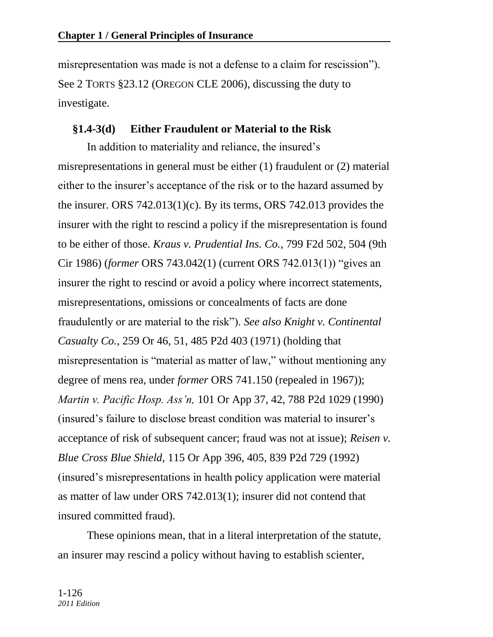misrepresentation was made is not a defense to a claim for rescission"). See 2 TORTS §23.12 (OREGON CLE 2006), discussing the duty to investigate.

### **§1.4-3(d) Either Fraudulent or Material to the Risk**

In addition to materiality and reliance, the insured's misrepresentations in general must be either (1) fraudulent or (2) material either to the insurer's acceptance of the risk or to the hazard assumed by the insurer. ORS 742.013(1)(c). By its terms, ORS 742.013 provides the insurer with the right to rescind a policy if the misrepresentation is found to be either of those. *Kraus v. Prudential Ins. Co.,* 799 F2d 502, 504 (9th Cir 1986) (*former* ORS 743.042(1) (current ORS 742.013(1)) "gives an insurer the right to rescind or avoid a policy where incorrect statements, misrepresentations, omissions or concealments of facts are done fraudulently or are material to the risk"). *See also Knight v. Continental Casualty Co.,* 259 Or 46, 51, 485 P2d 403 (1971) (holding that misrepresentation is "material as matter of law," without mentioning any degree of mens rea, under *former* ORS 741.150 (repealed in 1967)); *Martin v. Pacific Hosp. Ass'n,* 101 Or App 37, 42, 788 P2d 1029 (1990) (insured's failure to disclose breast condition was material to insurer's acceptance of risk of subsequent cancer; fraud was not at issue); *Reisen v. Blue Cross Blue Shield,* 115 Or App 396, 405, 839 P2d 729 (1992) (insured's misrepresentations in health policy application were material as matter of law under ORS 742.013(1); insurer did not contend that insured committed fraud).

These opinions mean, that in a literal interpretation of the statute, an insurer may rescind a policy without having to establish scienter,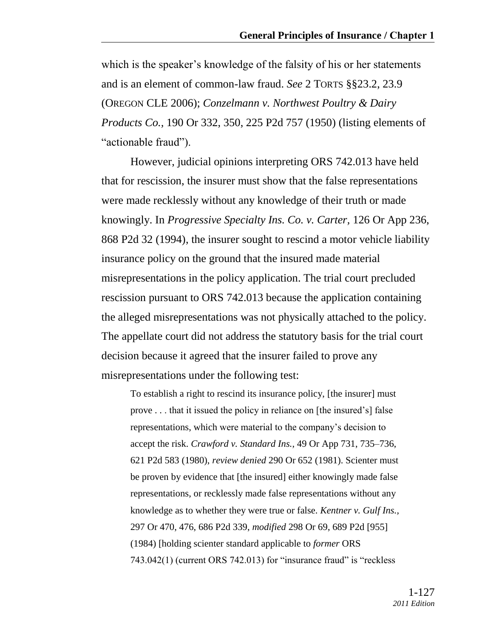which is the speaker's knowledge of the falsity of his or her statements and is an element of common-law fraud. *See* 2 TORTS §§23.2, 23.9 (OREGON CLE 2006); *Conzelmann v. Northwest Poultry & Dairy Products Co.,* 190 Or 332, 350, 225 P2d 757 (1950) (listing elements of "actionable fraud").

However, judicial opinions interpreting ORS 742.013 have held that for rescission, the insurer must show that the false representations were made recklessly without any knowledge of their truth or made knowingly. In *Progressive Specialty Ins. Co. v. Carter,* 126 Or App 236, 868 P2d 32 (1994), the insurer sought to rescind a motor vehicle liability insurance policy on the ground that the insured made material misrepresentations in the policy application. The trial court precluded rescission pursuant to ORS 742.013 because the application containing the alleged misrepresentations was not physically attached to the policy. The appellate court did not address the statutory basis for the trial court decision because it agreed that the insurer failed to prove any misrepresentations under the following test:

To establish a right to rescind its insurance policy, [the insurer] must prove . . . that it issued the policy in reliance on [the insured's] false representations, which were material to the company's decision to accept the risk. *Crawford v. Standard Ins.,* 49 Or App 731, 735–736, 621 P2d 583 (1980), *review denied* 290 Or 652 (1981). Scienter must be proven by evidence that [the insured] either knowingly made false representations, or recklessly made false representations without any knowledge as to whether they were true or false. *Kentner v. Gulf Ins.,* 297 Or 470, 476, 686 P2d 339, *modified* 298 Or 69, 689 P2d [955] (1984) [holding scienter standard applicable to *former* ORS  $743.042(1)$  (current ORS 742.013) for "insurance fraud" is "reckless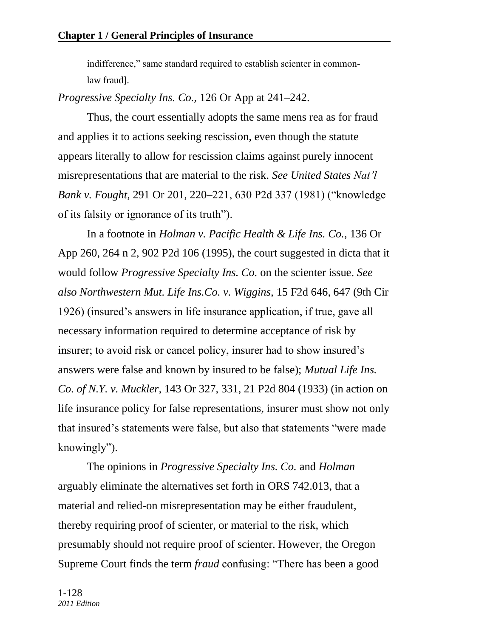indifference," same standard required to establish scienter in commonlaw fraud].

*Progressive Specialty Ins. Co.,* 126 Or App at 241–242.

Thus, the court essentially adopts the same mens rea as for fraud and applies it to actions seeking rescission, even though the statute appears literally to allow for rescission claims against purely innocent misrepresentations that are material to the risk. *See United States Nat'l Bank v. Fought,* 291 Or 201, 220–221, 630 P2d 337 (1981) ("knowledge" of its falsity or ignorance of its truth").

In a footnote in *Holman v. Pacific Health & Life Ins. Co.,* 136 Or App 260, 264 n 2, 902 P2d 106 (1995), the court suggested in dicta that it would follow *Progressive Specialty Ins. Co.* on the scienter issue. *See also Northwestern Mut. Life Ins.Co. v. Wiggins,* 15 F2d 646, 647 (9th Cir 1926) (insured's answers in life insurance application, if true, gave all necessary information required to determine acceptance of risk by insurer; to avoid risk or cancel policy, insurer had to show insured's answers were false and known by insured to be false); *Mutual Life Ins. Co. of N.Y. v. Muckler,* 143 Or 327, 331, 21 P2d 804 (1933) (in action on life insurance policy for false representations, insurer must show not only that insured's statements were false, but also that statements "were made knowingly").

The opinions in *Progressive Specialty Ins. Co.* and *Holman* arguably eliminate the alternatives set forth in ORS 742.013, that a material and relied-on misrepresentation may be either fraudulent, thereby requiring proof of scienter, or material to the risk, which presumably should not require proof of scienter. However, the Oregon Supreme Court finds the term *fraud* confusing: "There has been a good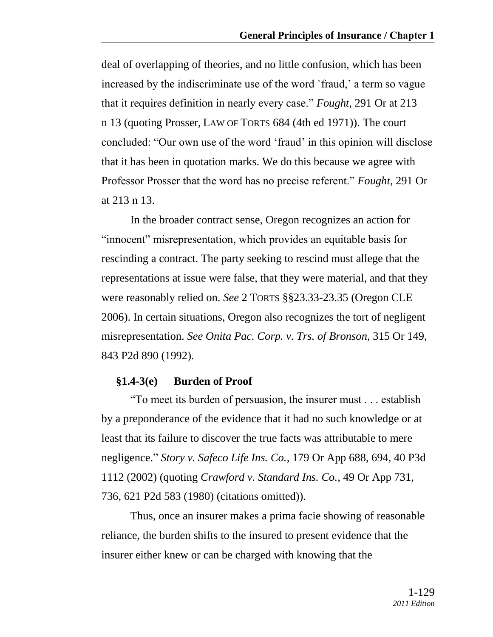deal of overlapping of theories, and no little confusion, which has been increased by the indiscriminate use of the word `fraud,' a term so vague that it requires definition in nearly every case.‖ *Fought,* 291 Or at 213 n 13 (quoting Prosser, LAW OF TORTS 684 (4th ed 1971)). The court concluded: "Our own use of the word 'fraud' in this opinion will disclose that it has been in quotation marks. We do this because we agree with Professor Prosser that the word has no precise referent." *Fought*, 291 Or at 213 n 13.

In the broader contract sense, Oregon recognizes an action for "innocent" misrepresentation, which provides an equitable basis for rescinding a contract. The party seeking to rescind must allege that the representations at issue were false, that they were material, and that they were reasonably relied on. *See* 2 TORTS §§23.33-23.35 (Oregon CLE 2006). In certain situations, Oregon also recognizes the tort of negligent misrepresentation. *See Onita Pac. Corp. v. Trs. of Bronson,* 315 Or 149, 843 P2d 890 (1992).

### **§1.4-3(e) Burden of Proof**

―To meet its burden of persuasion, the insurer must . . . establish by a preponderance of the evidence that it had no such knowledge or at least that its failure to discover the true facts was attributable to mere negligence.‖ *Story v. Safeco Life Ins. Co.,* 179 Or App 688, 694, 40 P3d 1112 (2002) (quoting *Crawford v. Standard Ins. Co.,* 49 Or App 731, 736, 621 P2d 583 (1980) (citations omitted)).

Thus, once an insurer makes a prima facie showing of reasonable reliance, the burden shifts to the insured to present evidence that the insurer either knew or can be charged with knowing that the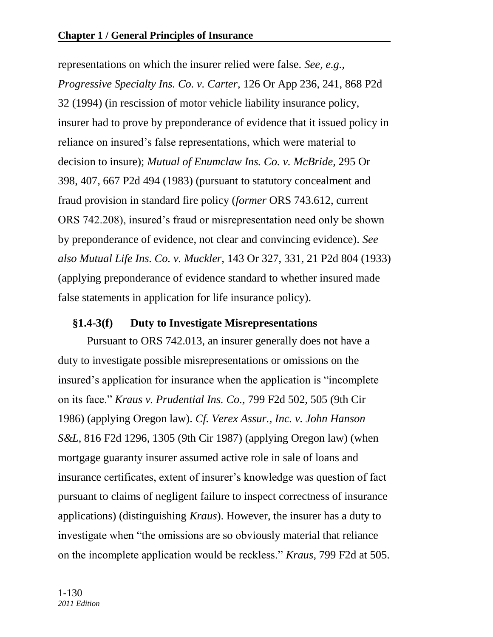representations on which the insurer relied were false. *See, e.g., Progressive Specialty Ins. Co. v. Carter,* 126 Or App 236, 241, 868 P2d 32 (1994) (in rescission of motor vehicle liability insurance policy, insurer had to prove by preponderance of evidence that it issued policy in reliance on insured's false representations, which were material to decision to insure); *Mutual of Enumclaw Ins. Co. v. McBride,* 295 Or 398, 407, 667 P2d 494 (1983) (pursuant to statutory concealment and fraud provision in standard fire policy (*former* ORS 743.612, current ORS 742.208), insured's fraud or misrepresentation need only be shown by preponderance of evidence, not clear and convincing evidence). *See also Mutual Life Ins. Co. v. Muckler,* 143 Or 327, 331, 21 P2d 804 (1933) (applying preponderance of evidence standard to whether insured made false statements in application for life insurance policy).

## **§1.4-3(f) Duty to Investigate Misrepresentations**

Pursuant to ORS 742.013, an insurer generally does not have a duty to investigate possible misrepresentations or omissions on the insured's application for insurance when the application is "incomplete" on its face.‖ *Kraus v. Prudential Ins. Co.,* 799 F2d 502, 505 (9th Cir 1986) (applying Oregon law). *Cf. Verex Assur., Inc. v. John Hanson S&L,* 816 F2d 1296, 1305 (9th Cir 1987) (applying Oregon law) (when mortgage guaranty insurer assumed active role in sale of loans and insurance certificates, extent of insurer's knowledge was question of fact pursuant to claims of negligent failure to inspect correctness of insurance applications) (distinguishing *Kraus*). However, the insurer has a duty to investigate when "the omissions are so obviously material that reliance on the incomplete application would be reckless.‖ *Kraus,* 799 F2d at 505.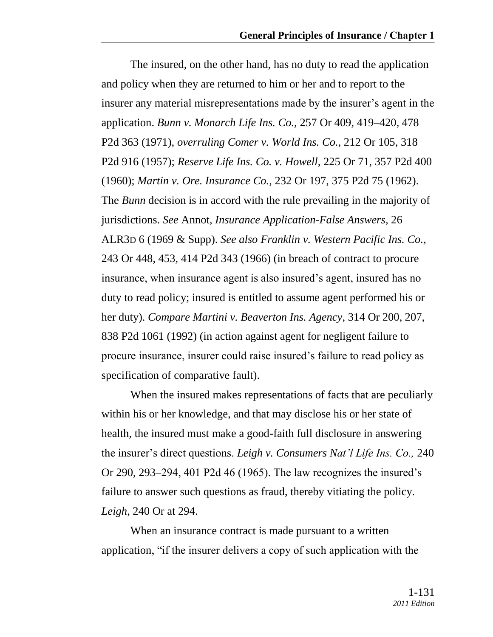The insured, on the other hand, has no duty to read the application and policy when they are returned to him or her and to report to the insurer any material misrepresentations made by the insurer's agent in the application. *Bunn v. Monarch Life Ins. Co.,* 257 Or 409, 419–420, 478 P2d 363 (1971), *overruling Comer v. World Ins. Co.,* 212 Or 105, 318 P2d 916 (1957); *Reserve Life Ins. Co. v. Howell,* 225 Or 71, 357 P2d 400 (1960); *Martin v. Ore. Insurance Co.,* 232 Or 197, 375 P2d 75 (1962). The *Bunn* decision is in accord with the rule prevailing in the majority of jurisdictions. *See* Annot, *Insurance Application-False Answers,* 26 ALR3D 6 (1969 & Supp). *See also Franklin v. Western Pacific Ins. Co.,* 243 Or 448, 453, 414 P2d 343 (1966) (in breach of contract to procure insurance, when insurance agent is also insured's agent, insured has no duty to read policy; insured is entitled to assume agent performed his or her duty). *Compare Martini v. Beaverton Ins. Agency,* 314 Or 200, 207, 838 P2d 1061 (1992) (in action against agent for negligent failure to procure insurance, insurer could raise insured's failure to read policy as specification of comparative fault).

When the insured makes representations of facts that are peculiarly within his or her knowledge, and that may disclose his or her state of health, the insured must make a good-faith full disclosure in answering the insurer's direct questions. *Leigh v. Consumers Nat'l Life Ins. Co.,* 240 Or 290, 293–294, 401 P2d 46 (1965). The law recognizes the insured's failure to answer such questions as fraud, thereby vitiating the policy. *Leigh,* 240 Or at 294.

When an insurance contract is made pursuant to a written application, "if the insurer delivers a copy of such application with the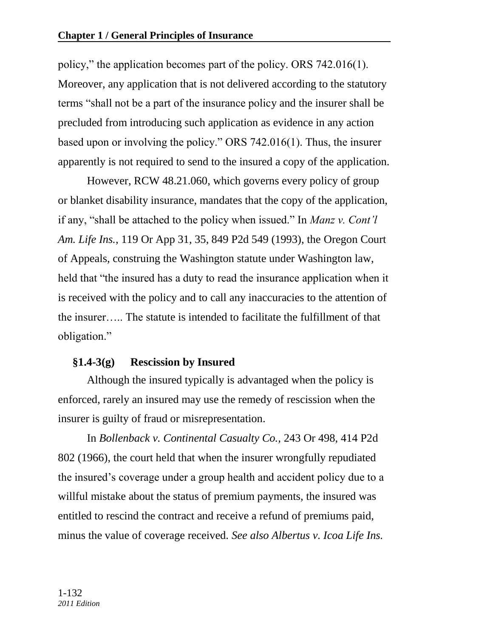policy," the application becomes part of the policy. ORS 742.016(1). Moreover, any application that is not delivered according to the statutory terms "shall not be a part of the insurance policy and the insurer shall be precluded from introducing such application as evidence in any action based upon or involving the policy." ORS  $742.016(1)$ . Thus, the insurer apparently is not required to send to the insured a copy of the application.

However, RCW 48.21.060, which governs every policy of group or blanket disability insurance, mandates that the copy of the application, if any, "shall be attached to the policy when issued." In *Manz v. Cont'l Am. Life Ins.,* 119 Or App 31, 35, 849 P2d 549 (1993), the Oregon Court of Appeals, construing the Washington statute under Washington law, held that "the insured has a duty to read the insurance application when it is received with the policy and to call any inaccuracies to the attention of the insurer….. The statute is intended to facilitate the fulfillment of that obligation."

# **§1.4-3(g) Rescission by Insured**

Although the insured typically is advantaged when the policy is enforced, rarely an insured may use the remedy of rescission when the insurer is guilty of fraud or misrepresentation.

In *Bollenback v. Continental Casualty Co.,* 243 Or 498, 414 P2d 802 (1966), the court held that when the insurer wrongfully repudiated the insured's coverage under a group health and accident policy due to a willful mistake about the status of premium payments, the insured was entitled to rescind the contract and receive a refund of premiums paid, minus the value of coverage received. *See also Albertus v. Icoa Life Ins.*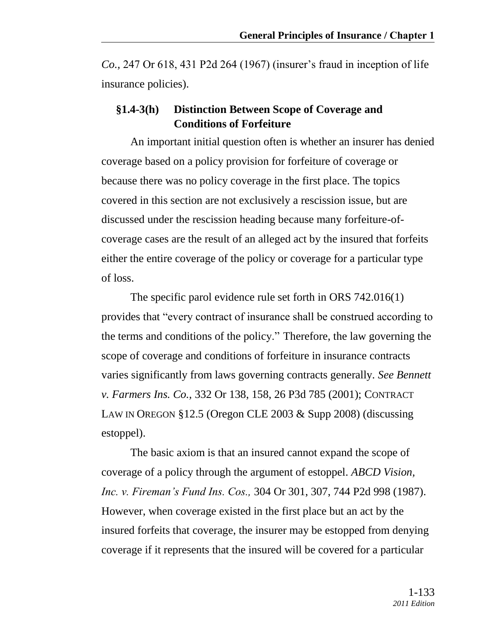*Co.,* 247 Or 618, 431 P2d 264 (1967) (insurer's fraud in inception of life insurance policies).

## **§1.4-3(h) Distinction Between Scope of Coverage and Conditions of Forfeiture**

An important initial question often is whether an insurer has denied coverage based on a policy provision for forfeiture of coverage or because there was no policy coverage in the first place. The topics covered in this section are not exclusively a rescission issue, but are discussed under the rescission heading because many forfeiture-ofcoverage cases are the result of an alleged act by the insured that forfeits either the entire coverage of the policy or coverage for a particular type of loss.

The specific parol evidence rule set forth in ORS 742.016(1) provides that "every contract of insurance shall be construed according to the terms and conditions of the policy.‖ Therefore, the law governing the scope of coverage and conditions of forfeiture in insurance contracts varies significantly from laws governing contracts generally. *See Bennett v. Farmers Ins. Co.,* 332 Or 138, 158, 26 P3d 785 (2001); CONTRACT LAW IN OREGON §12.5 (Oregon CLE 2003 & Supp 2008) (discussing estoppel).

The basic axiom is that an insured cannot expand the scope of coverage of a policy through the argument of estoppel. *ABCD Vision, Inc. v. Fireman's Fund Ins. Cos.,* 304 Or 301, 307, 744 P2d 998 (1987). However, when coverage existed in the first place but an act by the insured forfeits that coverage, the insurer may be estopped from denying coverage if it represents that the insured will be covered for a particular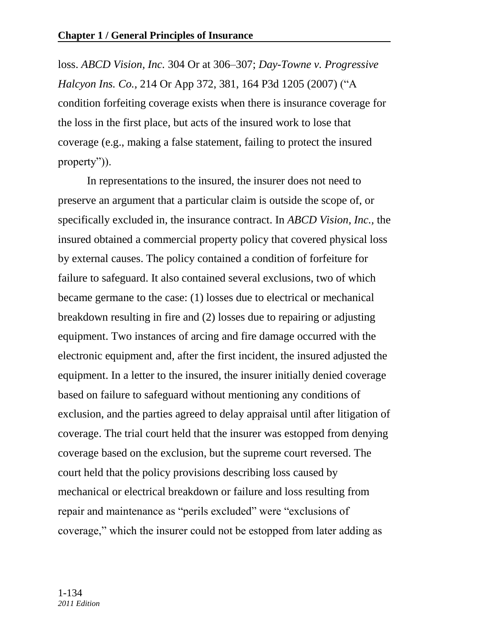loss. *ABCD Vision, Inc.* 304 Or at 306–307; *Day-Towne v. Progressive Halcyon Ins. Co., 214 Or App 372, 381, 164 P3d 1205 (2007)* ("A condition forfeiting coverage exists when there is insurance coverage for the loss in the first place, but acts of the insured work to lose that coverage (e.g., making a false statement, failing to protect the insured property" $)$ ).

In representations to the insured, the insurer does not need to preserve an argument that a particular claim is outside the scope of, or specifically excluded in, the insurance contract. In *ABCD Vision, Inc.,* the insured obtained a commercial property policy that covered physical loss by external causes. The policy contained a condition of forfeiture for failure to safeguard. It also contained several exclusions, two of which became germane to the case: (1) losses due to electrical or mechanical breakdown resulting in fire and (2) losses due to repairing or adjusting equipment. Two instances of arcing and fire damage occurred with the electronic equipment and, after the first incident, the insured adjusted the equipment. In a letter to the insured, the insurer initially denied coverage based on failure to safeguard without mentioning any conditions of exclusion, and the parties agreed to delay appraisal until after litigation of coverage. The trial court held that the insurer was estopped from denying coverage based on the exclusion, but the supreme court reversed. The court held that the policy provisions describing loss caused by mechanical or electrical breakdown or failure and loss resulting from repair and maintenance as "perils excluded" were "exclusions of coverage," which the insurer could not be estopped from later adding as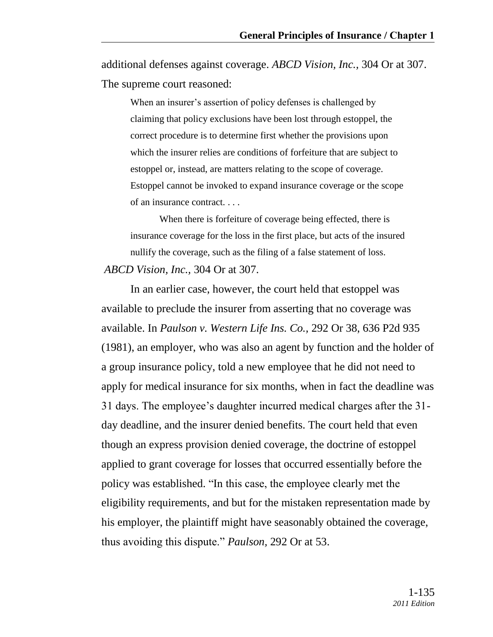additional defenses against coverage. *ABCD Vision, Inc.,* 304 Or at 307. The supreme court reasoned:

When an insurer's assertion of policy defenses is challenged by claiming that policy exclusions have been lost through estoppel, the correct procedure is to determine first whether the provisions upon which the insurer relies are conditions of forfeiture that are subject to estoppel or, instead, are matters relating to the scope of coverage. Estoppel cannot be invoked to expand insurance coverage or the scope of an insurance contract. . . .

When there is forfeiture of coverage being effected, there is insurance coverage for the loss in the first place, but acts of the insured nullify the coverage, such as the filing of a false statement of loss. *ABCD Vision, Inc.,* 304 Or at 307.

In an earlier case, however, the court held that estoppel was available to preclude the insurer from asserting that no coverage was available. In *Paulson v. Western Life Ins. Co.,* 292 Or 38, 636 P2d 935 (1981), an employer, who was also an agent by function and the holder of a group insurance policy, told a new employee that he did not need to apply for medical insurance for six months, when in fact the deadline was 31 days. The employee's daughter incurred medical charges after the 31 day deadline, and the insurer denied benefits. The court held that even though an express provision denied coverage, the doctrine of estoppel applied to grant coverage for losses that occurred essentially before the policy was established. "In this case, the employee clearly met the eligibility requirements, and but for the mistaken representation made by his employer, the plaintiff might have seasonably obtained the coverage, thus avoiding this dispute.‖ *Paulson,* 292 Or at 53.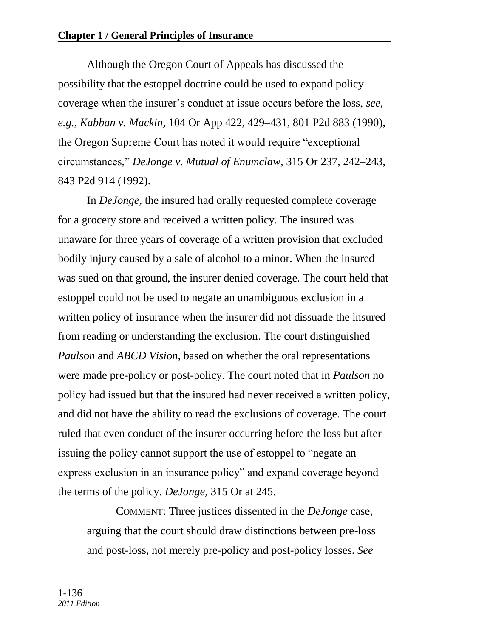Although the Oregon Court of Appeals has discussed the possibility that the estoppel doctrine could be used to expand policy coverage when the insurer's conduct at issue occurs before the loss, *see, e.g., Kabban v. Mackin,* 104 Or App 422, 429–431, 801 P2d 883 (1990), the Oregon Supreme Court has noted it would require "exceptional" circumstances,‖ *DeJonge v. Mutual of Enumclaw,* 315 Or 237, 242–243, 843 P2d 914 (1992).

In *DeJonge,* the insured had orally requested complete coverage for a grocery store and received a written policy. The insured was unaware for three years of coverage of a written provision that excluded bodily injury caused by a sale of alcohol to a minor. When the insured was sued on that ground, the insurer denied coverage. The court held that estoppel could not be used to negate an unambiguous exclusion in a written policy of insurance when the insurer did not dissuade the insured from reading or understanding the exclusion. The court distinguished *Paulson* and *ABCD Vision,* based on whether the oral representations were made pre-policy or post-policy. The court noted that in *Paulson* no policy had issued but that the insured had never received a written policy, and did not have the ability to read the exclusions of coverage. The court ruled that even conduct of the insurer occurring before the loss but after issuing the policy cannot support the use of estoppel to "negate an express exclusion in an insurance policy" and expand coverage beyond the terms of the policy. *DeJonge,* 315 Or at 245.

COMMENT: Three justices dissented in the *DeJonge* case, arguing that the court should draw distinctions between pre-loss and post-loss, not merely pre-policy and post-policy losses. *See*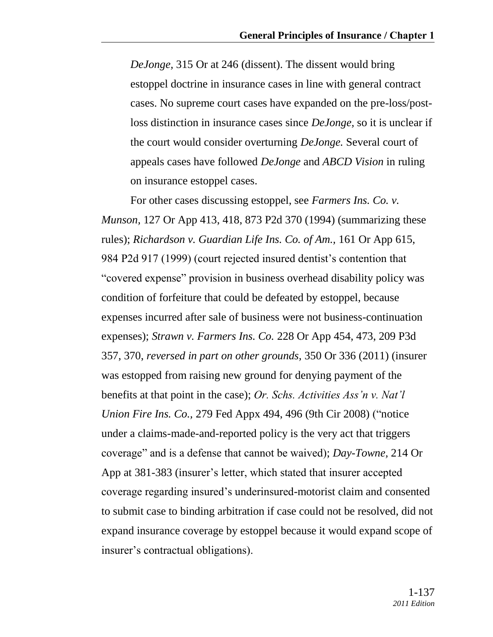*DeJonge,* 315 Or at 246 (dissent). The dissent would bring estoppel doctrine in insurance cases in line with general contract cases. No supreme court cases have expanded on the pre-loss/postloss distinction in insurance cases since *DeJonge,* so it is unclear if the court would consider overturning *DeJonge.* Several court of appeals cases have followed *DeJonge* and *ABCD Vision* in ruling on insurance estoppel cases.

For other cases discussing estoppel, see *Farmers Ins. Co. v. Munson,* 127 Or App 413, 418, 873 P2d 370 (1994) (summarizing these rules); *Richardson v. Guardian Life Ins. Co. of Am.,* 161 Or App 615, 984 P2d 917 (1999) (court rejected insured dentist's contention that "covered expense" provision in business overhead disability policy was condition of forfeiture that could be defeated by estoppel, because expenses incurred after sale of business were not business-continuation expenses); *Strawn v. Farmers Ins. Co.* 228 Or App 454, 473, 209 P3d 357, 370, *reversed in part on other grounds,* 350 Or 336 (2011) (insurer was estopped from raising new ground for denying payment of the benefits at that point in the case); *Or. Schs. Activities Ass'n v. Nat'l Union Fire Ins. Co., 279 Fed Appx 494, 496 (9th Cir 2008) ("notice* under a claims-made-and-reported policy is the very act that triggers coverage‖ and is a defense that cannot be waived); *Day-Towne,* 214 Or App at 381-383 (insurer's letter, which stated that insurer accepted coverage regarding insured's underinsured-motorist claim and consented to submit case to binding arbitration if case could not be resolved, did not expand insurance coverage by estoppel because it would expand scope of insurer's contractual obligations).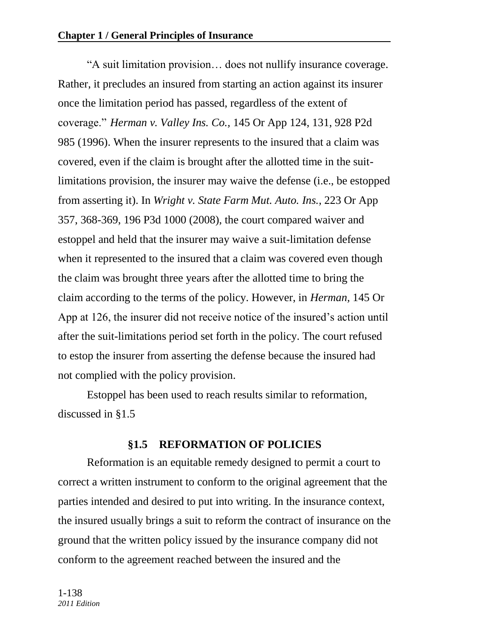―A suit limitation provision… does not nullify insurance coverage. Rather, it precludes an insured from starting an action against its insurer once the limitation period has passed, regardless of the extent of coverage.‖ *Herman v. Valley Ins. Co.,* 145 Or App 124, 131, 928 P2d 985 (1996). When the insurer represents to the insured that a claim was covered, even if the claim is brought after the allotted time in the suitlimitations provision, the insurer may waive the defense (i.e., be estopped from asserting it). In *Wright v. State Farm Mut. Auto. Ins.,* 223 Or App 357, 368-369, 196 P3d 1000 (2008), the court compared waiver and estoppel and held that the insurer may waive a suit-limitation defense when it represented to the insured that a claim was covered even though the claim was brought three years after the allotted time to bring the claim according to the terms of the policy. However, in *Herman,* 145 Or App at 126, the insurer did not receive notice of the insured's action until after the suit-limitations period set forth in the policy. The court refused to estop the insurer from asserting the defense because the insured had not complied with the policy provision.

Estoppel has been used to reach results similar to reformation, discussed in §1.5

## **§1.5 REFORMATION OF POLICIES**

Reformation is an equitable remedy designed to permit a court to correct a written instrument to conform to the original agreement that the parties intended and desired to put into writing. In the insurance context, the insured usually brings a suit to reform the contract of insurance on the ground that the written policy issued by the insurance company did not conform to the agreement reached between the insured and the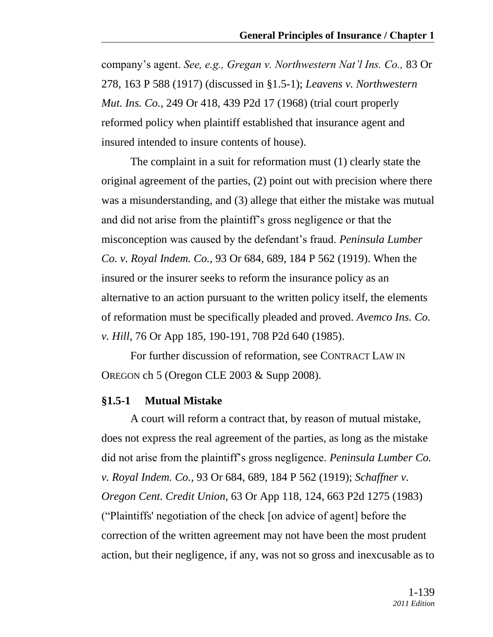company's agent. *See, e.g., Gregan v. Northwestern Nat'l Ins. Co.,* 83 Or 278, 163 P 588 (1917) (discussed in §1.5-1); *Leavens v. Northwestern Mut. Ins. Co.,* 249 Or 418, 439 P2d 17 (1968) (trial court properly reformed policy when plaintiff established that insurance agent and insured intended to insure contents of house).

The complaint in a suit for reformation must (1) clearly state the original agreement of the parties, (2) point out with precision where there was a misunderstanding, and (3) allege that either the mistake was mutual and did not arise from the plaintiff's gross negligence or that the misconception was caused by the defendant's fraud. *Peninsula Lumber Co. v. Royal Indem. Co.,* 93 Or 684, 689, 184 P 562 (1919). When the insured or the insurer seeks to reform the insurance policy as an alternative to an action pursuant to the written policy itself, the elements of reformation must be specifically pleaded and proved. *Avemco Ins. Co. v. Hill,* 76 Or App 185, 190-191, 708 P2d 640 (1985).

For further discussion of reformation, see CONTRACT LAW IN OREGON ch 5 (Oregon CLE 2003 & Supp 2008).

#### **§1.5-1 Mutual Mistake**

A court will reform a contract that, by reason of mutual mistake, does not express the real agreement of the parties, as long as the mistake did not arise from the plaintiff's gross negligence. *Peninsula Lumber Co. v. Royal Indem. Co.,* 93 Or 684, 689, 184 P 562 (1919); *Schaffner v. Oregon Cent. Credit Union,* 63 Or App 118, 124, 663 P2d 1275 (1983) (―Plaintiffs' negotiation of the check [on advice of agent] before the correction of the written agreement may not have been the most prudent action, but their negligence, if any, was not so gross and inexcusable as to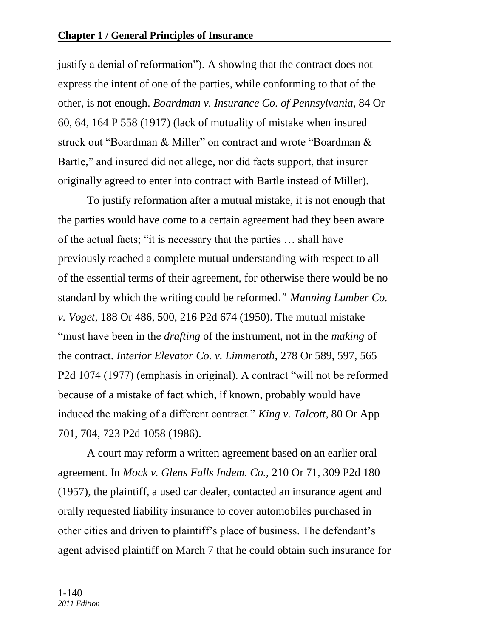justify a denial of reformation"). A showing that the contract does not express the intent of one of the parties, while conforming to that of the other, is not enough. *Boardman v. Insurance Co. of Pennsylvania,* 84 Or 60, 64, 164 P 558 (1917) (lack of mutuality of mistake when insured struck out "Boardman & Miller" on contract and wrote "Boardman  $\&$ Bartle," and insured did not allege, nor did facts support, that insurer originally agreed to enter into contract with Bartle instead of Miller).

To justify reformation after a mutual mistake, it is not enough that the parties would have come to a certain agreement had they been aware of the actual facts; "it is necessary that the parties ... shall have previously reached a complete mutual understanding with respect to all of the essential terms of their agreement, for otherwise there would be no standard by which the writing could be reformed." *Manning Lumber Co. v. Voget,* 188 Or 486, 500, 216 P2d 674 (1950). The mutual mistake ―must have been in the *drafting* of the instrument, not in the *making* of the contract. *Interior Elevator Co. v. Limmeroth,* 278 Or 589, 597, 565 P2d 1074 (1977) (emphasis in original). A contract "will not be reformed because of a mistake of fact which, if known, probably would have induced the making of a different contract." *King v. Talcott*, 80 Or App 701, 704, 723 P2d 1058 (1986).

A court may reform a written agreement based on an earlier oral agreement. In *Mock v. Glens Falls Indem. Co.,* 210 Or 71, 309 P2d 180 (1957), the plaintiff, a used car dealer, contacted an insurance agent and orally requested liability insurance to cover automobiles purchased in other cities and driven to plaintiff's place of business. The defendant's agent advised plaintiff on March 7 that he could obtain such insurance for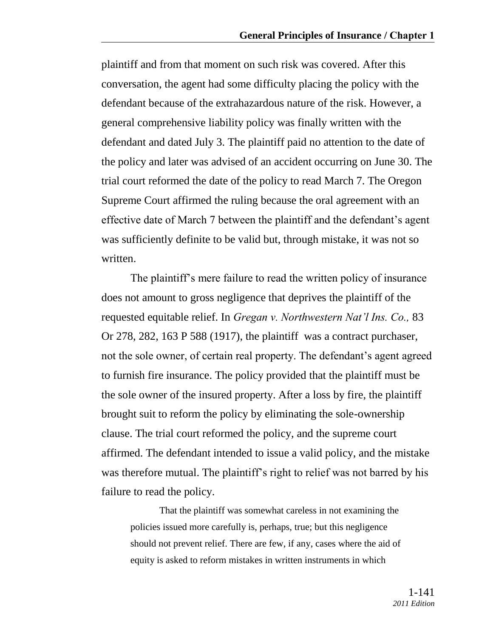plaintiff and from that moment on such risk was covered. After this conversation, the agent had some difficulty placing the policy with the defendant because of the extrahazardous nature of the risk. However, a general comprehensive liability policy was finally written with the defendant and dated July 3. The plaintiff paid no attention to the date of the policy and later was advised of an accident occurring on June 30. The trial court reformed the date of the policy to read March 7. The Oregon Supreme Court affirmed the ruling because the oral agreement with an effective date of March 7 between the plaintiff and the defendant's agent was sufficiently definite to be valid but, through mistake, it was not so written.

The plaintiff's mere failure to read the written policy of insurance does not amount to gross negligence that deprives the plaintiff of the requested equitable relief. In *Gregan v. Northwestern Nat'l Ins. Co.,* 83 Or 278, 282, 163 P 588 (1917), the plaintiff was a contract purchaser, not the sole owner, of certain real property. The defendant's agent agreed to furnish fire insurance. The policy provided that the plaintiff must be the sole owner of the insured property. After a loss by fire, the plaintiff brought suit to reform the policy by eliminating the sole-ownership clause. The trial court reformed the policy, and the supreme court affirmed. The defendant intended to issue a valid policy, and the mistake was therefore mutual. The plaintiff's right to relief was not barred by his failure to read the policy.

That the plaintiff was somewhat careless in not examining the policies issued more carefully is, perhaps, true; but this negligence should not prevent relief. There are few, if any, cases where the aid of equity is asked to reform mistakes in written instruments in which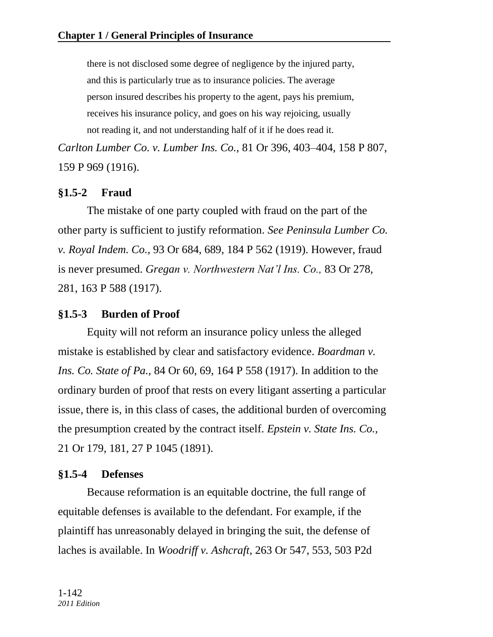there is not disclosed some degree of negligence by the injured party, and this is particularly true as to insurance policies. The average person insured describes his property to the agent, pays his premium, receives his insurance policy, and goes on his way rejoicing, usually not reading it, and not understanding half of it if he does read it.

*Carlton Lumber Co. v. Lumber Ins. Co.,* 81 Or 396, 403–404, 158 P 807, 159 P 969 (1916).

# **§1.5-2 Fraud**

The mistake of one party coupled with fraud on the part of the other party is sufficient to justify reformation. *See Peninsula Lumber Co. v. Royal Indem. Co.,* 93 Or 684, 689, 184 P 562 (1919). However, fraud is never presumed. *Gregan v. Northwestern Nat'l Ins. Co.,* 83 Or 278, 281, 163 P 588 (1917).

# **§1.5-3 Burden of Proof**

Equity will not reform an insurance policy unless the alleged mistake is established by clear and satisfactory evidence. *Boardman v. Ins. Co. State of Pa.,* 84 Or 60, 69, 164 P 558 (1917). In addition to the ordinary burden of proof that rests on every litigant asserting a particular issue, there is, in this class of cases, the additional burden of overcoming the presumption created by the contract itself. *Epstein v. State Ins. Co.,* 21 Or 179, 181, 27 P 1045 (1891).

# **§1.5-4 Defenses**

Because reformation is an equitable doctrine, the full range of equitable defenses is available to the defendant. For example, if the plaintiff has unreasonably delayed in bringing the suit, the defense of laches is available. In *Woodriff v. Ashcraft,* 263 Or 547, 553, 503 P2d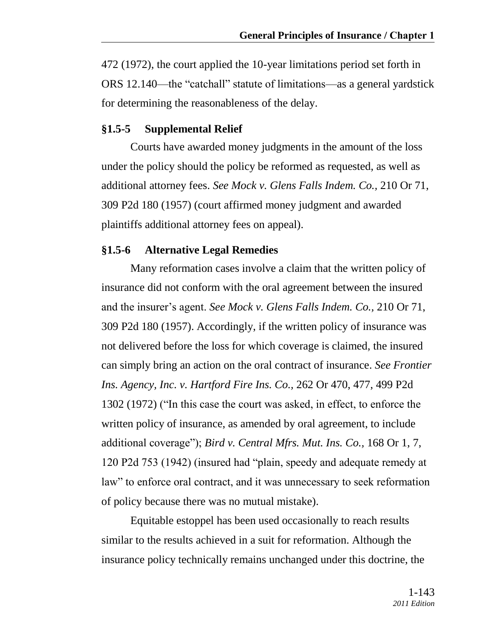472 (1972), the court applied the 10-year limitations period set forth in ORS 12.140—the "catchall" statute of limitations—as a general yardstick for determining the reasonableness of the delay.

### **§1.5-5 Supplemental Relief**

Courts have awarded money judgments in the amount of the loss under the policy should the policy be reformed as requested, as well as additional attorney fees. *See Mock v. Glens Falls Indem. Co.,* 210 Or 71, 309 P2d 180 (1957) (court affirmed money judgment and awarded plaintiffs additional attorney fees on appeal).

### **§1.5-6 Alternative Legal Remedies**

Many reformation cases involve a claim that the written policy of insurance did not conform with the oral agreement between the insured and the insurer's agent. *See Mock v. Glens Falls Indem. Co.,* 210 Or 71, 309 P2d 180 (1957). Accordingly, if the written policy of insurance was not delivered before the loss for which coverage is claimed, the insured can simply bring an action on the oral contract of insurance. *See Frontier Ins. Agency, Inc. v. Hartford Fire Ins. Co.,* 262 Or 470, 477, 499 P2d 1302 (1972) ("In this case the court was asked, in effect, to enforce the written policy of insurance, as amended by oral agreement, to include additional coverage"); *Bird v. Central Mfrs. Mut. Ins. Co.*, 168 Or 1, 7, 120 P2d 753 (1942) (insured had "plain, speedy and adequate remedy at law" to enforce oral contract, and it was unnecessary to seek reformation of policy because there was no mutual mistake).

Equitable estoppel has been used occasionally to reach results similar to the results achieved in a suit for reformation. Although the insurance policy technically remains unchanged under this doctrine, the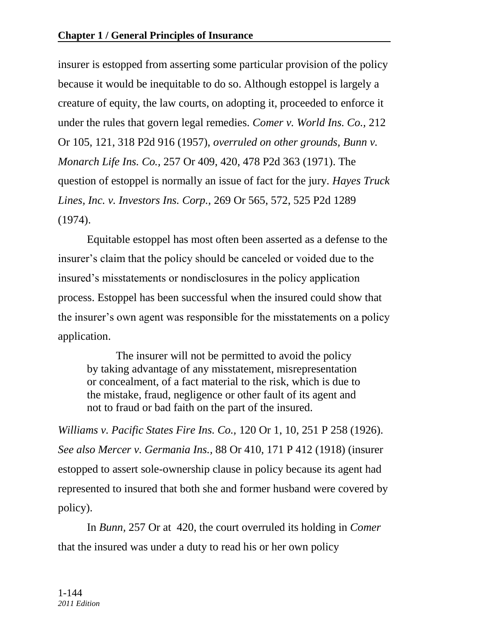insurer is estopped from asserting some particular provision of the policy because it would be inequitable to do so. Although estoppel is largely a creature of equity, the law courts, on adopting it, proceeded to enforce it under the rules that govern legal remedies. *Comer v. World Ins. Co.,* 212 Or 105, 121, 318 P2d 916 (1957), *overruled on other grounds, Bunn v. Monarch Life Ins. Co.,* 257 Or 409, 420, 478 P2d 363 (1971). The question of estoppel is normally an issue of fact for the jury. *Hayes Truck Lines, Inc. v. Investors Ins. Corp.,* 269 Or 565, 572, 525 P2d 1289 (1974).

Equitable estoppel has most often been asserted as a defense to the insurer's claim that the policy should be canceled or voided due to the insured's misstatements or nondisclosures in the policy application process. Estoppel has been successful when the insured could show that the insurer's own agent was responsible for the misstatements on a policy application.

The insurer will not be permitted to avoid the policy by taking advantage of any misstatement, misrepresentation or concealment, of a fact material to the risk, which is due to the mistake, fraud, negligence or other fault of its agent and not to fraud or bad faith on the part of the insured.

*Williams v. Pacific States Fire Ins. Co.,* 120 Or 1, 10, 251 P 258 (1926). *See also Mercer v. Germania Ins.,* 88 Or 410, 171 P 412 (1918) (insurer estopped to assert sole-ownership clause in policy because its agent had represented to insured that both she and former husband were covered by policy).

In *Bunn,* 257 Or at 420, the court overruled its holding in *Comer*  that the insured was under a duty to read his or her own policy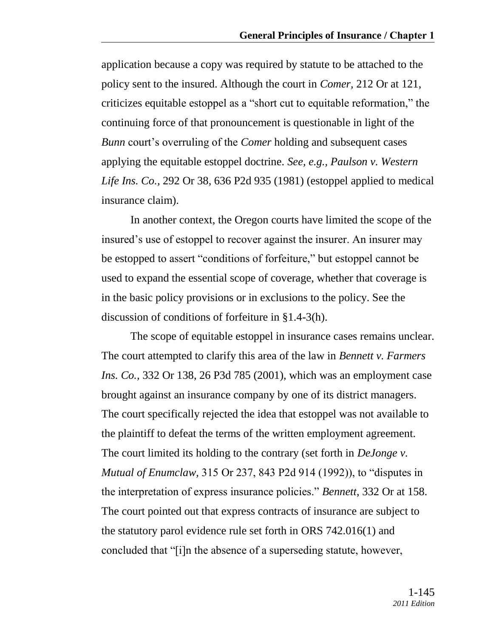application because a copy was required by statute to be attached to the policy sent to the insured. Although the court in *Comer,* 212 Or at 121, criticizes equitable estoppel as a "short cut to equitable reformation," the continuing force of that pronouncement is questionable in light of the *Bunn* court's overruling of the *Comer* holding and subsequent cases applying the equitable estoppel doctrine. *See, e.g., Paulson v. Western Life Ins. Co.,* 292 Or 38, 636 P2d 935 (1981) (estoppel applied to medical insurance claim).

In another context, the Oregon courts have limited the scope of the insured's use of estoppel to recover against the insurer. An insurer may be estopped to assert "conditions of forfeiture," but estoppel cannot be used to expand the essential scope of coverage, whether that coverage is in the basic policy provisions or in exclusions to the policy. See the discussion of conditions of forfeiture in §1.4-3(h).

The scope of equitable estoppel in insurance cases remains unclear. The court attempted to clarify this area of the law in *Bennett v. Farmers Ins. Co.,* 332 Or 138, 26 P3d 785 (2001), which was an employment case brought against an insurance company by one of its district managers. The court specifically rejected the idea that estoppel was not available to the plaintiff to defeat the terms of the written employment agreement. The court limited its holding to the contrary (set forth in *DeJonge v. Mutual of Enumclaw,* 315 Or 237, 843 P2d 914 (1992)), to "disputes in the interpretation of express insurance policies.‖ *Bennett,* 332 Or at 158. The court pointed out that express contracts of insurance are subject to the statutory parol evidence rule set forth in ORS 742.016(1) and concluded that "[i]n the absence of a superseding statute, however,